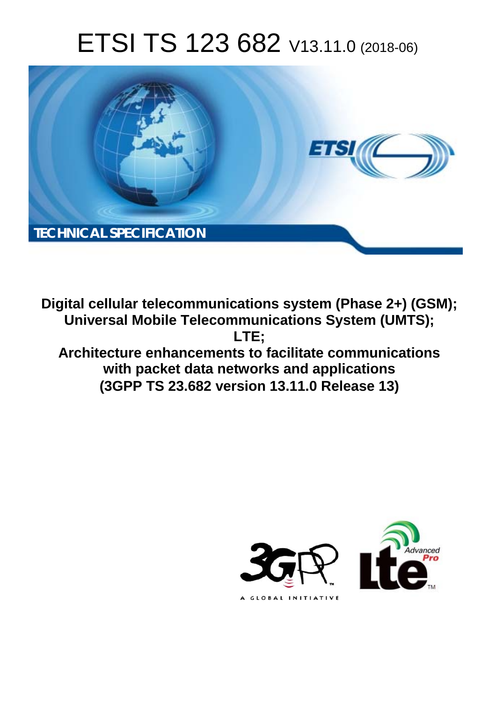# ETSI TS 123 682 V13.11.0 (2018-06)



**Digital cellular telecommunications system (Phase 2+) (GSM); Universal Mobile Telecommunications System (UMTS); LTE; Architecture enhancements to facilitate communications with packet data networks and applications (3GPP TS 23.682 version 13.11.0 Release 13)** 

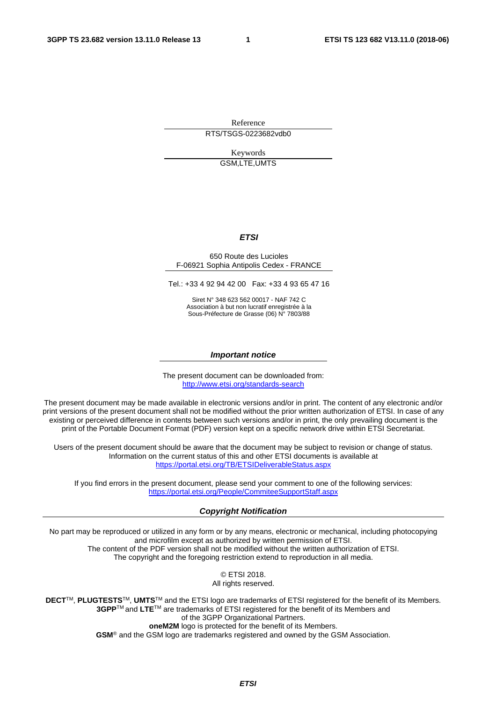Reference RTS/TSGS-0223682vdb0

> Keywords GSM,LTE,UMTS

#### *ETSI*

#### 650 Route des Lucioles F-06921 Sophia Antipolis Cedex - FRANCE

Tel.: +33 4 92 94 42 00 Fax: +33 4 93 65 47 16

Siret N° 348 623 562 00017 - NAF 742 C Association à but non lucratif enregistrée à la Sous-Préfecture de Grasse (06) N° 7803/88

#### *Important notice*

The present document can be downloaded from: <http://www.etsi.org/standards-search>

The present document may be made available in electronic versions and/or in print. The content of any electronic and/or print versions of the present document shall not be modified without the prior written authorization of ETSI. In case of any existing or perceived difference in contents between such versions and/or in print, the only prevailing document is the print of the Portable Document Format (PDF) version kept on a specific network drive within ETSI Secretariat.

Users of the present document should be aware that the document may be subject to revision or change of status. Information on the current status of this and other ETSI documents is available at <https://portal.etsi.org/TB/ETSIDeliverableStatus.aspx>

If you find errors in the present document, please send your comment to one of the following services: <https://portal.etsi.org/People/CommiteeSupportStaff.aspx>

#### *Copyright Notification*

No part may be reproduced or utilized in any form or by any means, electronic or mechanical, including photocopying and microfilm except as authorized by written permission of ETSI. The content of the PDF version shall not be modified without the written authorization of ETSI. The copyright and the foregoing restriction extend to reproduction in all media.

> © ETSI 2018. All rights reserved.

**DECT**TM, **PLUGTESTS**TM, **UMTS**TM and the ETSI logo are trademarks of ETSI registered for the benefit of its Members. **3GPP**TM and **LTE**TM are trademarks of ETSI registered for the benefit of its Members and of the 3GPP Organizational Partners. **oneM2M** logo is protected for the benefit of its Members.

**GSM**® and the GSM logo are trademarks registered and owned by the GSM Association.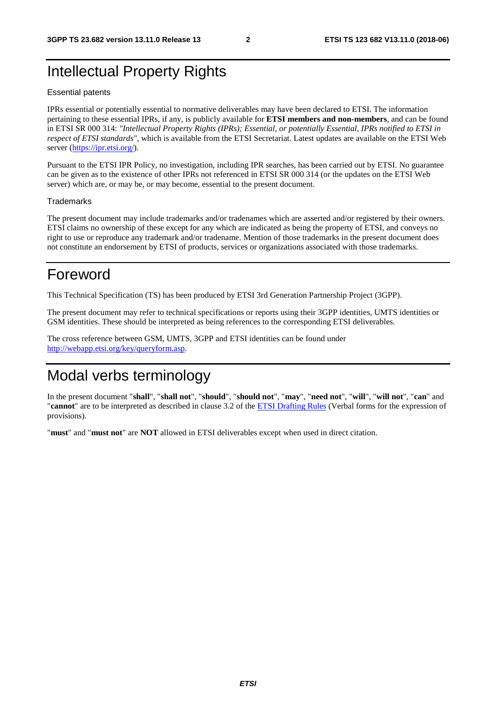# Intellectual Property Rights

#### Essential patents

IPRs essential or potentially essential to normative deliverables may have been declared to ETSI. The information pertaining to these essential IPRs, if any, is publicly available for **ETSI members and non-members**, and can be found in ETSI SR 000 314: *"Intellectual Property Rights (IPRs); Essential, or potentially Essential, IPRs notified to ETSI in respect of ETSI standards"*, which is available from the ETSI Secretariat. Latest updates are available on the ETSI Web server ([https://ipr.etsi.org/\)](https://ipr.etsi.org/).

Pursuant to the ETSI IPR Policy, no investigation, including IPR searches, has been carried out by ETSI. No guarantee can be given as to the existence of other IPRs not referenced in ETSI SR 000 314 (or the updates on the ETSI Web server) which are, or may be, or may become, essential to the present document.

#### **Trademarks**

The present document may include trademarks and/or tradenames which are asserted and/or registered by their owners. ETSI claims no ownership of these except for any which are indicated as being the property of ETSI, and conveys no right to use or reproduce any trademark and/or tradename. Mention of those trademarks in the present document does not constitute an endorsement by ETSI of products, services or organizations associated with those trademarks.

# Foreword

This Technical Specification (TS) has been produced by ETSI 3rd Generation Partnership Project (3GPP).

The present document may refer to technical specifications or reports using their 3GPP identities, UMTS identities or GSM identities. These should be interpreted as being references to the corresponding ETSI deliverables.

The cross reference between GSM, UMTS, 3GPP and ETSI identities can be found under [http://webapp.etsi.org/key/queryform.asp.](http://webapp.etsi.org/key/queryform.asp)

# Modal verbs terminology

In the present document "**shall**", "**shall not**", "**should**", "**should not**", "**may**", "**need not**", "**will**", "**will not**", "**can**" and "**cannot**" are to be interpreted as described in clause 3.2 of the [ETSI Drafting Rules](https://portal.etsi.org/Services/editHelp!/Howtostart/ETSIDraftingRules.aspx) (Verbal forms for the expression of provisions).

"**must**" and "**must not**" are **NOT** allowed in ETSI deliverables except when used in direct citation.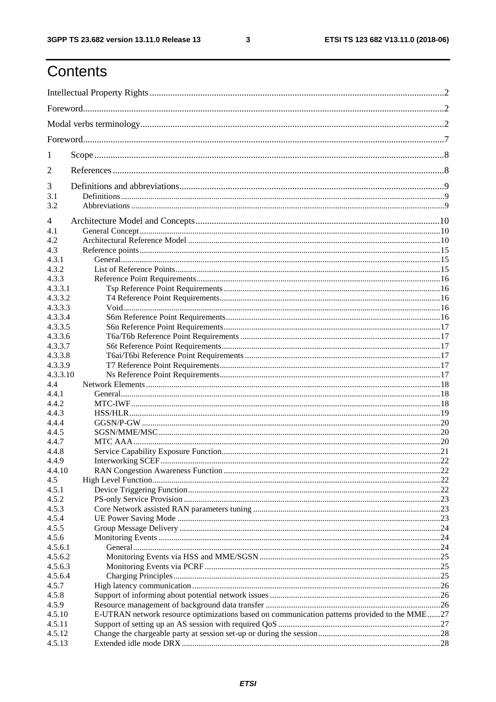$\mathbf{3}$ 

# Contents

| 1        |                                                                                              |  |
|----------|----------------------------------------------------------------------------------------------|--|
| 2        |                                                                                              |  |
| 3        |                                                                                              |  |
| 3.1      |                                                                                              |  |
| 3.2      |                                                                                              |  |
| 4        |                                                                                              |  |
| 4.1      |                                                                                              |  |
| 4.2      |                                                                                              |  |
| 4.3      |                                                                                              |  |
| 4.3.1    |                                                                                              |  |
| 4.3.2    |                                                                                              |  |
| 4.3.3    |                                                                                              |  |
| 4.3.3.1  |                                                                                              |  |
| 4.3.3.2  |                                                                                              |  |
| 4.3.3.3  |                                                                                              |  |
| 4.3.3.4  |                                                                                              |  |
| 4.3.3.5  |                                                                                              |  |
| 4.3.3.6  |                                                                                              |  |
| 4.3.3.7  |                                                                                              |  |
| 4.3.3.8  |                                                                                              |  |
| 4.3.3.9  |                                                                                              |  |
| 4.3.3.10 |                                                                                              |  |
| 4.4      |                                                                                              |  |
| 4.4.1    |                                                                                              |  |
| 4.4.2    |                                                                                              |  |
| 4.4.3    |                                                                                              |  |
| 4.4.4    |                                                                                              |  |
| 4.4.5    |                                                                                              |  |
| 4.4.7    |                                                                                              |  |
| 4.4.8    |                                                                                              |  |
| 4.4.9    |                                                                                              |  |
| 4.4.10   |                                                                                              |  |
| 4.5      |                                                                                              |  |
| 4.5.1    |                                                                                              |  |
| 4.5.2    |                                                                                              |  |
| 4.5.3    |                                                                                              |  |
| 4.5.4    |                                                                                              |  |
| 4.5.5    |                                                                                              |  |
| 4.5.6    |                                                                                              |  |
| 4.5.6.1  |                                                                                              |  |
| 4.5.6.2  |                                                                                              |  |
| 4.5.6.3  |                                                                                              |  |
| 4.5.6.4  |                                                                                              |  |
| 4.5.7    |                                                                                              |  |
| 4.5.8    |                                                                                              |  |
| 4.5.9    |                                                                                              |  |
| 4.5.10   | E-UTRAN network resource optimizations based on communication patterns provided to the MME27 |  |
| 4.5.11   |                                                                                              |  |
| 4.5.12   |                                                                                              |  |
| 4.5.13   |                                                                                              |  |
|          |                                                                                              |  |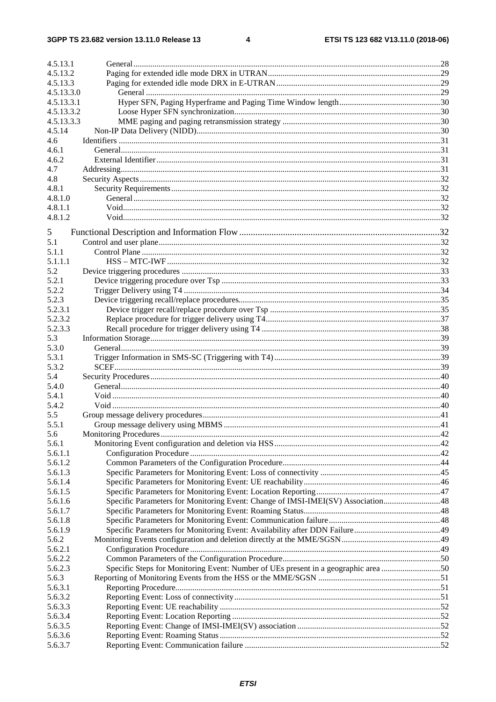| 4.5.13.1   |                                                                                    |  |
|------------|------------------------------------------------------------------------------------|--|
| 4.5.13.2   |                                                                                    |  |
| 4.5.13.3   |                                                                                    |  |
| 4.5.13.3.0 |                                                                                    |  |
| 4.5.13.3.1 |                                                                                    |  |
| 4.5.13.3.2 |                                                                                    |  |
| 4.5.13.3.3 |                                                                                    |  |
| 4.5.14     |                                                                                    |  |
| 4.6        |                                                                                    |  |
| 4.6.1      |                                                                                    |  |
| 4.6.2      |                                                                                    |  |
| 4.7        |                                                                                    |  |
| 4.8        |                                                                                    |  |
| 4.8.1      |                                                                                    |  |
| 4.8.1.0    |                                                                                    |  |
| 4.8.1.1    |                                                                                    |  |
| 4.8.1.2    |                                                                                    |  |
|            |                                                                                    |  |
| 5          |                                                                                    |  |
| 5.1        |                                                                                    |  |
| 5.1.1      |                                                                                    |  |
| 5.1.1.1    |                                                                                    |  |
| 5.2        |                                                                                    |  |
| 5.2.1      |                                                                                    |  |
| 5.2.2      |                                                                                    |  |
| 5.2.3      |                                                                                    |  |
| 5.2.3.1    |                                                                                    |  |
| 5.2.3.2    |                                                                                    |  |
| 5.2.3.3    |                                                                                    |  |
|            |                                                                                    |  |
| 5.3        |                                                                                    |  |
| 5.3.0      |                                                                                    |  |
| 5.3.1      |                                                                                    |  |
| 5.3.2      |                                                                                    |  |
| 5.4        |                                                                                    |  |
| 5.4.0      |                                                                                    |  |
| 5.4.1      |                                                                                    |  |
| 5.4.2      |                                                                                    |  |
| 5.5        |                                                                                    |  |
| 5.5.1      |                                                                                    |  |
| 5.6        |                                                                                    |  |
| 5.6.1      |                                                                                    |  |
| 5.6.1.1    |                                                                                    |  |
| 5.6.1.2    |                                                                                    |  |
| 5.6.1.3    |                                                                                    |  |
| 5.6.1.4    |                                                                                    |  |
| 5.6.1.5    |                                                                                    |  |
| 5.6.1.6    | Specific Parameters for Monitoring Event: Change of IMSI-IMEI(SV) Association48    |  |
| 5.6.1.7    |                                                                                    |  |
| 5.6.1.8    |                                                                                    |  |
| 5.6.1.9    |                                                                                    |  |
| 5.6.2      |                                                                                    |  |
| 5.6.2.1    |                                                                                    |  |
| 5.6.2.2    |                                                                                    |  |
| 5.6.2.3    | Specific Steps for Monitoring Event: Number of UEs present in a geographic area 50 |  |
| 5.6.3      |                                                                                    |  |
| 5.6.3.1    |                                                                                    |  |
| 5.6.3.2    |                                                                                    |  |
| 5.6.3.3    |                                                                                    |  |
|            |                                                                                    |  |
| 5.6.3.4    |                                                                                    |  |
| 5.6.3.5    |                                                                                    |  |
| 5.6.3.6    |                                                                                    |  |
| 5.6.3.7    |                                                                                    |  |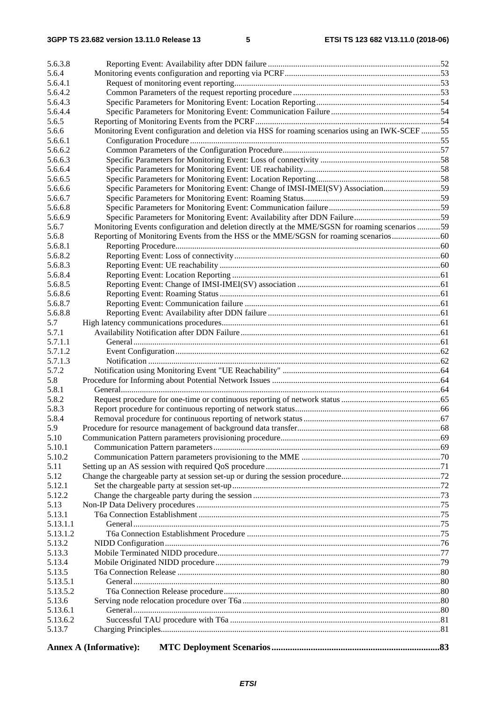| 5.6.3.8          |                                                                                                |  |  |
|------------------|------------------------------------------------------------------------------------------------|--|--|
| 5.6.4            |                                                                                                |  |  |
| 5.6.4.1          |                                                                                                |  |  |
| 5.6.4.2          |                                                                                                |  |  |
| 5.6.4.3          |                                                                                                |  |  |
| 5.6.4.4          |                                                                                                |  |  |
| 5.6.5            |                                                                                                |  |  |
| 5.6.6            | Monitoring Event configuration and deletion via HSS for roaming scenarios using an IWK-SCEF 55 |  |  |
| 5.6.6.1          |                                                                                                |  |  |
| 5.6.6.2          |                                                                                                |  |  |
| 5.6.6.3          |                                                                                                |  |  |
| 5.6.6.4          |                                                                                                |  |  |
| 5.6.6.5          |                                                                                                |  |  |
| 5.6.6.6          | Specific Parameters for Monitoring Event: Change of IMSI-IMEI(SV) Association59                |  |  |
| 5.6.6.7          |                                                                                                |  |  |
| 5.6.6.8          |                                                                                                |  |  |
| 5.6.6.9<br>5.6.7 | Monitoring Events configuration and deletion directly at the MME/SGSN for roaming scenarios 59 |  |  |
| 5.6.8            |                                                                                                |  |  |
| 5.6.8.1          |                                                                                                |  |  |
| 5.6.8.2          |                                                                                                |  |  |
| 5.6.8.3          |                                                                                                |  |  |
| 5.6.8.4          |                                                                                                |  |  |
| 5.6.8.5          |                                                                                                |  |  |
| 5.6.8.6          |                                                                                                |  |  |
| 5.6.8.7          |                                                                                                |  |  |
| 5.6.8.8          |                                                                                                |  |  |
| 5.7              |                                                                                                |  |  |
| 5.7.1            |                                                                                                |  |  |
| 5.7.1.1          |                                                                                                |  |  |
| 5.7.1.2          |                                                                                                |  |  |
| 5.7.1.3          |                                                                                                |  |  |
| 5.7.2            |                                                                                                |  |  |
| 5.8              |                                                                                                |  |  |
| 5.8.1            |                                                                                                |  |  |
| 5.8.2            |                                                                                                |  |  |
| 5.8.3            |                                                                                                |  |  |
| 5.8.4            |                                                                                                |  |  |
| 5.9              |                                                                                                |  |  |
| 5.10<br>5.10.1   |                                                                                                |  |  |
| 5.10.2           |                                                                                                |  |  |
| 5.11             |                                                                                                |  |  |
| 5.12             |                                                                                                |  |  |
| 5.12.1           |                                                                                                |  |  |
| 5.12.2           |                                                                                                |  |  |
| 5.13             |                                                                                                |  |  |
| 5.13.1           |                                                                                                |  |  |
| 5.13.1.1         |                                                                                                |  |  |
| 5.13.1.2         |                                                                                                |  |  |
| 5.13.2           |                                                                                                |  |  |
| 5.13.3           |                                                                                                |  |  |
| 5.13.4           |                                                                                                |  |  |
| 5.13.5           |                                                                                                |  |  |
| 5.13.5.1         |                                                                                                |  |  |
| 5.13.5.2         |                                                                                                |  |  |
| 5.13.6           |                                                                                                |  |  |
| 5.13.6.1         |                                                                                                |  |  |
| 5.13.6.2         |                                                                                                |  |  |
| 5.13.7           |                                                                                                |  |  |
|                  | <b>Annex A (Informative):</b>                                                                  |  |  |
|                  |                                                                                                |  |  |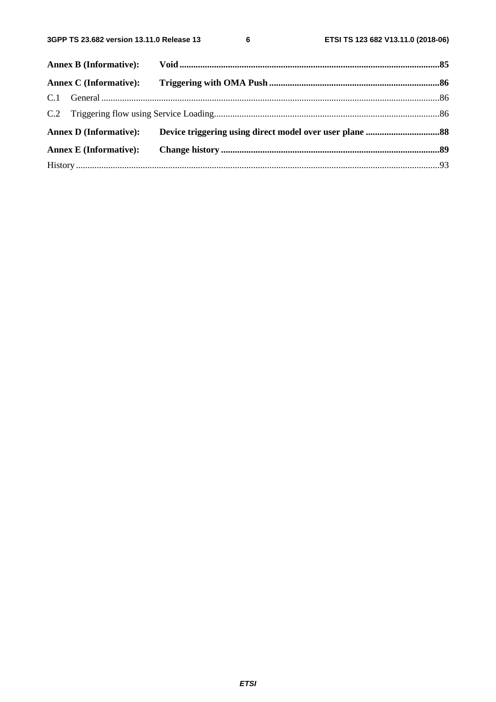$\bf 6$ 

| Annex D (Informative): Device triggering using direct model over user plane 88 |
|--------------------------------------------------------------------------------|
|                                                                                |
|                                                                                |
|                                                                                |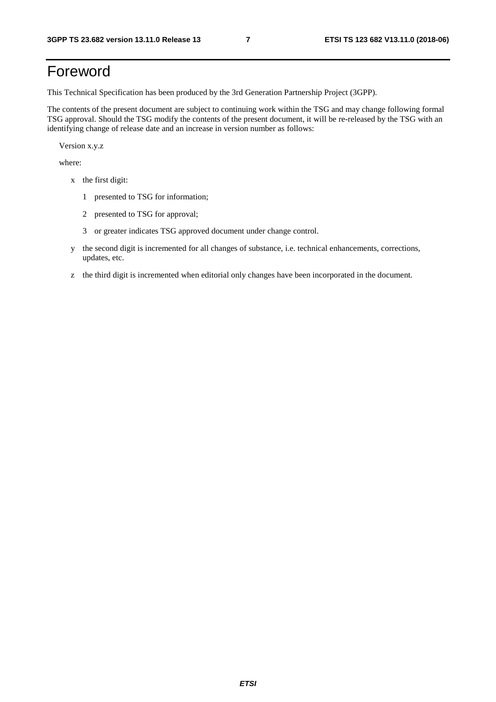# Foreword

This Technical Specification has been produced by the 3rd Generation Partnership Project (3GPP).

The contents of the present document are subject to continuing work within the TSG and may change following formal TSG approval. Should the TSG modify the contents of the present document, it will be re-released by the TSG with an identifying change of release date and an increase in version number as follows:

Version x.y.z

where:

- x the first digit:
	- 1 presented to TSG for information;
	- 2 presented to TSG for approval;
	- 3 or greater indicates TSG approved document under change control.
- y the second digit is incremented for all changes of substance, i.e. technical enhancements, corrections, updates, etc.
- z the third digit is incremented when editorial only changes have been incorporated in the document.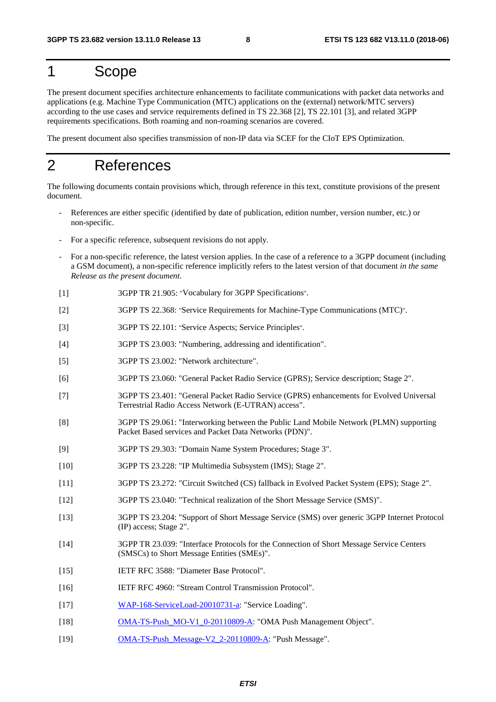# 1 Scope

The present document specifies architecture enhancements to facilitate communications with packet data networks and applications (e.g. Machine Type Communication (MTC) applications on the (external) network/MTC servers) according to the use cases and service requirements defined in TS 22.368 [2], TS 22.101 [3], and related 3GPP requirements specifications. Both roaming and non-roaming scenarios are covered.

The present document also specifies transmission of non-IP data via SCEF for the CIoT EPS Optimization.

# 2 References

The following documents contain provisions which, through reference in this text, constitute provisions of the present document.

- References are either specific (identified by date of publication, edition number, version number, etc.) or non-specific.
- For a specific reference, subsequent revisions do not apply.
- For a non-specific reference, the latest version applies. In the case of a reference to a 3GPP document (including a GSM document), a non-specific reference implicitly refers to the latest version of that document *in the same Release as the present document*.
- [1] 3GPP TR 21.905: "Vocabulary for 3GPP Specifications".
- [2] 3GPP TS 22.368: "Service Requirements for Machine-Type Communications (MTC)".
- [3] 3GPP TS 22.101: "Service Aspects; Service Principles".
- [4] 3GPP TS 23.003: "Numbering, addressing and identification".
- [5] 3GPP TS 23.002: "Network architecture".
- [6] 3GPP TS 23.060: "General Packet Radio Service (GPRS); Service description; Stage 2".
- [7] 3GPP TS 23.401: "General Packet Radio Service (GPRS) enhancements for Evolved Universal Terrestrial Radio Access Network (E-UTRAN) access".
- [8] 3GPP TS 29.061: "Interworking between the Public Land Mobile Network (PLMN) supporting Packet Based services and Packet Data Networks (PDN)".
- [9] 3GPP TS 29.303: "Domain Name System Procedures; Stage 3".
- [10] 3GPP TS 23.228: "IP Multimedia Subsystem (IMS); Stage 2".
- [11] 3GPP TS 23.272: "Circuit Switched (CS) fallback in Evolved Packet System (EPS); Stage 2".
- [12] 3GPP TS 23.040: "Technical realization of the Short Message Service (SMS)".
- [13] 3GPP TS 23.204: "Support of Short Message Service (SMS) over generic 3GPP Internet Protocol (IP) access; Stage 2".
- [14] 3GPP TR 23.039: "Interface Protocols for the Connection of Short Message Service Centers (SMSCs) to Short Message Entities (SMEs)".
- [15] IETF RFC 3588: "Diameter Base Protocol".
- [16] IETF RFC 4960: "Stream Control Transmission Protocol".
- [17] [WAP-168-ServiceLoad-20010731-a](http://www.openmobilealliance.org/technical/release_program/docs/copyrightclick.aspx?pck=Push&file=V2_2-20110809-A/WAP-168-ServiceLoad-20010731-a.pdf): "Service Loading".
- [18] [OMA-TS-Push\\_MO-V1\\_0-20110809-A](http://www.openmobilealliance.org/technical/release_program/docs/copyrightclick.aspx?pck=Push&file=V2_2-20110809-A/OMA-TS-Push_MO-V1_0-20110809-A.pdf): "OMA Push Management Object".
- [19] [OMA-TS-Push\\_Message-V2\\_2-20110809-A](http://www.openmobilealliance.org/technical/release_program/docs/copyrightclick.aspx?pck=Push&file=V2_2-20110809-A/OMA-TS-Push_Message-V2_2-20110809-A.pdf): "Push Message".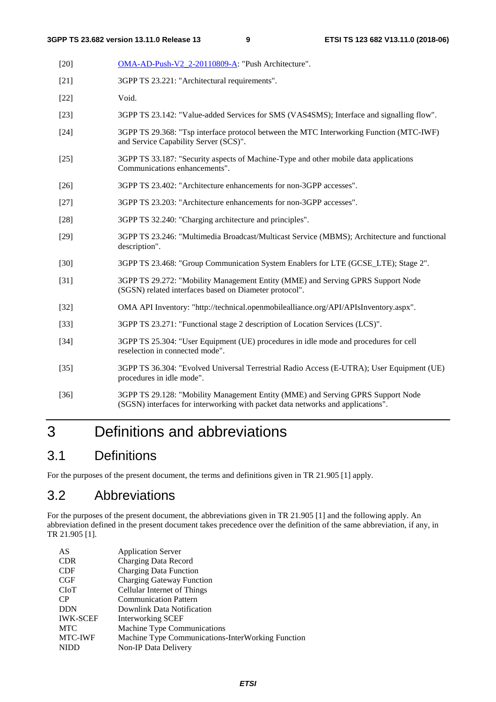- [20] [OMA-AD-Push-V2\\_2-20110809-A:](http://www.openmobilealliance.org/technical/release_program/docs/copyrightclick.aspx?pck=Push&file=V2_2-20110809-A/OMA-AD-Push-V2_2-20110809-A.pdf) "Push Architecture".
- [21] 3GPP TS 23.221: "Architectural requirements".
- [22] Void.
- [23] 3GPP TS 23.142: "Value-added Services for SMS (VAS4SMS); Interface and signalling flow".
- [24] 3GPP TS 29.368: "Tsp interface protocol between the MTC Interworking Function (MTC-IWF) and Service Capability Server (SCS)".
- [25] 3GPP TS 33.187: "Security aspects of Machine-Type and other mobile data applications Communications enhancements".
- [26] 3GPP TS 23.402: "Architecture enhancements for non-3GPP accesses".
- [27] 3GPP TS 23.203: "Architecture enhancements for non-3GPP accesses".
- [28] 3GPP TS 32.240: "Charging architecture and principles".
- [29] 3GPP TS 23.246: "Multimedia Broadcast/Multicast Service (MBMS); Architecture and functional description".
- [30] 3GPP TS 23.468: "Group Communication System Enablers for LTE (GCSE\_LTE); Stage 2".
- [31] 3GPP TS 29.272: "Mobility Management Entity (MME) and Serving GPRS Support Node (SGSN) related interfaces based on Diameter protocol".
- [32] OMA API Inventory: "http://technical.openmobilealliance.org/API/APIsInventory.aspx".
- [33] 3GPP TS 23.271: "Functional stage 2 description of Location Services (LCS)".
- [34] 3GPP TS 25.304: "User Equipment (UE) procedures in idle mode and procedures for cell reselection in connected mode".
- [35] 3GPP TS 36.304: "Evolved Universal Terrestrial Radio Access (E-UTRA); User Equipment (UE) procedures in idle mode".
- [36] 3GPP TS 29.128: "Mobility Management Entity (MME) and Serving GPRS Support Node (SGSN) interfaces for interworking with packet data networks and applications".

# 3 Definitions and abbreviations

# 3.1 Definitions

For the purposes of the present document, the terms and definitions given in TR 21.905 [1] apply.

# 3.2 Abbreviations

For the purposes of the present document, the abbreviations given in TR 21.905 [1] and the following apply. An abbreviation defined in the present document takes precedence over the definition of the same abbreviation, if any, in TR 21.905 [1].

| AS              | <b>Application Server</b>                         |
|-----------------|---------------------------------------------------|
| <b>CDR</b>      | Charging Data Record                              |
| <b>CDF</b>      | <b>Charging Data Function</b>                     |
| <b>CGF</b>      | <b>Charging Gateway Function</b>                  |
| CloT            | <b>Cellular Internet of Things</b>                |
| CP              | <b>Communication Pattern</b>                      |
| <b>DDN</b>      | Downlink Data Notification                        |
| <b>IWK-SCEF</b> | Interworking SCEF                                 |
| <b>MTC</b>      | Machine Type Communications                       |
| <b>MTC-IWF</b>  | Machine Type Communications-InterWorking Function |
| <b>NIDD</b>     | <b>Non-IP Data Delivery</b>                       |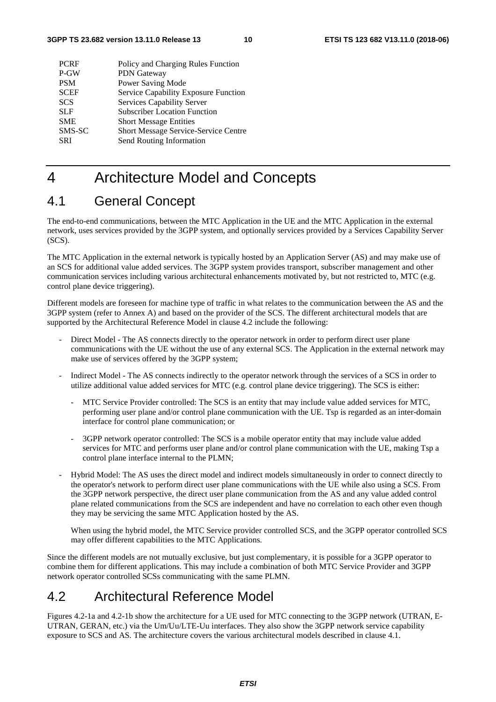| Policy and Charging Rules Function                  |  |
|-----------------------------------------------------|--|
| P-GW<br><b>PDN</b> Gateway                          |  |
| Power Saving Mode<br><b>PSM</b>                     |  |
| <b>SCEF</b><br>Service Capability Exposure Function |  |
| <b>SCS</b><br><b>Services Capability Server</b>     |  |
| <b>Subscriber Location Function</b><br><b>SLF</b>   |  |
| <b>SME</b><br><b>Short Message Entities</b>         |  |
| SMS-SC<br>Short Message Service-Service Centre      |  |
| Send Routing Information<br><b>SRI</b>              |  |

# 4 Architecture Model and Concepts

# 4.1 General Concept

The end-to-end communications, between the MTC Application in the UE and the MTC Application in the external network, uses services provided by the 3GPP system, and optionally services provided by a Services Capability Server (SCS).

The MTC Application in the external network is typically hosted by an Application Server (AS) and may make use of an SCS for additional value added services. The 3GPP system provides transport, subscriber management and other communication services including various architectural enhancements motivated by, but not restricted to, MTC (e.g. control plane device triggering).

Different models are foreseen for machine type of traffic in what relates to the communication between the AS and the 3GPP system (refer to Annex A) and based on the provider of the SCS. The different architectural models that are supported by the Architectural Reference Model in clause 4.2 include the following:

- Direct Model The AS connects directly to the operator network in order to perform direct user plane communications with the UE without the use of any external SCS. The Application in the external network may make use of services offered by the 3GPP system;
- Indirect Model The AS connects indirectly to the operator network through the services of a SCS in order to utilize additional value added services for MTC (e.g. control plane device triggering). The SCS is either:
	- MTC Service Provider controlled: The SCS is an entity that may include value added services for MTC, performing user plane and/or control plane communication with the UE. Tsp is regarded as an inter-domain interface for control plane communication; or
	- 3GPP network operator controlled: The SCS is a mobile operator entity that may include value added services for MTC and performs user plane and/or control plane communication with the UE, making Tsp a control plane interface internal to the PLMN;
- Hybrid Model: The AS uses the direct model and indirect models simultaneously in order to connect directly to the operator's network to perform direct user plane communications with the UE while also using a SCS. From the 3GPP network perspective, the direct user plane communication from the AS and any value added control plane related communications from the SCS are independent and have no correlation to each other even though they may be servicing the same MTC Application hosted by the AS.

 When using the hybrid model, the MTC Service provider controlled SCS, and the 3GPP operator controlled SCS may offer different capabilities to the MTC Applications.

Since the different models are not mutually exclusive, but just complementary, it is possible for a 3GPP operator to combine them for different applications. This may include a combination of both MTC Service Provider and 3GPP network operator controlled SCSs communicating with the same PLMN.

# 4.2 Architectural Reference Model

Figures 4.2-1a and 4.2-1b show the architecture for a UE used for MTC connecting to the 3GPP network (UTRAN, E-UTRAN, GERAN, etc.) via the Um/Uu/LTE-Uu interfaces. They also show the 3GPP network service capability exposure to SCS and AS. The architecture covers the various architectural models described in clause 4.1.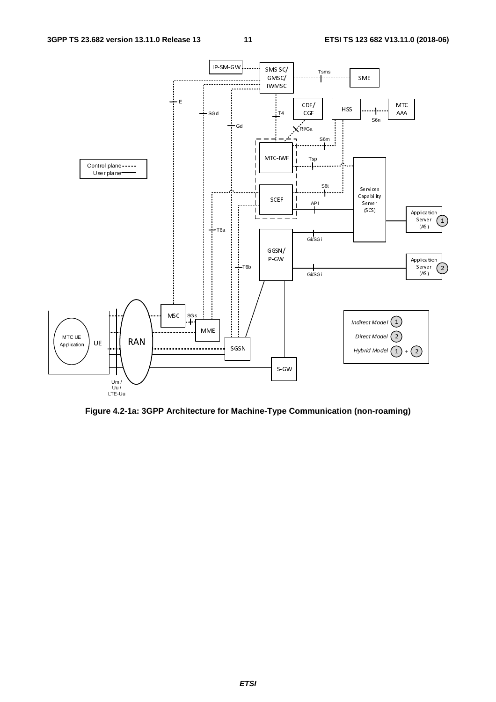

**Figure 4.2-1a: 3GPP Architecture for Machine-Type Communication (non-roaming)**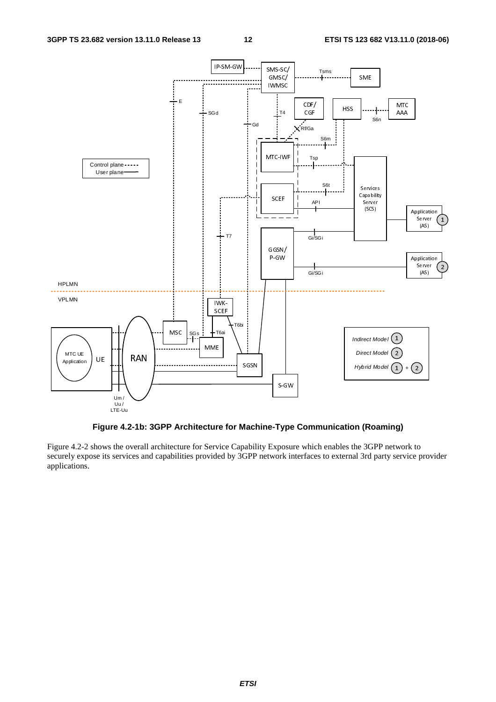

**Figure 4.2-1b: 3GPP Architecture for Machine-Type Communication (Roaming)** 

Figure 4.2-2 shows the overall architecture for Service Capability Exposure which enables the 3GPP network to securely expose its services and capabilities provided by 3GPP network interfaces to external 3rd party service provider applications.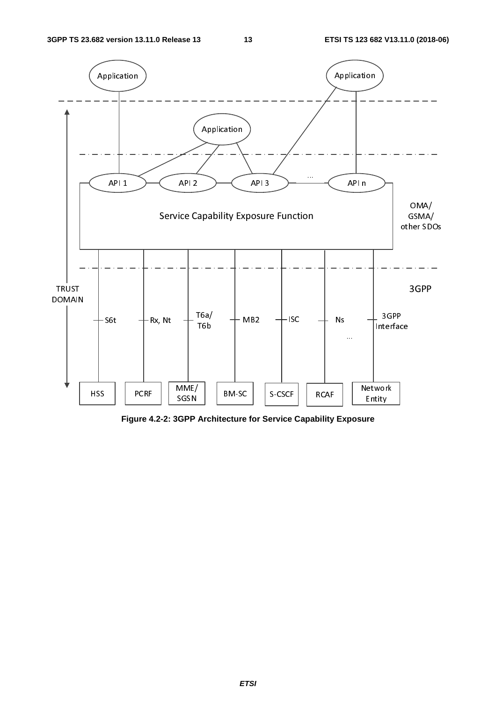

**Figure 4.2-2: 3GPP Architecture for Service Capability Exposure**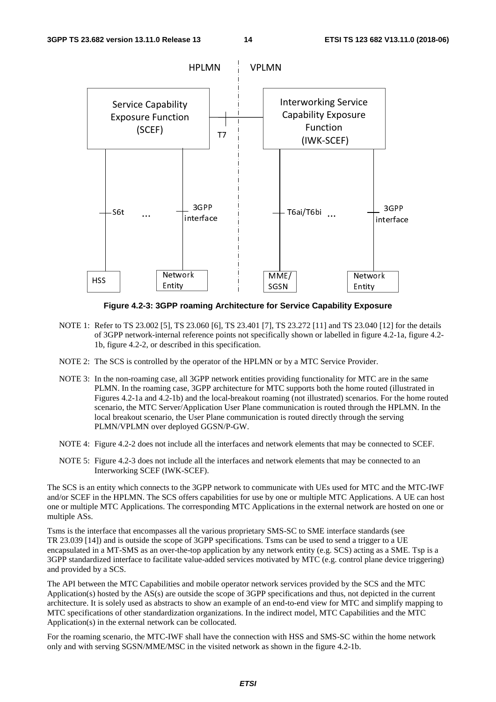

**Figure 4.2-3: 3GPP roaming Architecture for Service Capability Exposure** 

- NOTE 1: Refer to TS 23.002 [5], TS 23.060 [6], TS 23.401 [7], TS 23.272 [11] and TS 23.040 [12] for the details of 3GPP network-internal reference points not specifically shown or labelled in figure 4.2-1a, figure 4.2- 1b, figure 4.2-2, or described in this specification.
- NOTE 2: The SCS is controlled by the operator of the HPLMN or by a MTC Service Provider.
- NOTE 3: In the non-roaming case, all 3GPP network entities providing functionality for MTC are in the same PLMN. In the roaming case, 3GPP architecture for MTC supports both the home routed (illustrated in Figures 4.2-1a and 4.2-1b) and the local-breakout roaming (not illustrated) scenarios. For the home routed scenario, the MTC Server/Application User Plane communication is routed through the HPLMN. In the local breakout scenario, the User Plane communication is routed directly through the serving PLMN/VPLMN over deployed GGSN/P-GW.
- NOTE 4: Figure 4.2-2 does not include all the interfaces and network elements that may be connected to SCEF.
- NOTE 5: Figure 4.2-3 does not include all the interfaces and network elements that may be connected to an Interworking SCEF (IWK-SCEF).

The SCS is an entity which connects to the 3GPP network to communicate with UEs used for MTC and the MTC-IWF and/or SCEF in the HPLMN. The SCS offers capabilities for use by one or multiple MTC Applications. A UE can host one or multiple MTC Applications. The corresponding MTC Applications in the external network are hosted on one or multiple ASs.

Tsms is the interface that encompasses all the various proprietary SMS-SC to SME interface standards (see TR 23.039 [14]) and is outside the scope of 3GPP specifications. Tsms can be used to send a trigger to a UE encapsulated in a MT-SMS as an over-the-top application by any network entity (e.g. SCS) acting as a SME. Tsp is a 3GPP standardized interface to facilitate value-added services motivated by MTC (e.g. control plane device triggering) and provided by a SCS.

The API between the MTC Capabilities and mobile operator network services provided by the SCS and the MTC Application(s) hosted by the AS(s) are outside the scope of 3GPP specifications and thus, not depicted in the current architecture. It is solely used as abstracts to show an example of an end-to-end view for MTC and simplify mapping to MTC specifications of other standardization organizations. In the indirect model, MTC Capabilities and the MTC Application(s) in the external network can be collocated.

For the roaming scenario, the MTC-IWF shall have the connection with HSS and SMS-SC within the home network only and with serving SGSN/MME/MSC in the visited network as shown in the figure 4.2-1b.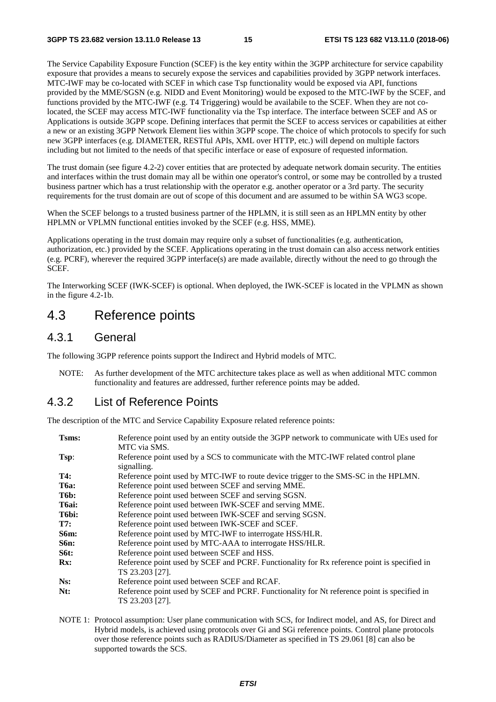The Service Capability Exposure Function (SCEF) is the key entity within the 3GPP architecture for service capability exposure that provides a means to securely expose the services and capabilities provided by 3GPP network interfaces. MTC-IWF may be co-located with SCEF in which case Tsp functionality would be exposed via API, functions provided by the MME/SGSN (e.g. NIDD and Event Monitoring) would be exposed to the MTC-IWF by the SCEF, and functions provided by the MTC-IWF (e.g. T4 Triggering) would be availabile to the SCEF. When they are not colocated, the SCEF may access MTC-IWF functionality via the Tsp interface. The interface between SCEF and AS or Applications is outside 3GPP scope. Defining interfaces that permit the SCEF to access services or capabilities at either a new or an existing 3GPP Network Element lies within 3GPP scope. The choice of which protocols to specify for such new 3GPP interfaces (e.g. DIAMETER, RESTful APIs, XML over HTTP, etc.) will depend on multiple factors including but not limited to the needs of that specific interface or ease of exposure of requested information.

The trust domain (see figure 4.2-2) cover entities that are protected by adequate network domain security. The entities and interfaces within the trust domain may all be within one operator's control, or some may be controlled by a trusted business partner which has a trust relationship with the operator e.g. another operator or a 3rd party. The security requirements for the trust domain are out of scope of this document and are assumed to be within SA WG3 scope.

When the SCEF belongs to a trusted business partner of the HPLMN, it is still seen as an HPLMN entity by other HPLMN or VPLMN functional entities invoked by the SCEF (e.g. HSS, MME).

Applications operating in the trust domain may require only a subset of functionalities (e.g. authentication, authorization, etc.) provided by the SCEF. Applications operating in the trust domain can also access network entities (e.g. PCRF), wherever the required 3GPP interface(s) are made available, directly without the need to go through the SCEF.

The Interworking SCEF (IWK-SCEF) is optional. When deployed, the IWK-SCEF is located in the VPLMN as shown in the figure 4.2-1b.

# 4.3 Reference points

#### 4.3.1 General

The following 3GPP reference points support the Indirect and Hybrid models of MTC.

NOTE: As further development of the MTC architecture takes place as well as when additional MTC common functionality and features are addressed, further reference points may be added.

### 4.3.2 List of Reference Points

The description of the MTC and Service Capability Exposure related reference points:

| Tsms:              | Reference point used by an entity outside the 3GPP network to communicate with UEs used for<br>MTC via SMS.    |
|--------------------|----------------------------------------------------------------------------------------------------------------|
| Tsp:               | Reference point used by a SCS to communicate with the MTC-IWF related control plane<br>signalling.             |
| T4:                | Reference point used by MTC-IWF to route device trigger to the SMS-SC in the HPLMN.                            |
| <b>T6a:</b>        | Reference point used between SCEF and serving MME.                                                             |
| T6b:               | Reference point used between SCEF and serving SGSN.                                                            |
| T <sub>6</sub> ai: | Reference point used between IWK-SCEF and serving MME.                                                         |
| T6bi:              | Reference point used between IWK-SCEF and serving SGSN.                                                        |
| T7:                | Reference point used between IWK-SCEF and SCEF.                                                                |
| <b>S6m:</b>        | Reference point used by MTC-IWF to interrogate HSS/HLR.                                                        |
| S6n:               | Reference point used by MTC-AAA to interrogate HSS/HLR.                                                        |
| <b>S6t:</b>        | Reference point used between SCEF and HSS.                                                                     |
| Rx:                | Reference point used by SCEF and PCRF. Functionality for Rx reference point is specified in<br>TS 23.203 [27]. |
| Ns:                | Reference point used between SCEF and RCAF.                                                                    |
| Nt:                | Reference point used by SCEF and PCRF. Functionality for Nt reference point is specified in<br>TS 23.203 [27]. |

NOTE 1: Protocol assumption: User plane communication with SCS, for Indirect model, and AS, for Direct and Hybrid models, is achieved using protocols over Gi and SGi reference points. Control plane protocols over those reference points such as RADIUS/Diameter as specified in TS 29.061 [8] can also be supported towards the SCS.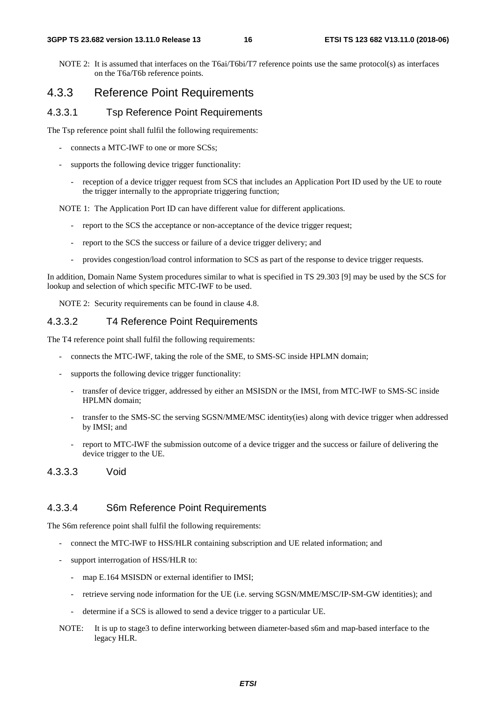NOTE 2: It is assumed that interfaces on the T6ai/T6bi/T7 reference points use the same protocol(s) as interfaces on the T6a/T6b reference points.

# 4.3.3 Reference Point Requirements

#### 4.3.3.1 Tsp Reference Point Requirements

The Tsp reference point shall fulfil the following requirements:

- connects a MTC-IWF to one or more SCSs;
- supports the following device trigger functionality:
	- reception of a device trigger request from SCS that includes an Application Port ID used by the UE to route the trigger internally to the appropriate triggering function;

NOTE 1: The Application Port ID can have different value for different applications.

- report to the SCS the acceptance or non-acceptance of the device trigger request;
- report to the SCS the success or failure of a device trigger delivery; and
- provides congestion/load control information to SCS as part of the response to device trigger requests.

In addition, Domain Name System procedures similar to what is specified in TS 29.303 [9] may be used by the SCS for lookup and selection of which specific MTC-IWF to be used.

NOTE 2: Security requirements can be found in clause 4.8.

#### 4.3.3.2 T4 Reference Point Requirements

The T4 reference point shall fulfil the following requirements:

- connects the MTC-IWF, taking the role of the SME, to SMS-SC inside HPLMN domain;
- supports the following device trigger functionality:
	- transfer of device trigger, addressed by either an MSISDN or the IMSI, from MTC-IWF to SMS-SC inside HPLMN domain;
	- transfer to the SMS-SC the serving SGSN/MME/MSC identity(ies) along with device trigger when addressed by IMSI; and
	- report to MTC-IWF the submission outcome of a device trigger and the success or failure of delivering the device trigger to the UE.
- 4.3.3.3 Void

#### 4.3.3.4 S6m Reference Point Requirements

The S6m reference point shall fulfil the following requirements:

- connect the MTC-IWF to HSS/HLR containing subscription and UE related information; and
- support interrogation of HSS/HLR to:
	- map E.164 MSISDN or external identifier to IMSI;
	- retrieve serving node information for the UE (i.e. serving SGSN/MME/MSC/IP-SM-GW identities); and
	- determine if a SCS is allowed to send a device trigger to a particular UE.
- NOTE: It is up to stage3 to define interworking between diameter-based s6m and map-based interface to the legacy HLR.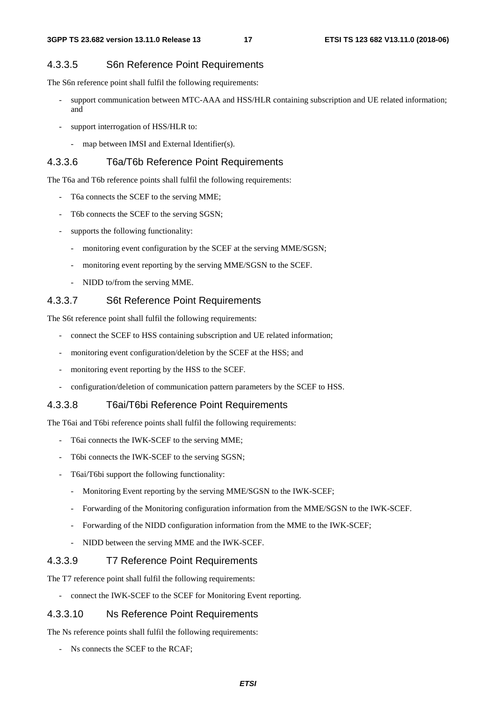#### 4.3.3.5 S6n Reference Point Requirements

The S6n reference point shall fulfil the following requirements:

- support communication between MTC-AAA and HSS/HLR containing subscription and UE related information; and
- support interrogation of HSS/HLR to:
	- map between IMSI and External Identifier(s).

#### 4.3.3.6 T6a/T6b Reference Point Requirements

The T6a and T6b reference points shall fulfil the following requirements:

- T6a connects the SCEF to the serving MME;
- T6b connects the SCEF to the serving SGSN;
- supports the following functionality:
	- monitoring event configuration by the SCEF at the serving MME/SGSN;
	- monitoring event reporting by the serving MME/SGSN to the SCEF.
	- NIDD to/from the serving MME.

#### 4.3.3.7 S6t Reference Point Requirements

The S6t reference point shall fulfil the following requirements:

- connect the SCEF to HSS containing subscription and UE related information;
- monitoring event configuration/deletion by the SCEF at the HSS; and
- monitoring event reporting by the HSS to the SCEF.
- configuration/deletion of communication pattern parameters by the SCEF to HSS.

#### 4.3.3.8 T6ai/T6bi Reference Point Requirements

The T6ai and T6bi reference points shall fulfil the following requirements:

- T6ai connects the IWK-SCEF to the serving MME;
- T6bi connects the IWK-SCEF to the serving SGSN;
- T6ai/T6bi support the following functionality:
	- Monitoring Event reporting by the serving MME/SGSN to the IWK-SCEF;
	- Forwarding of the Monitoring configuration information from the MME/SGSN to the IWK-SCEF.
	- Forwarding of the NIDD configuration information from the MME to the IWK-SCEF;
	- NIDD between the serving MME and the IWK-SCEF.

#### 4.3.3.9 T7 Reference Point Requirements

The T7 reference point shall fulfil the following requirements:

connect the IWK-SCEF to the SCEF for Monitoring Event reporting.

#### 4.3.3.10 Ns Reference Point Requirements

The Ns reference points shall fulfil the following requirements:

- Ns connects the SCEF to the RCAF;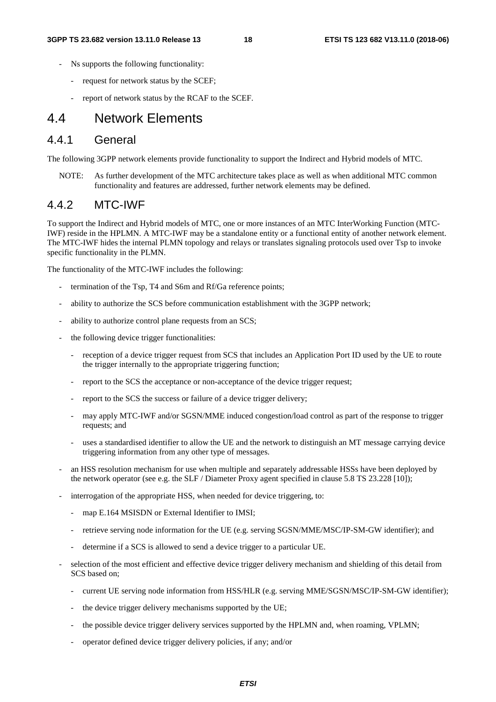- Ns supports the following functionality:
	- request for network status by the SCEF;
	- report of network status by the RCAF to the SCEF.

# 4.4 Network Elements

#### 4.4.1 General

The following 3GPP network elements provide functionality to support the Indirect and Hybrid models of MTC.

NOTE: As further development of the MTC architecture takes place as well as when additional MTC common functionality and features are addressed, further network elements may be defined.

#### 4.4.2 MTC-IWF

To support the Indirect and Hybrid models of MTC, one or more instances of an MTC InterWorking Function (MTC-IWF) reside in the HPLMN. A MTC-IWF may be a standalone entity or a functional entity of another network element. The MTC-IWF hides the internal PLMN topology and relays or translates signaling protocols used over Tsp to invoke specific functionality in the PLMN.

The functionality of the MTC-IWF includes the following:

- termination of the Tsp, T4 and S6m and Rf/Ga reference points;
- ability to authorize the SCS before communication establishment with the 3GPP network;
- ability to authorize control plane requests from an SCS;
- the following device trigger functionalities:
	- reception of a device trigger request from SCS that includes an Application Port ID used by the UE to route the trigger internally to the appropriate triggering function;
	- report to the SCS the acceptance or non-acceptance of the device trigger request;
	- report to the SCS the success or failure of a device trigger delivery;
	- may apply MTC-IWF and/or SGSN/MME induced congestion/load control as part of the response to trigger requests; and
	- uses a standardised identifier to allow the UE and the network to distinguish an MT message carrying device triggering information from any other type of messages.
- an HSS resolution mechanism for use when multiple and separately addressable HSSs have been deployed by the network operator (see e.g. the SLF / Diameter Proxy agent specified in clause 5.8 TS 23.228 [10]);
- interrogation of the appropriate HSS, when needed for device triggering, to:
	- map E.164 MSISDN or External Identifier to IMSI;
	- retrieve serving node information for the UE (e.g. serving SGSN/MME/MSC/IP-SM-GW identifier); and
	- determine if a SCS is allowed to send a device trigger to a particular UE.
- selection of the most efficient and effective device trigger delivery mechanism and shielding of this detail from SCS based on;
	- current UE serving node information from HSS/HLR (e.g. serving MME/SGSN/MSC/IP-SM-GW identifier);
	- the device trigger delivery mechanisms supported by the UE;
	- the possible device trigger delivery services supported by the HPLMN and, when roaming, VPLMN;
	- operator defined device trigger delivery policies, if any; and/or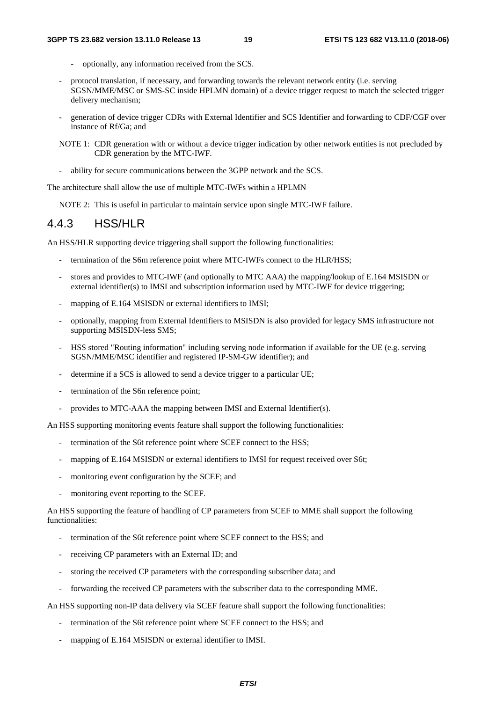- optionally, any information received from the SCS.
- protocol translation, if necessary, and forwarding towards the relevant network entity (i.e. serving SGSN/MME/MSC or SMS-SC inside HPLMN domain) of a device trigger request to match the selected trigger delivery mechanism;
- generation of device trigger CDRs with External Identifier and SCS Identifier and forwarding to CDF/CGF over instance of Rf/Ga; and
- NOTE 1: CDR generation with or without a device trigger indication by other network entities is not precluded by CDR generation by the MTC-IWF.
- ability for secure communications between the 3GPP network and the SCS.

The architecture shall allow the use of multiple MTC-IWFs within a HPLMN

NOTE 2: This is useful in particular to maintain service upon single MTC-IWF failure.

#### 4.4.3 HSS/HLR

An HSS/HLR supporting device triggering shall support the following functionalities:

- termination of the S6m reference point where MTC-IWFs connect to the HLR/HSS;
- stores and provides to MTC-IWF (and optionally to MTC AAA) the mapping/lookup of E.164 MSISDN or external identifier(s) to IMSI and subscription information used by MTC-IWF for device triggering;
- mapping of E.164 MSISDN or external identifiers to IMSI;
- optionally, mapping from External Identifiers to MSISDN is also provided for legacy SMS infrastructure not supporting MSISDN-less SMS;
- HSS stored "Routing information" including serving node information if available for the UE (e.g. serving SGSN/MME/MSC identifier and registered IP-SM-GW identifier); and
- determine if a SCS is allowed to send a device trigger to a particular UE;
- termination of the S6n reference point;
- provides to MTC-AAA the mapping between IMSI and External Identifier(s).

An HSS supporting monitoring events feature shall support the following functionalities:

- termination of the S6t reference point where SCEF connect to the HSS;
- mapping of E.164 MSISDN or external identifiers to IMSI for request received over S6t;
- monitoring event configuration by the SCEF; and
- monitoring event reporting to the SCEF.

An HSS supporting the feature of handling of CP parameters from SCEF to MME shall support the following functionalities:

- termination of the S6t reference point where SCEF connect to the HSS; and
- receiving CP parameters with an External ID; and
- storing the received CP parameters with the corresponding subscriber data; and
- forwarding the received CP parameters with the subscriber data to the corresponding MME.

An HSS supporting non-IP data delivery via SCEF feature shall support the following functionalities:

- termination of the S6t reference point where SCEF connect to the HSS; and
- mapping of E.164 MSISDN or external identifier to IMSI.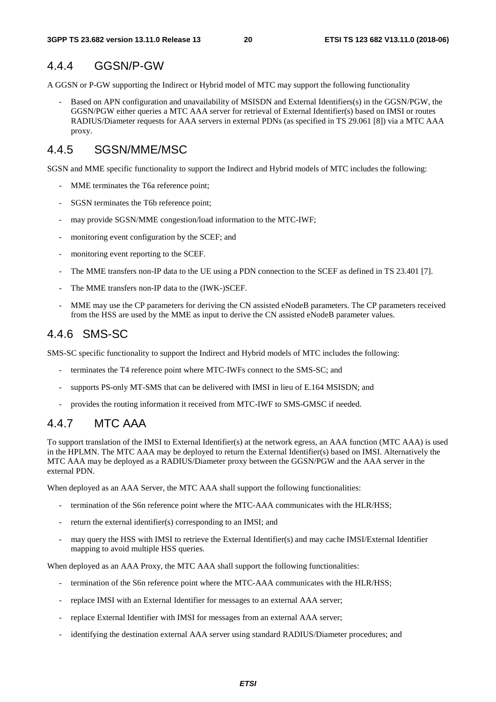# 4.4.4 GGSN/P-GW

A GGSN or P-GW supporting the Indirect or Hybrid model of MTC may support the following functionality

Based on APN configuration and unavailability of MSISDN and External Identifiers(s) in the GGSN/PGW, the GGSN/PGW either queries a MTC AAA server for retrieval of External Identifier(s) based on IMSI or routes RADIUS/Diameter requests for AAA servers in external PDNs (as specified in TS 29.061 [8]) via a MTC AAA proxy.

# 4.4.5 SGSN/MME/MSC

SGSN and MME specific functionality to support the Indirect and Hybrid models of MTC includes the following:

- MME terminates the T6a reference point;
- SGSN terminates the T6b reference point;
- may provide SGSN/MME congestion/load information to the MTC-IWF;
- monitoring event configuration by the SCEF; and
- monitoring event reporting to the SCEF.
- The MME transfers non-IP data to the UE using a PDN connection to the SCEF as defined in TS 23.401 [7].
- The MME transfers non-IP data to the (IWK-)SCEF.
- MME may use the CP parameters for deriving the CN assisted eNodeB parameters. The CP parameters received from the HSS are used by the MME as input to derive the CN assisted eNodeB parameter values.

# 4.4.6 SMS-SC

SMS-SC specific functionality to support the Indirect and Hybrid models of MTC includes the following:

- terminates the T4 reference point where MTC-IWFs connect to the SMS-SC; and
- supports PS-only MT-SMS that can be delivered with IMSI in lieu of E.164 MSISDN; and
- provides the routing information it received from MTC-IWF to SMS-GMSC if needed.

# 4.4.7 MTC AAA

To support translation of the IMSI to External Identifier(s) at the network egress, an AAA function (MTC AAA) is used in the HPLMN. The MTC AAA may be deployed to return the External Identifier(s) based on IMSI. Alternatively the MTC AAA may be deployed as a RADIUS/Diameter proxy between the GGSN/PGW and the AAA server in the external PDN.

When deployed as an AAA Server, the MTC AAA shall support the following functionalities:

- termination of the S6n reference point where the MTC-AAA communicates with the HLR/HSS;
- return the external identifier(s) corresponding to an IMSI; and
- may query the HSS with IMSI to retrieve the External Identifier(s) and may cache IMSI/External Identifier mapping to avoid multiple HSS queries.

When deployed as an AAA Proxy, the MTC AAA shall support the following functionalities:

- termination of the S6n reference point where the MTC-AAA communicates with the HLR/HSS;
- replace IMSI with an External Identifier for messages to an external AAA server;
- replace External Identifier with IMSI for messages from an external AAA server;
- identifying the destination external AAA server using standard RADIUS/Diameter procedures; and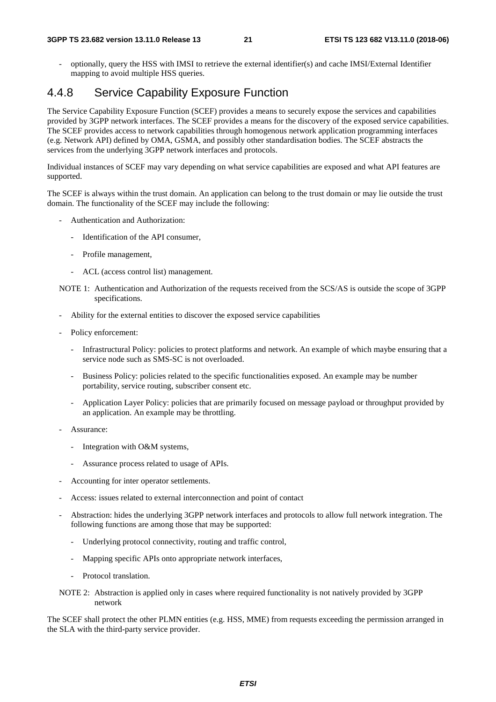- optionally, query the HSS with IMSI to retrieve the external identifier(s) and cache IMSI/External Identifier mapping to avoid multiple HSS queries.

### 4.4.8 Service Capability Exposure Function

The Service Capability Exposure Function (SCEF) provides a means to securely expose the services and capabilities provided by 3GPP network interfaces. The SCEF provides a means for the discovery of the exposed service capabilities. The SCEF provides access to network capabilities through homogenous network application programming interfaces (e.g. Network API) defined by OMA, GSMA, and possibly other standardisation bodies. The SCEF abstracts the services from the underlying 3GPP network interfaces and protocols.

Individual instances of SCEF may vary depending on what service capabilities are exposed and what API features are supported.

The SCEF is always within the trust domain. An application can belong to the trust domain or may lie outside the trust domain. The functionality of the SCEF may include the following:

- Authentication and Authorization:
	- Identification of the API consumer,
	- Profile management,
	- ACL (access control list) management.
- NOTE 1: Authentication and Authorization of the requests received from the SCS/AS is outside the scope of 3GPP specifications.
- Ability for the external entities to discover the exposed service capabilities
- Policy enforcement:
	- Infrastructural Policy: policies to protect platforms and network. An example of which maybe ensuring that a service node such as SMS-SC is not overloaded.
	- Business Policy: policies related to the specific functionalities exposed. An example may be number portability, service routing, subscriber consent etc.
	- Application Layer Policy: policies that are primarily focused on message payload or throughput provided by an application. An example may be throttling.
- Assurance:
	- Integration with O&M systems,
	- Assurance process related to usage of APIs.
- Accounting for inter operator settlements.
- Access: issues related to external interconnection and point of contact
- Abstraction: hides the underlying 3GPP network interfaces and protocols to allow full network integration. The following functions are among those that may be supported:
	- Underlying protocol connectivity, routing and traffic control,
	- Mapping specific APIs onto appropriate network interfaces,
	- Protocol translation.
- NOTE 2: Abstraction is applied only in cases where required functionality is not natively provided by 3GPP network

The SCEF shall protect the other PLMN entities (e.g. HSS, MME) from requests exceeding the permission arranged in the SLA with the third-party service provider.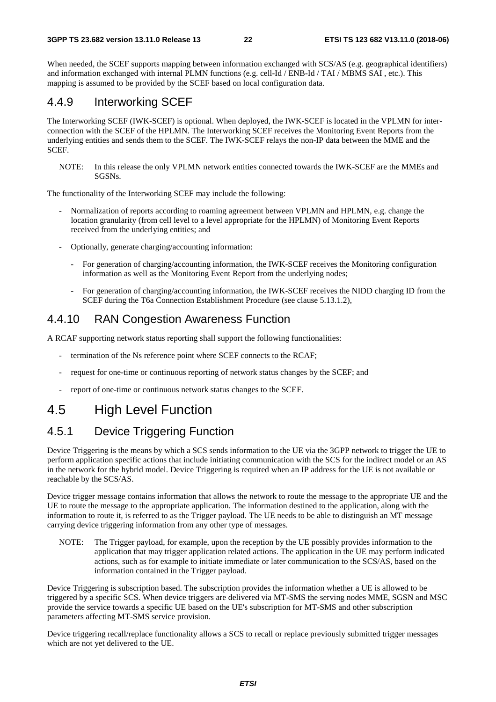When needed, the SCEF supports mapping between information exchanged with SCS/AS (e.g. geographical identifiers) and information exchanged with internal PLMN functions (e.g. cell-Id / ENB-Id / TAI / MBMS SAI , etc.). This mapping is assumed to be provided by the SCEF based on local configuration data.

#### 4.4.9 Interworking SCEF

The Interworking SCEF (IWK-SCEF) is optional. When deployed, the IWK-SCEF is located in the VPLMN for interconnection with the SCEF of the HPLMN. The Interworking SCEF receives the Monitoring Event Reports from the underlying entities and sends them to the SCEF. The IWK-SCEF relays the non-IP data between the MME and the SCEF.

NOTE: In this release the only VPLMN network entities connected towards the IWK-SCEF are the MMEs and SGSNs.

The functionality of the Interworking SCEF may include the following:

- Normalization of reports according to roaming agreement between VPLMN and HPLMN, e.g. change the location granularity (from cell level to a level appropriate for the HPLMN) of Monitoring Event Reports received from the underlying entities; and
- Optionally, generate charging/accounting information:
	- For generation of charging/accounting information, the IWK-SCEF receives the Monitoring configuration information as well as the Monitoring Event Report from the underlying nodes;
	- For generation of charging/accounting information, the IWK-SCEF receives the NIDD charging ID from the SCEF during the T6a Connection Establishment Procedure (see clause 5.13.1.2),

### 4.4.10 RAN Congestion Awareness Function

A RCAF supporting network status reporting shall support the following functionalities:

- termination of the Ns reference point where SCEF connects to the RCAF;
- request for one-time or continuous reporting of network status changes by the SCEF; and
- report of one-time or continuous network status changes to the SCEF.

# 4.5 High Level Function

# 4.5.1 Device Triggering Function

Device Triggering is the means by which a SCS sends information to the UE via the 3GPP network to trigger the UE to perform application specific actions that include initiating communication with the SCS for the indirect model or an AS in the network for the hybrid model. Device Triggering is required when an IP address for the UE is not available or reachable by the SCS/AS.

Device trigger message contains information that allows the network to route the message to the appropriate UE and the UE to route the message to the appropriate application. The information destined to the application, along with the information to route it, is referred to as the Trigger payload. The UE needs to be able to distinguish an MT message carrying device triggering information from any other type of messages.

NOTE: The Trigger payload, for example, upon the reception by the UE possibly provides information to the application that may trigger application related actions. The application in the UE may perform indicated actions, such as for example to initiate immediate or later communication to the SCS/AS, based on the information contained in the Trigger payload.

Device Triggering is subscription based. The subscription provides the information whether a UE is allowed to be triggered by a specific SCS. When device triggers are delivered via MT-SMS the serving nodes MME, SGSN and MSC provide the service towards a specific UE based on the UE's subscription for MT-SMS and other subscription parameters affecting MT-SMS service provision.

Device triggering recall/replace functionality allows a SCS to recall or replace previously submitted trigger messages which are not yet delivered to the UE.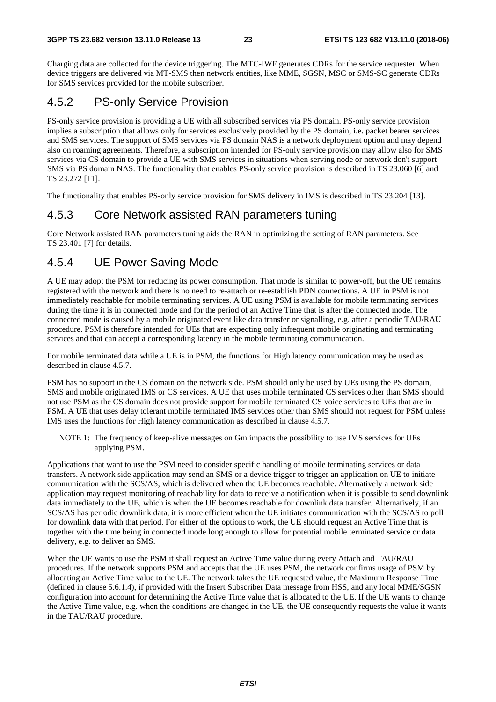Charging data are collected for the device triggering. The MTC-IWF generates CDRs for the service requester. When device triggers are delivered via MT-SMS then network entities, like MME, SGSN, MSC or SMS-SC generate CDRs for SMS services provided for the mobile subscriber.

### 4.5.2 PS-only Service Provision

PS-only service provision is providing a UE with all subscribed services via PS domain. PS-only service provision implies a subscription that allows only for services exclusively provided by the PS domain, i.e. packet bearer services and SMS services. The support of SMS services via PS domain NAS is a network deployment option and may depend also on roaming agreements. Therefore, a subscription intended for PS-only service provision may allow also for SMS services via CS domain to provide a UE with SMS services in situations when serving node or network don't support SMS via PS domain NAS. The functionality that enables PS-only service provision is described in TS 23.060 [6] and TS 23.272 [11].

The functionality that enables PS-only service provision for SMS delivery in IMS is described in TS 23.204 [13].

### 4.5.3 Core Network assisted RAN parameters tuning

Core Network assisted RAN parameters tuning aids the RAN in optimizing the setting of RAN parameters. See TS 23.401 [7] for details.

### 4.5.4 UE Power Saving Mode

A UE may adopt the PSM for reducing its power consumption. That mode is similar to power-off, but the UE remains registered with the network and there is no need to re-attach or re-establish PDN connections. A UE in PSM is not immediately reachable for mobile terminating services. A UE using PSM is available for mobile terminating services during the time it is in connected mode and for the period of an Active Time that is after the connected mode. The connected mode is caused by a mobile originated event like data transfer or signalling, e.g. after a periodic TAU/RAU procedure. PSM is therefore intended for UEs that are expecting only infrequent mobile originating and terminating services and that can accept a corresponding latency in the mobile terminating communication.

For mobile terminated data while a UE is in PSM, the functions for High latency communication may be used as described in clause 4.5.7.

PSM has no support in the CS domain on the network side. PSM should only be used by UEs using the PS domain, SMS and mobile originated IMS or CS services. A UE that uses mobile terminated CS services other than SMS should not use PSM as the CS domain does not provide support for mobile terminated CS voice services to UEs that are in PSM. A UE that uses delay tolerant mobile terminated IMS services other than SMS should not request for PSM unless IMS uses the functions for High latency communication as described in clause 4.5.7.

NOTE 1: The frequency of keep-alive messages on Gm impacts the possibility to use IMS services for UEs applying PSM.

Applications that want to use the PSM need to consider specific handling of mobile terminating services or data transfers. A network side application may send an SMS or a device trigger to trigger an application on UE to initiate communication with the SCS/AS, which is delivered when the UE becomes reachable. Alternatively a network side application may request monitoring of reachability for data to receive a notification when it is possible to send downlink data immediately to the UE, which is when the UE becomes reachable for downlink data transfer. Alternatively, if an SCS/AS has periodic downlink data, it is more efficient when the UE initiates communication with the SCS/AS to poll for downlink data with that period. For either of the options to work, the UE should request an Active Time that is together with the time being in connected mode long enough to allow for potential mobile terminated service or data delivery, e.g. to deliver an SMS.

When the UE wants to use the PSM it shall request an Active Time value during every Attach and TAU/RAU procedures. If the network supports PSM and accepts that the UE uses PSM, the network confirms usage of PSM by allocating an Active Time value to the UE. The network takes the UE requested value, the Maximum Response Time (defined in clause 5.6.1.4), if provided with the Insert Subscriber Data message from HSS, and any local MME/SGSN configuration into account for determining the Active Time value that is allocated to the UE. If the UE wants to change the Active Time value, e.g. when the conditions are changed in the UE, the UE consequently requests the value it wants in the TAU/RAU procedure.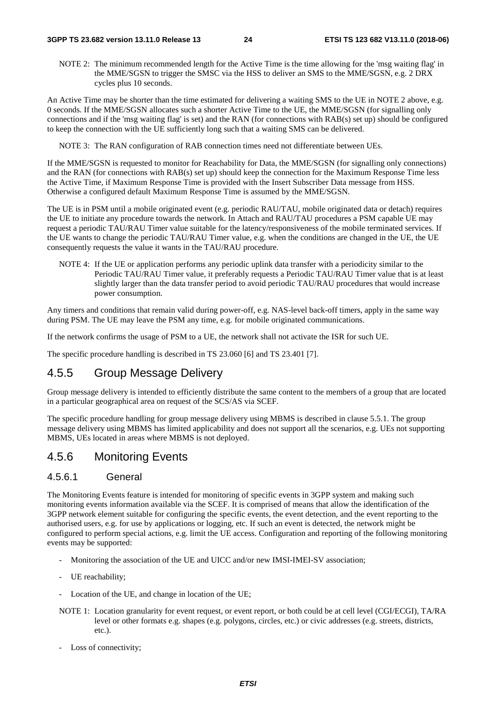NOTE 2: The minimum recommended length for the Active Time is the time allowing for the 'msg waiting flag' in the MME/SGSN to trigger the SMSC via the HSS to deliver an SMS to the MME/SGSN, e.g. 2 DRX cycles plus 10 seconds.

An Active Time may be shorter than the time estimated for delivering a waiting SMS to the UE in NOTE 2 above, e.g. 0 seconds. If the MME/SGSN allocates such a shorter Active Time to the UE, the MME/SGSN (for signalling only connections and if the 'msg waiting flag' is set) and the RAN (for connections with RAB(s) set up) should be configured to keep the connection with the UE sufficiently long such that a waiting SMS can be delivered.

NOTE 3: The RAN configuration of RAB connection times need not differentiate between UEs.

If the MME/SGSN is requested to monitor for Reachability for Data, the MME/SGSN (for signalling only connections) and the RAN (for connections with RAB(s) set up) should keep the connection for the Maximum Response Time less the Active Time, if Maximum Response Time is provided with the Insert Subscriber Data message from HSS. Otherwise a configured default Maximum Response Time is assumed by the MME/SGSN.

The UE is in PSM until a mobile originated event (e.g. periodic RAU/TAU, mobile originated data or detach) requires the UE to initiate any procedure towards the network. In Attach and RAU/TAU procedures a PSM capable UE may request a periodic TAU/RAU Timer value suitable for the latency/responsiveness of the mobile terminated services. If the UE wants to change the periodic TAU/RAU Timer value, e.g. when the conditions are changed in the UE, the UE consequently requests the value it wants in the TAU/RAU procedure.

NOTE 4: If the UE or application performs any periodic uplink data transfer with a periodicity similar to the Periodic TAU/RAU Timer value, it preferably requests a Periodic TAU/RAU Timer value that is at least slightly larger than the data transfer period to avoid periodic TAU/RAU procedures that would increase power consumption.

Any timers and conditions that remain valid during power-off, e.g. NAS-level back-off timers, apply in the same way during PSM. The UE may leave the PSM any time, e.g. for mobile originated communications.

If the network confirms the usage of PSM to a UE, the network shall not activate the ISR for such UE.

The specific procedure handling is described in TS 23.060 [6] and TS 23.401 [7].

# 4.5.5 Group Message Delivery

Group message delivery is intended to efficiently distribute the same content to the members of a group that are located in a particular geographical area on request of the SCS/AS via SCEF.

The specific procedure handling for group message delivery using MBMS is described in clause 5.5.1. The group message delivery using MBMS has limited applicability and does not support all the scenarios, e.g. UEs not supporting MBMS, UEs located in areas where MBMS is not deployed.

#### 4.5.6 Monitoring Events

#### 4.5.6.1 General

The Monitoring Events feature is intended for monitoring of specific events in 3GPP system and making such monitoring events information available via the SCEF. It is comprised of means that allow the identification of the 3GPP network element suitable for configuring the specific events, the event detection, and the event reporting to the authorised users, e.g. for use by applications or logging, etc. If such an event is detected, the network might be configured to perform special actions, e.g. limit the UE access. Configuration and reporting of the following monitoring events may be supported:

- Monitoring the association of the UE and UICC and/or new IMSI-IMEI-SV association;
- UE reachability;
- Location of the UE, and change in location of the UE;
- NOTE 1: Location granularity for event request, or event report, or both could be at cell level (CGI/ECGI), TA/RA level or other formats e.g. shapes (e.g. polygons, circles, etc.) or civic addresses (e.g. streets, districts, etc.).
- Loss of connectivity;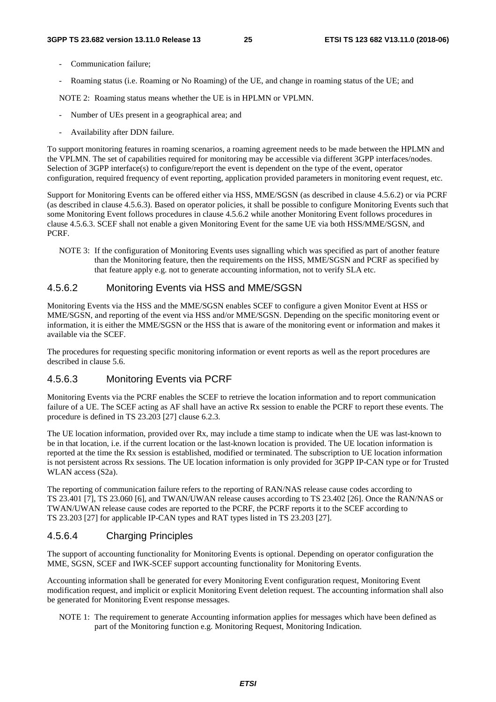- Communication failure:
- Roaming status (i.e. Roaming or No Roaming) of the UE, and change in roaming status of the UE; and

NOTE 2: Roaming status means whether the UE is in HPLMN or VPLMN.

- Number of UEs present in a geographical area; and
- Availability after DDN failure.

To support monitoring features in roaming scenarios, a roaming agreement needs to be made between the HPLMN and the VPLMN. The set of capabilities required for monitoring may be accessible via different 3GPP interfaces/nodes. Selection of 3GPP interface(s) to configure/report the event is dependent on the type of the event, operator configuration, required frequency of event reporting, application provided parameters in monitoring event request, etc.

Support for Monitoring Events can be offered either via HSS, MME/SGSN (as described in clause 4.5.6.2) or via PCRF (as described in clause 4.5.6.3). Based on operator policies, it shall be possible to configure Monitoring Events such that some Monitoring Event follows procedures in clause 4.5.6.2 while another Monitoring Event follows procedures in clause 4.5.6.3. SCEF shall not enable a given Monitoring Event for the same UE via both HSS/MME/SGSN, and PCRF.

NOTE 3: If the configuration of Monitoring Events uses signalling which was specified as part of another feature than the Monitoring feature, then the requirements on the HSS, MME/SGSN and PCRF as specified by that feature apply e.g. not to generate accounting information, not to verify SLA etc.

#### 4.5.6.2 Monitoring Events via HSS and MME/SGSN

Monitoring Events via the HSS and the MME/SGSN enables SCEF to configure a given Monitor Event at HSS or MME/SGSN, and reporting of the event via HSS and/or MME/SGSN. Depending on the specific monitoring event or information, it is either the MME/SGSN or the HSS that is aware of the monitoring event or information and makes it available via the SCEF.

The procedures for requesting specific monitoring information or event reports as well as the report procedures are described in clause 5.6.

#### 4.5.6.3 Monitoring Events via PCRF

Monitoring Events via the PCRF enables the SCEF to retrieve the location information and to report communication failure of a UE. The SCEF acting as AF shall have an active Rx session to enable the PCRF to report these events. The procedure is defined in TS 23.203 [27] clause 6.2.3.

The UE location information, provided over Rx, may include a time stamp to indicate when the UE was last-known to be in that location, i.e. if the current location or the last-known location is provided. The UE location information is reported at the time the Rx session is established, modified or terminated. The subscription to UE location information is not persistent across Rx sessions. The UE location information is only provided for 3GPP IP-CAN type or for Trusted WLAN access (S2a).

The reporting of communication failure refers to the reporting of RAN/NAS release cause codes according to TS 23.401 [7], TS 23.060 [6], and TWAN/UWAN release causes according to TS 23.402 [26]. Once the RAN/NAS or TWAN/UWAN release cause codes are reported to the PCRF, the PCRF reports it to the SCEF according to TS 23.203 [27] for applicable IP-CAN types and RAT types listed in TS 23.203 [27].

#### 4.5.6.4 Charging Principles

The support of accounting functionality for Monitoring Events is optional. Depending on operator configuration the MME, SGSN, SCEF and IWK-SCEF support accounting functionality for Monitoring Events.

Accounting information shall be generated for every Monitoring Event configuration request, Monitoring Event modification request, and implicit or explicit Monitoring Event deletion request. The accounting information shall also be generated for Monitoring Event response messages.

NOTE 1: The requirement to generate Accounting information applies for messages which have been defined as part of the Monitoring function e.g. Monitoring Request, Monitoring Indication.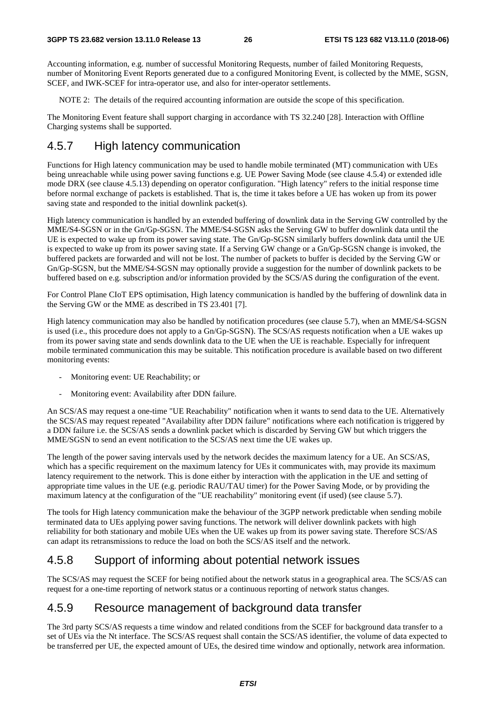Accounting information, e.g. number of successful Monitoring Requests, number of failed Monitoring Requests, number of Monitoring Event Reports generated due to a configured Monitoring Event, is collected by the MME, SGSN, SCEF, and IWK-SCEF for intra-operator use, and also for inter-operator settlements.

NOTE 2: The details of the required accounting information are outside the scope of this specification.

The Monitoring Event feature shall support charging in accordance with TS 32.240 [28]. Interaction with Offline Charging systems shall be supported.

### 4.5.7 High latency communication

Functions for High latency communication may be used to handle mobile terminated (MT) communication with UEs being unreachable while using power saving functions e.g. UE Power Saving Mode (see clause 4.5.4) or extended idle mode DRX (see clause 4.5.13) depending on operator configuration. "High latency" refers to the initial response time before normal exchange of packets is established. That is, the time it takes before a UE has woken up from its power saving state and responded to the initial downlink packet(s).

High latency communication is handled by an extended buffering of downlink data in the Serving GW controlled by the MME/S4-SGSN or in the Gn/Gp-SGSN. The MME/S4-SGSN asks the Serving GW to buffer downlink data until the UE is expected to wake up from its power saving state. The Gn/Gp-SGSN similarly buffers downlink data until the UE is expected to wake up from its power saving state. If a Serving GW change or a Gn/Gp-SGSN change is invoked, the buffered packets are forwarded and will not be lost. The number of packets to buffer is decided by the Serving GW or Gn/Gp-SGSN, but the MME/S4-SGSN may optionally provide a suggestion for the number of downlink packets to be buffered based on e.g. subscription and/or information provided by the SCS/AS during the configuration of the event.

For Control Plane CIoT EPS optimisation, High latency communication is handled by the buffering of downlink data in the Serving GW or the MME as described in TS 23.401 [7].

High latency communication may also be handled by notification procedures (see clause 5.7), when an MME/S4-SGSN is used (i.e., this procedure does not apply to a Gn/Gp-SGSN). The SCS/AS requests notification when a UE wakes up from its power saving state and sends downlink data to the UE when the UE is reachable. Especially for infrequent mobile terminated communication this may be suitable. This notification procedure is available based on two different monitoring events:

- Monitoring event: UE Reachability; or
- Monitoring event: Availability after DDN failure.

An SCS/AS may request a one-time "UE Reachability" notification when it wants to send data to the UE. Alternatively the SCS/AS may request repeated "Availability after DDN failure" notifications where each notification is triggered by a DDN failure i.e. the SCS/AS sends a downlink packet which is discarded by Serving GW but which triggers the MME/SGSN to send an event notification to the SCS/AS next time the UE wakes up.

The length of the power saving intervals used by the network decides the maximum latency for a UE. An SCS/AS, which has a specific requirement on the maximum latency for UEs it communicates with, may provide its maximum latency requirement to the network. This is done either by interaction with the application in the UE and setting of appropriate time values in the UE (e.g. periodic RAU/TAU timer) for the Power Saving Mode, or by providing the maximum latency at the configuration of the "UE reachability" monitoring event (if used) (see clause 5.7).

The tools for High latency communication make the behaviour of the 3GPP network predictable when sending mobile terminated data to UEs applying power saving functions. The network will deliver downlink packets with high reliability for both stationary and mobile UEs when the UE wakes up from its power saving state. Therefore SCS/AS can adapt its retransmissions to reduce the load on both the SCS/AS itself and the network.

# 4.5.8 Support of informing about potential network issues

The SCS/AS may request the SCEF for being notified about the network status in a geographical area. The SCS/AS can request for a one-time reporting of network status or a continuous reporting of network status changes.

### 4.5.9 Resource management of background data transfer

The 3rd party SCS/AS requests a time window and related conditions from the SCEF for background data transfer to a set of UEs via the Nt interface. The SCS/AS request shall contain the SCS/AS identifier, the volume of data expected to be transferred per UE, the expected amount of UEs, the desired time window and optionally, network area information.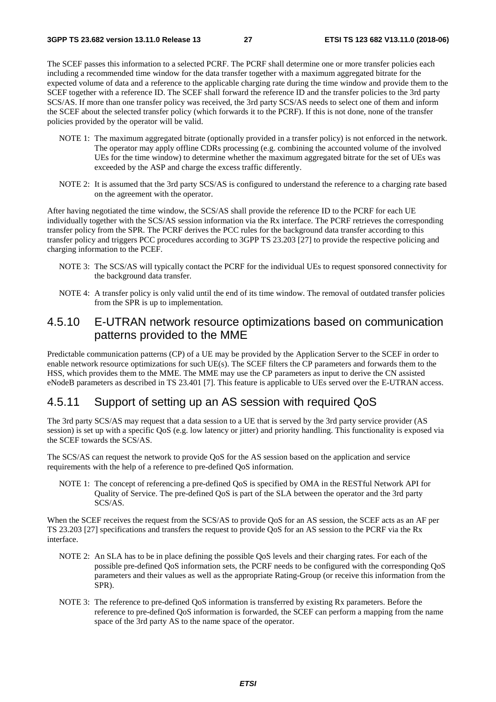The SCEF passes this information to a selected PCRF. The PCRF shall determine one or more transfer policies each including a recommended time window for the data transfer together with a maximum aggregated bitrate for the expected volume of data and a reference to the applicable charging rate during the time window and provide them to the SCEF together with a reference ID. The SCEF shall forward the reference ID and the transfer policies to the 3rd party SCS/AS. If more than one transfer policy was received, the 3rd party SCS/AS needs to select one of them and inform the SCEF about the selected transfer policy (which forwards it to the PCRF). If this is not done, none of the transfer policies provided by the operator will be valid.

- NOTE 1: The maximum aggregated bitrate (optionally provided in a transfer policy) is not enforced in the network. The operator may apply offline CDRs processing (e.g. combining the accounted volume of the involved UEs for the time window) to determine whether the maximum aggregated bitrate for the set of UEs was exceeded by the ASP and charge the excess traffic differently.
- NOTE 2: It is assumed that the 3rd party SCS/AS is configured to understand the reference to a charging rate based on the agreement with the operator.

After having negotiated the time window, the SCS/AS shall provide the reference ID to the PCRF for each UE individually together with the SCS/AS session information via the Rx interface. The PCRF retrieves the corresponding transfer policy from the SPR. The PCRF derives the PCC rules for the background data transfer according to this transfer policy and triggers PCC procedures according to 3GPP TS 23.203 [27] to provide the respective policing and charging information to the PCEF.

- NOTE 3: The SCS/AS will typically contact the PCRF for the individual UEs to request sponsored connectivity for the background data transfer.
- NOTE 4: A transfer policy is only valid until the end of its time window. The removal of outdated transfer policies from the SPR is up to implementation.

# 4.5.10 E-UTRAN network resource optimizations based on communication patterns provided to the MME

Predictable communication patterns (CP) of a UE may be provided by the Application Server to the SCEF in order to enable network resource optimizations for such UE(s). The SCEF filters the CP parameters and forwards them to the HSS, which provides them to the MME. The MME may use the CP parameters as input to derive the CN assisted eNodeB parameters as described in TS 23.401 [7]. This feature is applicable to UEs served over the E-UTRAN access.

# 4.5.11 Support of setting up an AS session with required QoS

The 3rd party SCS/AS may request that a data session to a UE that is served by the 3rd party service provider (AS session) is set up with a specific QoS (e.g. low latency or jitter) and priority handling. This functionality is exposed via the SCEF towards the SCS/AS.

The SCS/AS can request the network to provide QoS for the AS session based on the application and service requirements with the help of a reference to pre-defined QoS information.

NOTE 1: The concept of referencing a pre-defined QoS is specified by OMA in the RESTful Network API for Quality of Service. The pre-defined QoS is part of the SLA between the operator and the 3rd party SCS/AS.

When the SCEF receives the request from the SCS/AS to provide QoS for an AS session, the SCEF acts as an AF per TS 23.203 [27] specifications and transfers the request to provide QoS for an AS session to the PCRF via the Rx interface.

- NOTE 2: An SLA has to be in place defining the possible QoS levels and their charging rates. For each of the possible pre-defined QoS information sets, the PCRF needs to be configured with the corresponding QoS parameters and their values as well as the appropriate Rating-Group (or receive this information from the SPR).
- NOTE 3: The reference to pre-defined QoS information is transferred by existing Rx parameters. Before the reference to pre-defined QoS information is forwarded, the SCEF can perform a mapping from the name space of the 3rd party AS to the name space of the operator.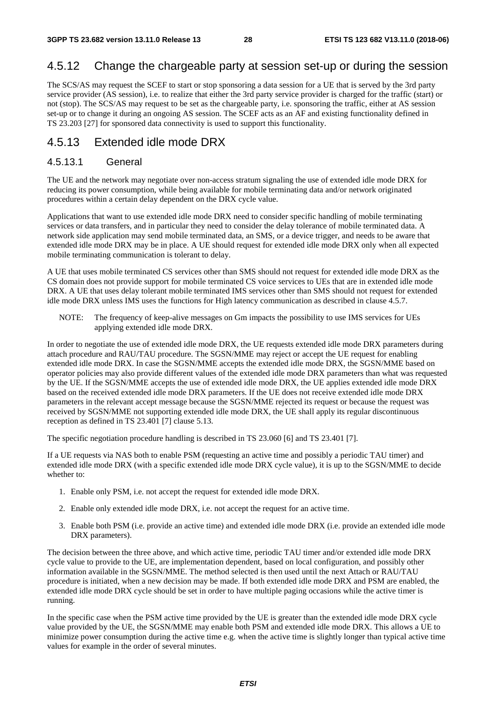### 4.5.12 Change the chargeable party at session set-up or during the session

The SCS/AS may request the SCEF to start or stop sponsoring a data session for a UE that is served by the 3rd party service provider (AS session), i.e. to realize that either the 3rd party service provider is charged for the traffic (start) or not (stop). The SCS/AS may request to be set as the chargeable party, i.e. sponsoring the traffic, either at AS session set-up or to change it during an ongoing AS session. The SCEF acts as an AF and existing functionality defined in TS 23.203 [27] for sponsored data connectivity is used to support this functionality.

### 4.5.13 Extended idle mode DRX

#### 4.5.13.1 General

The UE and the network may negotiate over non-access stratum signaling the use of extended idle mode DRX for reducing its power consumption, while being available for mobile terminating data and/or network originated procedures within a certain delay dependent on the DRX cycle value.

Applications that want to use extended idle mode DRX need to consider specific handling of mobile terminating services or data transfers, and in particular they need to consider the delay tolerance of mobile terminated data. A network side application may send mobile terminated data, an SMS, or a device trigger, and needs to be aware that extended idle mode DRX may be in place. A UE should request for extended idle mode DRX only when all expected mobile terminating communication is tolerant to delay.

A UE that uses mobile terminated CS services other than SMS should not request for extended idle mode DRX as the CS domain does not provide support for mobile terminated CS voice services to UEs that are in extended idle mode DRX. A UE that uses delay tolerant mobile terminated IMS services other than SMS should not request for extended idle mode DRX unless IMS uses the functions for High latency communication as described in clause 4.5.7.

NOTE: The frequency of keep-alive messages on Gm impacts the possibility to use IMS services for UEs applying extended idle mode DRX.

In order to negotiate the use of extended idle mode DRX, the UE requests extended idle mode DRX parameters during attach procedure and RAU/TAU procedure. The SGSN/MME may reject or accept the UE request for enabling extended idle mode DRX. In case the SGSN/MME accepts the extended idle mode DRX, the SGSN/MME based on operator policies may also provide different values of the extended idle mode DRX parameters than what was requested by the UE. If the SGSN/MME accepts the use of extended idle mode DRX, the UE applies extended idle mode DRX based on the received extended idle mode DRX parameters. If the UE does not receive extended idle mode DRX parameters in the relevant accept message because the SGSN/MME rejected its request or because the request was received by SGSN/MME not supporting extended idle mode DRX, the UE shall apply its regular discontinuous reception as defined in TS 23.401 [7] clause 5.13.

The specific negotiation procedure handling is described in TS 23.060 [6] and TS 23.401 [7].

If a UE requests via NAS both to enable PSM (requesting an active time and possibly a periodic TAU timer) and extended idle mode DRX (with a specific extended idle mode DRX cycle value), it is up to the SGSN/MME to decide whether to:

- 1. Enable only PSM, i.e. not accept the request for extended idle mode DRX.
- 2. Enable only extended idle mode DRX, i.e. not accept the request for an active time.
- 3. Enable both PSM (i.e. provide an active time) and extended idle mode DRX (i.e. provide an extended idle mode DRX parameters).

The decision between the three above, and which active time, periodic TAU timer and/or extended idle mode DRX cycle value to provide to the UE, are implementation dependent, based on local configuration, and possibly other information available in the SGSN/MME. The method selected is then used until the next Attach or RAU/TAU procedure is initiated, when a new decision may be made. If both extended idle mode DRX and PSM are enabled, the extended idle mode DRX cycle should be set in order to have multiple paging occasions while the active timer is running.

In the specific case when the PSM active time provided by the UE is greater than the extended idle mode DRX cycle value provided by the UE, the SGSN/MME may enable both PSM and extended idle mode DRX. This allows a UE to minimize power consumption during the active time e.g. when the active time is slightly longer than typical active time values for example in the order of several minutes.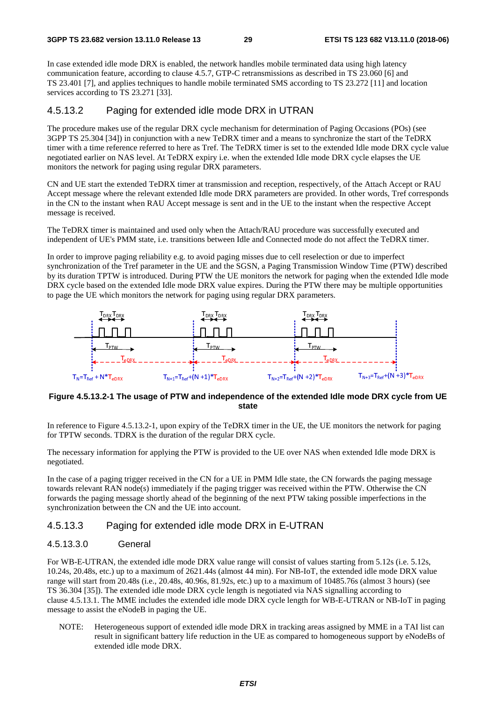In case extended idle mode DRX is enabled, the network handles mobile terminated data using high latency communication feature, according to clause 4.5.7, GTP-C retransmissions as described in TS 23.060 [6] and TS 23.401 [7], and applies techniques to handle mobile terminated SMS according to TS 23.272 [11] and location services according to TS 23.271 [33].

#### 4.5.13.2 Paging for extended idle mode DRX in UTRAN

The procedure makes use of the regular DRX cycle mechanism for determination of Paging Occasions (POs) (see 3GPP TS 25.304 [34]) in conjunction with a new TeDRX timer and a means to synchronize the start of the TeDRX timer with a time reference referred to here as Tref. The TeDRX timer is set to the extended Idle mode DRX cycle value negotiated earlier on NAS level. At TeDRX expiry i.e. when the extended Idle mode DRX cycle elapses the UE monitors the network for paging using regular DRX parameters.

CN and UE start the extended TeDRX timer at transmission and reception, respectively, of the Attach Accept or RAU Accept message where the relevant extended Idle mode DRX parameters are provided. In other words, Tref corresponds in the CN to the instant when RAU Accept message is sent and in the UE to the instant when the respective Accept message is received.

The TeDRX timer is maintained and used only when the Attach/RAU procedure was successfully executed and independent of UE's PMM state, i.e. transitions between Idle and Connected mode do not affect the TeDRX timer.

In order to improve paging reliability e.g. to avoid paging misses due to cell reselection or due to imperfect synchronization of the Tref parameter in the UE and the SGSN, a Paging Transmission Window Time (PTW) described by its duration TPTW is introduced. During PTW the UE monitors the network for paging when the extended Idle mode DRX cycle based on the extended Idle mode DRX value expires. During the PTW there may be multiple opportunities to page the UE which monitors the network for paging using regular DRX parameters.



#### **Figure 4.5.13.2-1 The usage of PTW and independence of the extended Idle mode DRX cycle from UE state**

In reference to Figure 4.5.13.2-1, upon expiry of the TeDRX timer in the UE, the UE monitors the network for paging for TPTW seconds. TDRX is the duration of the regular DRX cycle.

The necessary information for applying the PTW is provided to the UE over NAS when extended Idle mode DRX is negotiated.

In the case of a paging trigger received in the CN for a UE in PMM Idle state, the CN forwards the paging message towards relevant RAN node(s) immediately if the paging trigger was received within the PTW. Otherwise the CN forwards the paging message shortly ahead of the beginning of the next PTW taking possible imperfections in the synchronization between the CN and the UE into account.

#### 4.5.13.3 Paging for extended idle mode DRX in E-UTRAN

#### 4.5.13.3.0 General

For WB-E-UTRAN, the extended idle mode DRX value range will consist of values starting from 5.12s (i.e. 5.12s, 10.24s, 20.48s, etc.) up to a maximum of 2621.44s (almost 44 min). For NB-IoT, the extended idle mode DRX value range will start from 20.48s (i.e., 20.48s, 40.96s, 81.92s, etc.) up to a maximum of 10485.76s (almost 3 hours) (see TS 36.304 [35]). The extended idle mode DRX cycle length is negotiated via NAS signalling according to clause 4.5.13.1. The MME includes the extended idle mode DRX cycle length for WB-E-UTRAN or NB-IoT in paging message to assist the eNodeB in paging the UE.

NOTE: Heterogeneous support of extended idle mode DRX in tracking areas assigned by MME in a TAI list can result in significant battery life reduction in the UE as compared to homogeneous support by eNodeBs of extended idle mode DRX.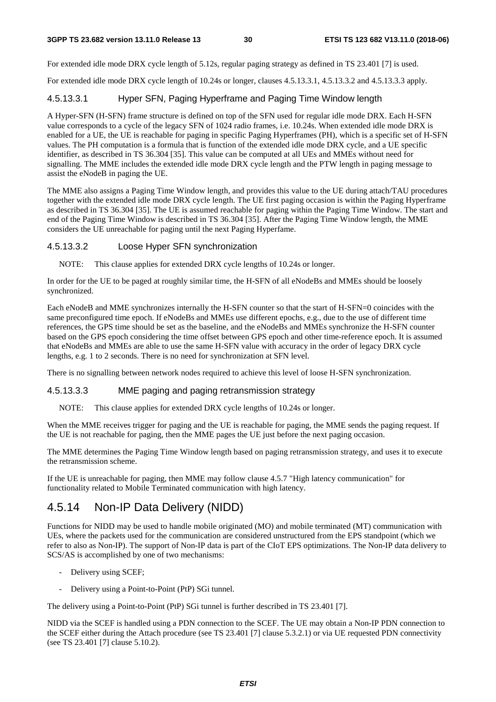For extended idle mode DRX cycle length of 5.12s, regular paging strategy as defined in TS 23.401 [7] is used.

For extended idle mode DRX cycle length of 10.24s or longer, clauses 4.5.13.3.1, 4.5.13.3.2 and 4.5.13.3.3 apply.

#### 4.5.13.3.1 Hyper SFN, Paging Hyperframe and Paging Time Window length

A Hyper-SFN (H-SFN) frame structure is defined on top of the SFN used for regular idle mode DRX. Each H-SFN value corresponds to a cycle of the legacy SFN of 1024 radio frames, i.e. 10.24s. When extended idle mode DRX is enabled for a UE, the UE is reachable for paging in specific Paging Hyperframes (PH), which is a specific set of H-SFN values. The PH computation is a formula that is function of the extended idle mode DRX cycle, and a UE specific identifier, as described in TS 36.304 [35]. This value can be computed at all UEs and MMEs without need for signalling. The MME includes the extended idle mode DRX cycle length and the PTW length in paging message to assist the eNodeB in paging the UE.

The MME also assigns a Paging Time Window length, and provides this value to the UE during attach/TAU procedures together with the extended idle mode DRX cycle length. The UE first paging occasion is within the Paging Hyperframe as described in TS 36.304 [35]. The UE is assumed reachable for paging within the Paging Time Window. The start and end of the Paging Time Window is described in TS 36.304 [35]. After the Paging Time Window length, the MME considers the UE unreachable for paging until the next Paging Hyperfame.

#### 4.5.13.3.2 Loose Hyper SFN synchronization

NOTE: This clause applies for extended DRX cycle lengths of 10.24s or longer.

In order for the UE to be paged at roughly similar time, the H-SFN of all eNodeBs and MMEs should be loosely synchronized.

Each eNodeB and MME synchronizes internally the H-SFN counter so that the start of H-SFN=0 coincides with the same preconfigured time epoch. If eNodeBs and MMEs use different epochs, e.g., due to the use of different time references, the GPS time should be set as the baseline, and the eNodeBs and MMEs synchronize the H-SFN counter based on the GPS epoch considering the time offset between GPS epoch and other time-reference epoch. It is assumed that eNodeBs and MMEs are able to use the same H-SFN value with accuracy in the order of legacy DRX cycle lengths, e.g. 1 to 2 seconds. There is no need for synchronization at SFN level.

There is no signalling between network nodes required to achieve this level of loose H-SFN synchronization.

#### 4.5.13.3.3 MME paging and paging retransmission strategy

NOTE: This clause applies for extended DRX cycle lengths of 10.24s or longer.

When the MME receives trigger for paging and the UE is reachable for paging, the MME sends the paging request. If the UE is not reachable for paging, then the MME pages the UE just before the next paging occasion.

The MME determines the Paging Time Window length based on paging retransmission strategy, and uses it to execute the retransmission scheme.

If the UE is unreachable for paging, then MME may follow clause 4.5.7 "High latency communication" for functionality related to Mobile Terminated communication with high latency.

### 4.5.14 Non-IP Data Delivery (NIDD)

Functions for NIDD may be used to handle mobile originated (MO) and mobile terminated (MT) communication with UEs, where the packets used for the communication are considered unstructured from the EPS standpoint (which we refer to also as Non-IP). The support of Non-IP data is part of the CIoT EPS optimizations. The Non-IP data delivery to SCS/AS is accomplished by one of two mechanisms:

- Delivery using SCEF;
- Delivery using a Point-to-Point (PtP) SGi tunnel.

The delivery using a Point-to-Point (PtP) SGi tunnel is further described in TS 23.401 [7].

NIDD via the SCEF is handled using a PDN connection to the SCEF. The UE may obtain a Non-IP PDN connection to the SCEF either during the Attach procedure (see TS 23.401 [7] clause 5.3.2.1) or via UE requested PDN connectivity (see TS 23.401 [7] clause 5.10.2).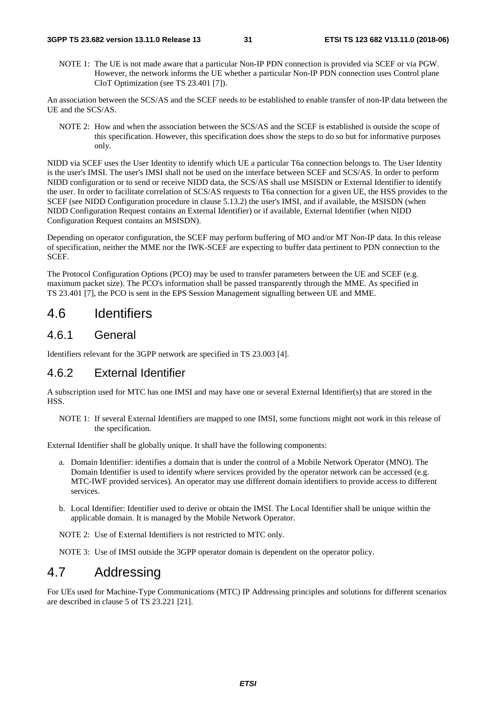NOTE 1: The UE is not made aware that a particular Non-IP PDN connection is provided via SCEF or via PGW. However, the network informs the UE whether a particular Non-IP PDN connection uses Control plane CIoT Optimization (see TS 23.401 [7]).

An association between the SCS/AS and the SCEF needs to be established to enable transfer of non-IP data between the UE and the SCS/AS.

NOTE 2: How and when the association between the SCS/AS and the SCEF is established is outside the scope of this specification. However, this specification does show the steps to do so but for informative purposes only.

NIDD via SCEF uses the User Identity to identify which UE a particular T6a connection belongs to. The User Identity is the user's IMSI. The user's IMSI shall not be used on the interface between SCEF and SCS/AS. In order to perform NIDD configuration or to send or receive NIDD data, the SCS/AS shall use MSISDN or External Identifier to identify the user. In order to facilitate correlation of SCS/AS requests to T6a connection for a given UE, the HSS provides to the SCEF (see NIDD Configuration procedure in clause 5.13.2) the user's IMSI, and if available, the MSISDN (when NIDD Configuration Request contains an External Identifier) or if available, External Identifier (when NIDD Configuration Request contains an MSISDN).

Depending on operator configuration, the SCEF may perform buffering of MO and/or MT Non-IP data. In this release of specification, neither the MME nor the IWK-SCEF are expecting to buffer data pertinent to PDN connection to the SCEF.

The Protocol Configuration Options (PCO) may be used to transfer parameters between the UE and SCEF (e.g. maximum packet size). The PCO's information shall be passed transparently through the MME. As specified in TS 23.401 [7], the PCO is sent in the EPS Session Management signalling between UE and MME.

# 4.6 Identifiers

#### 4.6.1 General

Identifiers relevant for the 3GPP network are specified in TS 23.003 [4].

### 4.6.2 External Identifier

A subscription used for MTC has one IMSI and may have one or several External Identifier(s) that are stored in the HSS.

NOTE 1: If several External Identifiers are mapped to one IMSI, some functions might not work in this release of the specification.

External Identifier shall be globally unique. It shall have the following components:

- a. Domain Identifier: identifies a domain that is under the control of a Mobile Network Operator (MNO). The Domain Identifier is used to identify where services provided by the operator network can be accessed (e.g. MTC-IWF provided services). An operator may use different domain identifiers to provide access to different services.
- b. Local Identifier: Identifier used to derive or obtain the IMSI. The Local Identifier shall be unique within the applicable domain. It is managed by the Mobile Network Operator.

NOTE 2: Use of External Identifiers is not restricted to MTC only.

NOTE 3: Use of IMSI outside the 3GPP operator domain is dependent on the operator policy.

# 4.7 Addressing

For UEs used for Machine-Type Communications (MTC) IP Addressing principles and solutions for different scenarios are described in clause 5 of TS 23.221 [21].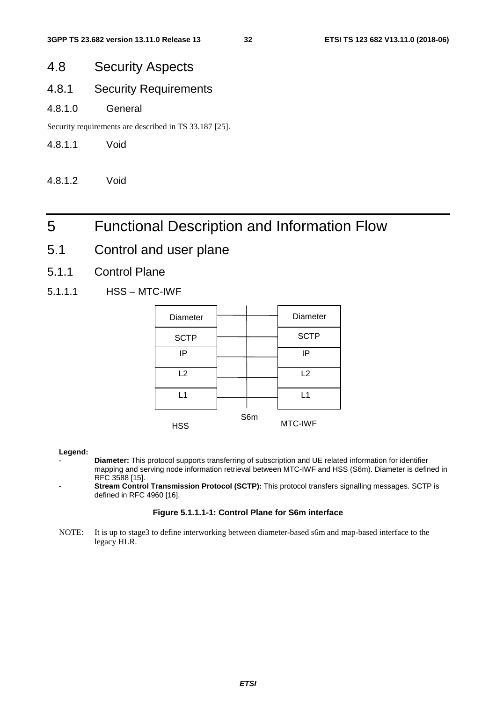# 4.8 Security Aspects

# 4.8.1 Security Requirements

#### 4.8.1.0 General

Security requirements are described in TS 33.187 [25].

#### 4.8.1.1 Void

4.8.1.2 Void

# 5 Functional Description and Information Flow

- 5.1 Control and user plane
- 5.1.1 Control Plane
- 5.1.1.1 HSS MTC-IWF

| Diameter    |     | Diameter    |
|-------------|-----|-------------|
| <b>SCTP</b> |     | <b>SCTP</b> |
| IP          |     | IP          |
| L2          |     | L2          |
| L1          |     | L1          |
| <b>HSS</b>  | S6m | MTC-IWF     |

#### **Legend:**

- **Diameter:** This protocol supports transferring of subscription and UE related information for identifier mapping and serving node information retrieval between MTC-IWF and HSS (S6m). Diameter is defined in RFC 3588 [15].
- Stream Control Transmission Protocol (SCTP): This protocol transfers signalling messages. SCTP is defined in RFC 4960 [16].

#### **Figure 5.1.1.1-1: Control Plane for S6m interface**

NOTE: It is up to stage3 to define interworking between diameter-based s6m and map-based interface to the legacy HLR.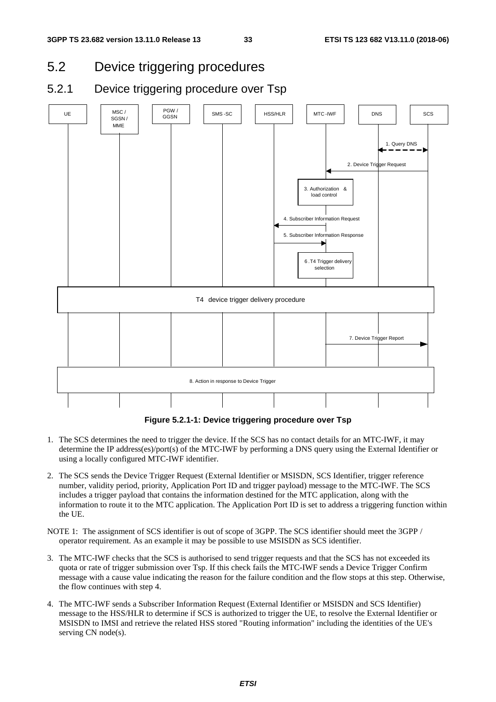- 5.2 Device triggering procedures
- 5.2.1 Device triggering procedure over Tsp



**Figure 5.2.1-1: Device triggering procedure over Tsp** 

- 1. The SCS determines the need to trigger the device. If the SCS has no contact details for an MTC-IWF, it may determine the IP address(es)/port(s) of the MTC-IWF by performing a DNS query using the External Identifier or using a locally configured MTC-IWF identifier.
- 2. The SCS sends the Device Trigger Request (External Identifier or MSISDN, SCS Identifier, trigger reference number, validity period, priority, Application Port ID and trigger payload) message to the MTC-IWF. The SCS includes a trigger payload that contains the information destined for the MTC application, along with the information to route it to the MTC application. The Application Port ID is set to address a triggering function within the UE.
- NOTE 1: The assignment of SCS identifier is out of scope of 3GPP. The SCS identifier should meet the 3GPP / operator requirement. As an example it may be possible to use MSISDN as SCS identifier.
- 3. The MTC-IWF checks that the SCS is authorised to send trigger requests and that the SCS has not exceeded its quota or rate of trigger submission over Tsp. If this check fails the MTC-IWF sends a Device Trigger Confirm message with a cause value indicating the reason for the failure condition and the flow stops at this step. Otherwise, the flow continues with step 4.
- 4. The MTC-IWF sends a Subscriber Information Request (External Identifier or MSISDN and SCS Identifier) message to the HSS/HLR to determine if SCS is authorized to trigger the UE, to resolve the External Identifier or MSISDN to IMSI and retrieve the related HSS stored "Routing information" including the identities of the UE's serving CN node(s).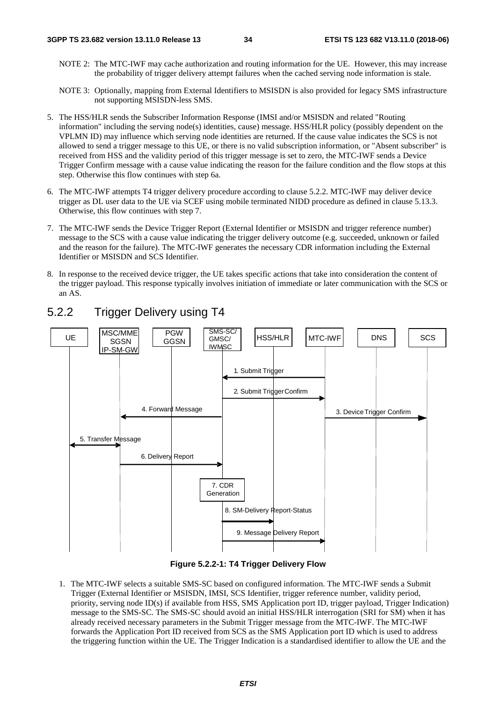- NOTE 2: The MTC-IWF may cache authorization and routing information for the UE. However, this may increase the probability of trigger delivery attempt failures when the cached serving node information is stale.
- NOTE 3: Optionally, mapping from External Identifiers to MSISDN is also provided for legacy SMS infrastructure not supporting MSISDN-less SMS.
- 5. The HSS/HLR sends the Subscriber Information Response (IMSI and/or MSISDN and related "Routing information" including the serving node(s) identities, cause) message. HSS/HLR policy (possibly dependent on the VPLMN ID) may influence which serving node identities are returned. If the cause value indicates the SCS is not allowed to send a trigger message to this UE, or there is no valid subscription information, or "Absent subscriber" is received from HSS and the validity period of this trigger message is set to zero, the MTC-IWF sends a Device Trigger Confirm message with a cause value indicating the reason for the failure condition and the flow stops at this step. Otherwise this flow continues with step 6a.
- 6. The MTC-IWF attempts T4 trigger delivery procedure according to clause 5.2.2. MTC-IWF may deliver device trigger as DL user data to the UE via SCEF using mobile terminated NIDD procedure as defined in clause 5.13.3. Otherwise, this flow continues with step 7.
- 7. The MTC-IWF sends the Device Trigger Report (External Identifier or MSISDN and trigger reference number) message to the SCS with a cause value indicating the trigger delivery outcome (e.g. succeeded, unknown or failed and the reason for the failure). The MTC-IWF generates the necessary CDR information including the External Identifier or MSISDN and SCS Identifier.
- 8. In response to the received device trigger, the UE takes specific actions that take into consideration the content of the trigger payload. This response typically involves initiation of immediate or later communication with the SCS or an AS.



### 5.2.2 Trigger Delivery using T4

**Figure 5.2.2-1: T4 Trigger Delivery Flow** 

1. The MTC-IWF selects a suitable SMS-SC based on configured information. The MTC-IWF sends a Submit Trigger (External Identifier or MSISDN, IMSI, SCS Identifier, trigger reference number, validity period, priority, serving node ID(s) if available from HSS, SMS Application port ID, trigger payload, Trigger Indication) message to the SMS-SC. The SMS-SC should avoid an initial HSS/HLR interrogation (SRI for SM) when it has already received necessary parameters in the Submit Trigger message from the MTC-IWF. The MTC-IWF forwards the Application Port ID received from SCS as the SMS Application port ID which is used to address the triggering function within the UE. The Trigger Indication is a standardised identifier to allow the UE and the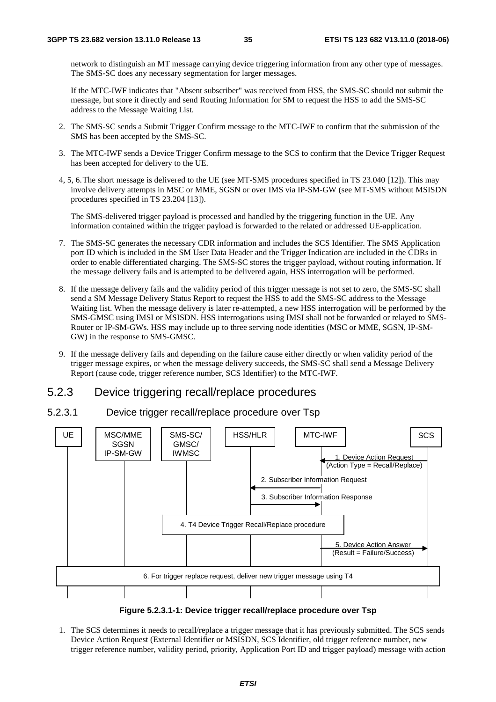network to distinguish an MT message carrying device triggering information from any other type of messages. The SMS-SC does any necessary segmentation for larger messages.

 If the MTC-IWF indicates that "Absent subscriber" was received from HSS, the SMS-SC should not submit the message, but store it directly and send Routing Information for SM to request the HSS to add the SMS-SC address to the Message Waiting List.

- 2. The SMS-SC sends a Submit Trigger Confirm message to the MTC-IWF to confirm that the submission of the SMS has been accepted by the SMS-SC.
- 3. The MTC-IWF sends a Device Trigger Confirm message to the SCS to confirm that the Device Trigger Request has been accepted for delivery to the UE.
- 4, 5, 6. The short message is delivered to the UE (see MT-SMS procedures specified in TS 23.040 [12]). This may involve delivery attempts in MSC or MME, SGSN or over IMS via IP-SM-GW (see MT-SMS without MSISDN procedures specified in TS 23.204 [13]).

 The SMS-delivered trigger payload is processed and handled by the triggering function in the UE. Any information contained within the trigger payload is forwarded to the related or addressed UE-application.

- 7. The SMS-SC generates the necessary CDR information and includes the SCS Identifier. The SMS Application port ID which is included in the SM User Data Header and the Trigger Indication are included in the CDRs in order to enable differentiated charging. The SMS-SC stores the trigger payload, without routing information. If the message delivery fails and is attempted to be delivered again, HSS interrogation will be performed.
- 8. If the message delivery fails and the validity period of this trigger message is not set to zero, the SMS-SC shall send a SM Message Delivery Status Report to request the HSS to add the SMS-SC address to the Message Waiting list. When the message delivery is later re-attempted, a new HSS interrogation will be performed by the SMS-GMSC using IMSI or MSISDN. HSS interrogations using IMSI shall not be forwarded or relayed to SMS-Router or IP-SM-GWs. HSS may include up to three serving node identities (MSC or MME, SGSN, IP-SM-GW) in the response to SMS-GMSC.
- 9. If the message delivery fails and depending on the failure cause either directly or when validity period of the trigger message expires, or when the message delivery succeeds, the SMS-SC shall send a Message Delivery Report (cause code, trigger reference number, SCS Identifier) to the MTC-IWF.

### 5.2.3 Device triggering recall/replace procedures

#### 5.2.3.1 Device trigger recall/replace procedure over Tsp



**Figure 5.2.3.1-1: Device trigger recall/replace procedure over Tsp** 

1. The SCS determines it needs to recall/replace a trigger message that it has previously submitted. The SCS sends Device Action Request (External Identifier or MSISDN, SCS Identifier, old trigger reference number, new trigger reference number, validity period, priority, Application Port ID and trigger payload) message with action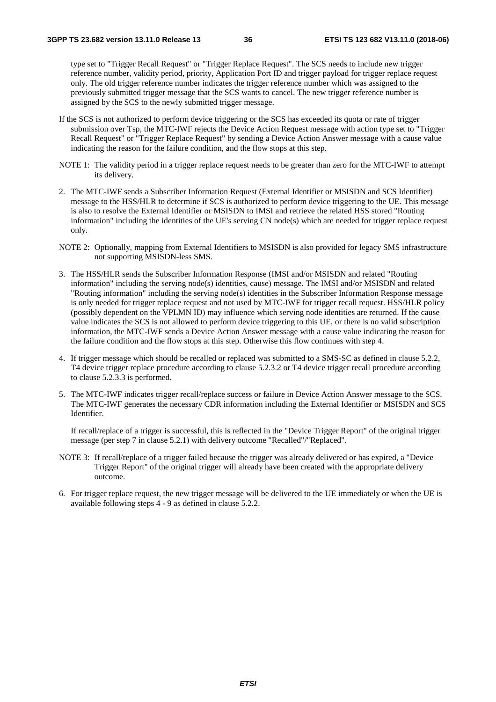type set to "Trigger Recall Request" or "Trigger Replace Request". The SCS needs to include new trigger reference number, validity period, priority, Application Port ID and trigger payload for trigger replace request only. The old trigger reference number indicates the trigger reference number which was assigned to the previously submitted trigger message that the SCS wants to cancel. The new trigger reference number is assigned by the SCS to the newly submitted trigger message.

- If the SCS is not authorized to perform device triggering or the SCS has exceeded its quota or rate of trigger submission over Tsp, the MTC-IWF rejects the Device Action Request message with action type set to "Trigger Recall Request" or "Trigger Replace Request" by sending a Device Action Answer message with a cause value indicating the reason for the failure condition, and the flow stops at this step.
- NOTE 1: The validity period in a trigger replace request needs to be greater than zero for the MTC-IWF to attempt its delivery.
- 2. The MTC-IWF sends a Subscriber Information Request (External Identifier or MSISDN and SCS Identifier) message to the HSS/HLR to determine if SCS is authorized to perform device triggering to the UE. This message is also to resolve the External Identifier or MSISDN to IMSI and retrieve the related HSS stored "Routing information" including the identities of the UE's serving CN node(s) which are needed for trigger replace request only.
- NOTE 2: Optionally, mapping from External Identifiers to MSISDN is also provided for legacy SMS infrastructure not supporting MSISDN-less SMS.
- 3. The HSS/HLR sends the Subscriber Information Response (IMSI and/or MSISDN and related "Routing information" including the serving node(s) identities, cause) message. The IMSI and/or MSISDN and related "Routing information" including the serving node(s) identities in the Subscriber Information Response message is only needed for trigger replace request and not used by MTC-IWF for trigger recall request. HSS/HLR policy (possibly dependent on the VPLMN ID) may influence which serving node identities are returned. If the cause value indicates the SCS is not allowed to perform device triggering to this UE, or there is no valid subscription information, the MTC-IWF sends a Device Action Answer message with a cause value indicating the reason for the failure condition and the flow stops at this step. Otherwise this flow continues with step 4.
- 4. If trigger message which should be recalled or replaced was submitted to a SMS-SC as defined in clause 5.2.2, T4 device trigger replace procedure according to clause 5.2.3.2 or T4 device trigger recall procedure according to clause 5.2.3.3 is performed.
- 5. The MTC-IWF indicates trigger recall/replace success or failure in Device Action Answer message to the SCS. The MTC-IWF generates the necessary CDR information including the External Identifier or MSISDN and SCS Identifier.

 If recall/replace of a trigger is successful, this is reflected in the "Device Trigger Report" of the original trigger message (per step 7 in clause 5.2.1) with delivery outcome "Recalled"/"Replaced".

- NOTE 3: If recall/replace of a trigger failed because the trigger was already delivered or has expired, a "Device Trigger Report" of the original trigger will already have been created with the appropriate delivery outcome.
- 6. For trigger replace request, the new trigger message will be delivered to the UE immediately or when the UE is available following steps 4 - 9 as defined in clause 5.2.2.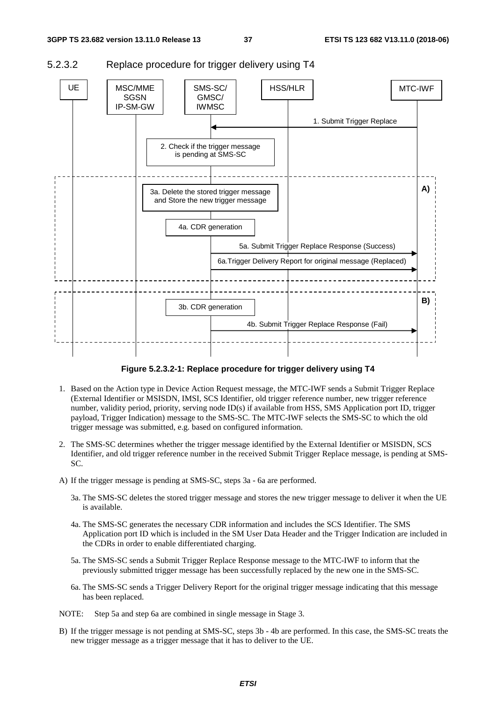

## 5.2.3.2 Replace procedure for trigger delivery using T4

**Figure 5.2.3.2-1: Replace procedure for trigger delivery using T4** 

- 1. Based on the Action type in Device Action Request message, the MTC-IWF sends a Submit Trigger Replace (External Identifier or MSISDN, IMSI, SCS Identifier, old trigger reference number, new trigger reference number, validity period, priority, serving node ID(s) if available from HSS, SMS Application port ID, trigger payload, Trigger Indication) message to the SMS-SC. The MTC-IWF selects the SMS-SC to which the old trigger message was submitted, e.g. based on configured information.
- 2. The SMS-SC determines whether the trigger message identified by the External Identifier or MSISDN, SCS Identifier, and old trigger reference number in the received Submit Trigger Replace message, is pending at SMS-SC.
- A) If the trigger message is pending at SMS-SC, steps 3a 6a are performed.
	- 3a. The SMS-SC deletes the stored trigger message and stores the new trigger message to deliver it when the UE is available.
	- 4a. The SMS-SC generates the necessary CDR information and includes the SCS Identifier. The SMS Application port ID which is included in the SM User Data Header and the Trigger Indication are included in the CDRs in order to enable differentiated charging.
	- 5a. The SMS-SC sends a Submit Trigger Replace Response message to the MTC-IWF to inform that the previously submitted trigger message has been successfully replaced by the new one in the SMS-SC.
	- 6a. The SMS-SC sends a Trigger Delivery Report for the original trigger message indicating that this message has been replaced.
- NOTE: Step 5a and step 6a are combined in single message in Stage 3.
- B) If the trigger message is not pending at SMS-SC, steps 3b 4b are performed. In this case, the SMS-SC treats the new trigger message as a trigger message that it has to deliver to the UE.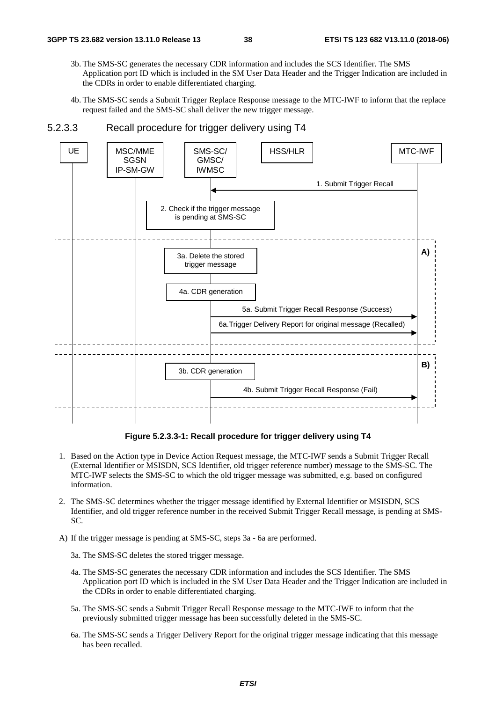- 3b. The SMS-SC generates the necessary CDR information and includes the SCS Identifier. The SMS Application port ID which is included in the SM User Data Header and the Trigger Indication are included in the CDRs in order to enable differentiated charging.
- 4b. The SMS-SC sends a Submit Trigger Replace Response message to the MTC-IWF to inform that the replace request failed and the SMS-SC shall deliver the new trigger message.



#### 5.2.3.3 Recall procedure for trigger delivery using T4

**Figure 5.2.3.3-1: Recall procedure for trigger delivery using T4** 

- 1. Based on the Action type in Device Action Request message, the MTC-IWF sends a Submit Trigger Recall (External Identifier or MSISDN, SCS Identifier, old trigger reference number) message to the SMS-SC. The MTC-IWF selects the SMS-SC to which the old trigger message was submitted, e.g. based on configured information.
- 2. The SMS-SC determines whether the trigger message identified by External Identifier or MSISDN, SCS Identifier, and old trigger reference number in the received Submit Trigger Recall message, is pending at SMS-SC.
- A) If the trigger message is pending at SMS-SC, steps 3a 6a are performed.

3a. The SMS-SC deletes the stored trigger message.

- 4a. The SMS-SC generates the necessary CDR information and includes the SCS Identifier. The SMS Application port ID which is included in the SM User Data Header and the Trigger Indication are included in the CDRs in order to enable differentiated charging.
- 5a. The SMS-SC sends a Submit Trigger Recall Response message to the MTC-IWF to inform that the previously submitted trigger message has been successfully deleted in the SMS-SC.
- 6a. The SMS-SC sends a Trigger Delivery Report for the original trigger message indicating that this message has been recalled.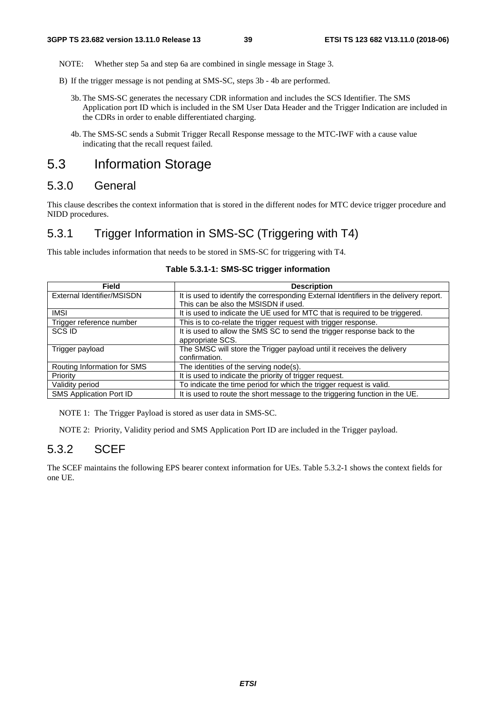NOTE: Whether step 5a and step 6a are combined in single message in Stage 3.

- B) If the trigger message is not pending at SMS-SC, steps 3b 4b are performed.
	- 3b. The SMS-SC generates the necessary CDR information and includes the SCS Identifier. The SMS Application port ID which is included in the SM User Data Header and the Trigger Indication are included in the CDRs in order to enable differentiated charging.
	- 4b. The SMS-SC sends a Submit Trigger Recall Response message to the MTC-IWF with a cause value indicating that the recall request failed.

# 5.3 Information Storage

## 5.3.0 General

This clause describes the context information that is stored in the different nodes for MTC device trigger procedure and NIDD procedures.

# 5.3.1 Trigger Information in SMS-SC (Triggering with T4)

This table includes information that needs to be stored in SMS-SC for triggering with T4.

| <b>Field</b>                   | <b>Description</b>                                                                    |
|--------------------------------|---------------------------------------------------------------------------------------|
| External Identifier/MSISDN     | It is used to identify the corresponding External Identifiers in the delivery report. |
|                                | This can be also the MSISDN if used.                                                  |
| <b>IMSI</b>                    | It is used to indicate the UE used for MTC that is required to be triggered.          |
| Trigger reference number       | This is to co-relate the trigger request with trigger response.                       |
| <b>SCS ID</b>                  | It is used to allow the SMS SC to send the trigger response back to the               |
|                                | appropriate SCS.                                                                      |
| Trigger payload                | The SMSC will store the Trigger payload until it receives the delivery                |
|                                | confirmation.                                                                         |
| Routing Information for SMS    | The identities of the serving node(s).                                                |
| Priority                       | It is used to indicate the priority of trigger request.                               |
| Validity period                | To indicate the time period for which the trigger request is valid.                   |
| <b>SMS Application Port ID</b> | It is used to route the short message to the triggering function in the UE.           |

#### **Table 5.3.1-1: SMS-SC trigger information**

NOTE 1: The Trigger Payload is stored as user data in SMS-SC.

NOTE 2: Priority, Validity period and SMS Application Port ID are included in the Trigger payload.

## 5.3.2 SCEF

The SCEF maintains the following EPS bearer context information for UEs. Table 5.3.2-1 shows the context fields for one UE.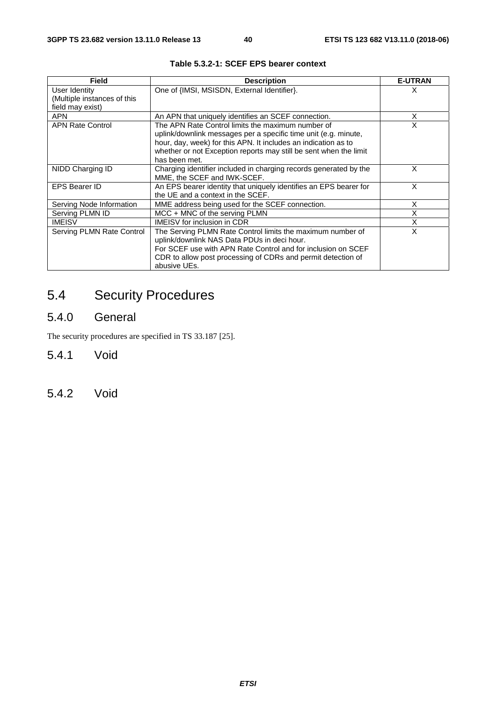| Field                       | <b>Description</b>                                                | <b>E-UTRAN</b> |
|-----------------------------|-------------------------------------------------------------------|----------------|
| User Identity               | One of {IMSI, MSISDN, External Identifier}.                       | X              |
| (Multiple instances of this |                                                                   |                |
| field may exist)            |                                                                   |                |
| <b>APN</b>                  | An APN that uniquely identifies an SCEF connection.               | X              |
| <b>APN Rate Control</b>     | The APN Rate Control limits the maximum number of                 | X              |
|                             | uplink/downlink messages per a specific time unit (e.g. minute,   |                |
|                             | hour, day, week) for this APN. It includes an indication as to    |                |
|                             | whether or not Exception reports may still be sent when the limit |                |
|                             | has been met.                                                     |                |
| NIDD Charging ID            | Charging identifier included in charging records generated by the | X              |
|                             | MME, the SCEF and IWK-SCEF.                                       |                |
| <b>EPS Bearer ID</b>        | An EPS bearer identity that uniquely identifies an EPS bearer for | X              |
|                             | the UE and a context in the SCEF.                                 |                |
| Serving Node Information    | MME address being used for the SCEF connection.                   | X              |
| Serving PLMN ID             | MCC + MNC of the serving PLMN                                     | X              |
| <b>IMEISV</b>               | <b>IMEISV</b> for inclusion in CDR                                | X              |
| Serving PLMN Rate Control   | The Serving PLMN Rate Control limits the maximum number of        | X              |
|                             | uplink/downlink NAS Data PDUs in deci hour.                       |                |
|                             | For SCEF use with APN Rate Control and for inclusion on SCEF      |                |
|                             | CDR to allow post processing of CDRs and permit detection of      |                |
|                             | abusive UEs.                                                      |                |

# 5.4 Security Procedures

# 5.4.0 General

The security procedures are specified in TS 33.187 [25].

- 5.4.1 Void
- 5.4.2 Void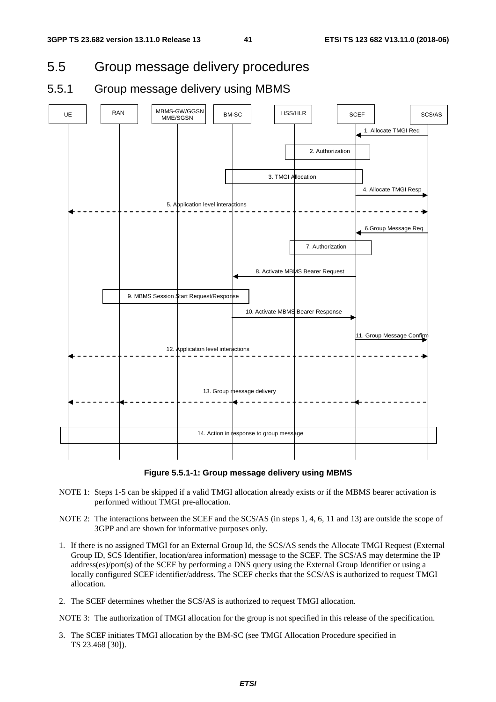# 5.5 Group message delivery procedures

# 5.5.1 Group message delivery using MBMS



**Figure 5.5.1-1: Group message delivery using MBMS** 

- NOTE 1: Steps 1-5 can be skipped if a valid TMGI allocation already exists or if the MBMS bearer activation is performed without TMGI pre-allocation.
- NOTE 2: The interactions between the SCEF and the SCS/AS (in steps 1, 4, 6, 11 and 13) are outside the scope of 3GPP and are shown for informative purposes only.
- 1. If there is no assigned TMGI for an External Group Id, the SCS/AS sends the Allocate TMGI Request (External Group ID, SCS Identifier, location/area information) message to the SCEF. The SCS/AS may determine the IP address(es)/port(s) of the SCEF by performing a DNS query using the External Group Identifier or using a locally configured SCEF identifier/address. The SCEF checks that the SCS/AS is authorized to request TMGI allocation.
- 2. The SCEF determines whether the SCS/AS is authorized to request TMGI allocation.

NOTE 3: The authorization of TMGI allocation for the group is not specified in this release of the specification.

3. The SCEF initiates TMGI allocation by the BM-SC (see TMGI Allocation Procedure specified in TS 23.468 [30]).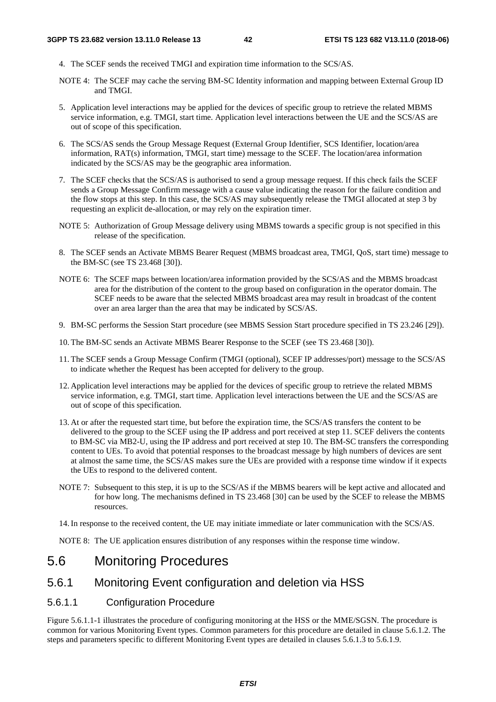- 4. The SCEF sends the received TMGI and expiration time information to the SCS/AS.
- NOTE 4: The SCEF may cache the serving BM-SC Identity information and mapping between External Group ID and TMGI.
- 5. Application level interactions may be applied for the devices of specific group to retrieve the related MBMS service information, e.g. TMGI, start time. Application level interactions between the UE and the SCS/AS are out of scope of this specification.
- 6. The SCS/AS sends the Group Message Request (External Group Identifier, SCS Identifier, location/area information, RAT(s) information, TMGI, start time) message to the SCEF. The location/area information indicated by the SCS/AS may be the geographic area information.
- 7. The SCEF checks that the SCS/AS is authorised to send a group message request. If this check fails the SCEF sends a Group Message Confirm message with a cause value indicating the reason for the failure condition and the flow stops at this step. In this case, the SCS/AS may subsequently release the TMGI allocated at step 3 by requesting an explicit de-allocation, or may rely on the expiration timer.
- NOTE 5: Authorization of Group Message delivery using MBMS towards a specific group is not specified in this release of the specification.
- 8. The SCEF sends an Activate MBMS Bearer Request (MBMS broadcast area, TMGI, QoS, start time) message to the BM-SC (see TS 23.468 [30]).
- NOTE 6: The SCEF maps between location/area information provided by the SCS/AS and the MBMS broadcast area for the distribution of the content to the group based on configuration in the operator domain. The SCEF needs to be aware that the selected MBMS broadcast area may result in broadcast of the content over an area larger than the area that may be indicated by SCS/AS.
- 9. BM-SC performs the Session Start procedure (see MBMS Session Start procedure specified in TS 23.246 [29]).
- 10. The BM-SC sends an Activate MBMS Bearer Response to the SCEF (see TS 23.468 [30]).
- 11. The SCEF sends a Group Message Confirm (TMGI (optional), SCEF IP addresses/port) message to the SCS/AS to indicate whether the Request has been accepted for delivery to the group.
- 12. Application level interactions may be applied for the devices of specific group to retrieve the related MBMS service information, e.g. TMGI, start time. Application level interactions between the UE and the SCS/AS are out of scope of this specification.
- 13. At or after the requested start time, but before the expiration time, the SCS/AS transfers the content to be delivered to the group to the SCEF using the IP address and port received at step 11. SCEF delivers the contents to BM-SC via MB2-U, using the IP address and port received at step 10. The BM-SC transfers the corresponding content to UEs. To avoid that potential responses to the broadcast message by high numbers of devices are sent at almost the same time, the SCS/AS makes sure the UEs are provided with a response time window if it expects the UEs to respond to the delivered content.
- NOTE 7: Subsequent to this step, it is up to the SCS/AS if the MBMS bearers will be kept active and allocated and for how long. The mechanisms defined in TS 23.468 [30] can be used by the SCEF to release the MBMS resources.
- 14. In response to the received content, the UE may initiate immediate or later communication with the SCS/AS.

NOTE 8: The UE application ensures distribution of any responses within the response time window.

# 5.6 Monitoring Procedures

# 5.6.1 Monitoring Event configuration and deletion via HSS

## 5.6.1.1 Configuration Procedure

Figure 5.6.1.1-1 illustrates the procedure of configuring monitoring at the HSS or the MME/SGSN. The procedure is common for various Monitoring Event types. Common parameters for this procedure are detailed in clause 5.6.1.2. The steps and parameters specific to different Monitoring Event types are detailed in clauses 5.6.1.3 to 5.6.1.9.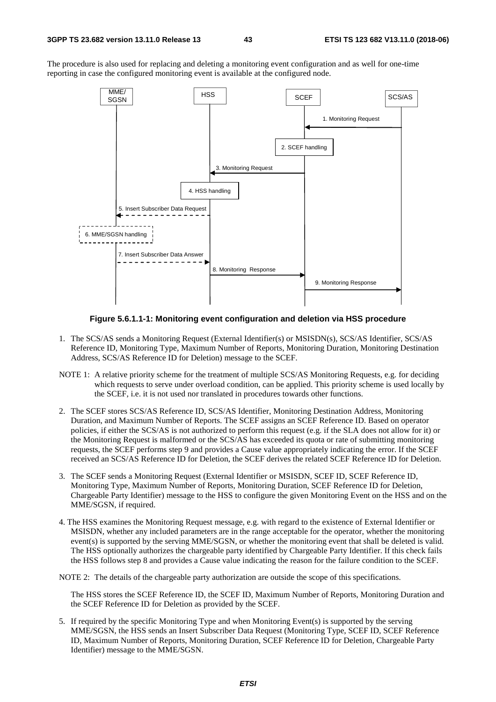The procedure is also used for replacing and deleting a monitoring event configuration and as well for one-time reporting in case the configured monitoring event is available at the configured node.



#### **Figure 5.6.1.1-1: Monitoring event configuration and deletion via HSS procedure**

- 1. The SCS/AS sends a Monitoring Request (External Identifier(s) or MSISDN(s), SCS/AS Identifier, SCS/AS Reference ID, Monitoring Type, Maximum Number of Reports, Monitoring Duration, Monitoring Destination Address, SCS/AS Reference ID for Deletion) message to the SCEF.
- NOTE 1: A relative priority scheme for the treatment of multiple SCS/AS Monitoring Requests, e.g. for deciding which requests to serve under overload condition, can be applied. This priority scheme is used locally by the SCEF, i.e. it is not used nor translated in procedures towards other functions.
- 2. The SCEF stores SCS/AS Reference ID, SCS/AS Identifier, Monitoring Destination Address, Monitoring Duration, and Maximum Number of Reports. The SCEF assigns an SCEF Reference ID. Based on operator policies, if either the SCS/AS is not authorized to perform this request (e.g. if the SLA does not allow for it) or the Monitoring Request is malformed or the SCS/AS has exceeded its quota or rate of submitting monitoring requests, the SCEF performs step 9 and provides a Cause value appropriately indicating the error. If the SCEF received an SCS/AS Reference ID for Deletion, the SCEF derives the related SCEF Reference ID for Deletion.
- 3. The SCEF sends a Monitoring Request (External Identifier or MSISDN, SCEF ID, SCEF Reference ID, Monitoring Type, Maximum Number of Reports, Monitoring Duration, SCEF Reference ID for Deletion, Chargeable Party Identifier) message to the HSS to configure the given Monitoring Event on the HSS and on the MME/SGSN, if required.
- 4. The HSS examines the Monitoring Request message, e.g. with regard to the existence of External Identifier or MSISDN, whether any included parameters are in the range acceptable for the operator, whether the monitoring event(s) is supported by the serving MME/SGSN, or whether the monitoring event that shall be deleted is valid. The HSS optionally authorizes the chargeable party identified by Chargeable Party Identifier. If this check fails the HSS follows step 8 and provides a Cause value indicating the reason for the failure condition to the SCEF.

NOTE 2: The details of the chargeable party authorization are outside the scope of this specifications.

 The HSS stores the SCEF Reference ID, the SCEF ID, Maximum Number of Reports, Monitoring Duration and the SCEF Reference ID for Deletion as provided by the SCEF.

5. If required by the specific Monitoring Type and when Monitoring Event(s) is supported by the serving MME/SGSN, the HSS sends an Insert Subscriber Data Request (Monitoring Type, SCEF ID, SCEF Reference ID, Maximum Number of Reports, Monitoring Duration, SCEF Reference ID for Deletion, Chargeable Party Identifier) message to the MME/SGSN.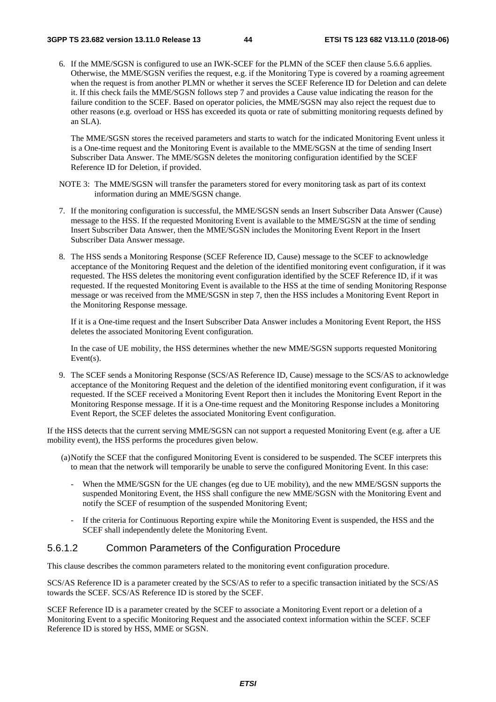6. If the MME/SGSN is configured to use an IWK-SCEF for the PLMN of the SCEF then clause 5.6.6 applies. Otherwise, the MME/SGSN verifies the request, e.g. if the Monitoring Type is covered by a roaming agreement when the request is from another PLMN or whether it serves the SCEF Reference ID for Deletion and can delete it. If this check fails the MME/SGSN follows step 7 and provides a Cause value indicating the reason for the failure condition to the SCEF. Based on operator policies, the MME/SGSN may also reject the request due to other reasons (e.g. overload or HSS has exceeded its quota or rate of submitting monitoring requests defined by an SLA).

 The MME/SGSN stores the received parameters and starts to watch for the indicated Monitoring Event unless it is a One-time request and the Monitoring Event is available to the MME/SGSN at the time of sending Insert Subscriber Data Answer. The MME/SGSN deletes the monitoring configuration identified by the SCEF Reference ID for Deletion, if provided.

- NOTE 3: The MME/SGSN will transfer the parameters stored for every monitoring task as part of its context information during an MME/SGSN change.
- 7. If the monitoring configuration is successful, the MME/SGSN sends an Insert Subscriber Data Answer (Cause) message to the HSS. If the requested Monitoring Event is available to the MME/SGSN at the time of sending Insert Subscriber Data Answer, then the MME/SGSN includes the Monitoring Event Report in the Insert Subscriber Data Answer message.
- 8. The HSS sends a Monitoring Response (SCEF Reference ID, Cause) message to the SCEF to acknowledge acceptance of the Monitoring Request and the deletion of the identified monitoring event configuration, if it was requested. The HSS deletes the monitoring event configuration identified by the SCEF Reference ID, if it was requested. If the requested Monitoring Event is available to the HSS at the time of sending Monitoring Response message or was received from the MME/SGSN in step 7, then the HSS includes a Monitoring Event Report in the Monitoring Response message.

 If it is a One-time request and the Insert Subscriber Data Answer includes a Monitoring Event Report, the HSS deletes the associated Monitoring Event configuration.

 In the case of UE mobility, the HSS determines whether the new MME/SGSN supports requested Monitoring Event(s).

9. The SCEF sends a Monitoring Response (SCS/AS Reference ID, Cause) message to the SCS/AS to acknowledge acceptance of the Monitoring Request and the deletion of the identified monitoring event configuration, if it was requested. If the SCEF received a Monitoring Event Report then it includes the Monitoring Event Report in the Monitoring Response message. If it is a One-time request and the Monitoring Response includes a Monitoring Event Report, the SCEF deletes the associated Monitoring Event configuration.

If the HSS detects that the current serving MME/SGSN can not support a requested Monitoring Event (e.g. after a UE mobility event), the HSS performs the procedures given below.

- (a) Notify the SCEF that the configured Monitoring Event is considered to be suspended. The SCEF interprets this to mean that the network will temporarily be unable to serve the configured Monitoring Event. In this case:
	- When the MME/SGSN for the UE changes (eg due to UE mobility), and the new MME/SGSN supports the suspended Monitoring Event, the HSS shall configure the new MME/SGSN with the Monitoring Event and notify the SCEF of resumption of the suspended Monitoring Event;
	- If the criteria for Continuous Reporting expire while the Monitoring Event is suspended, the HSS and the SCEF shall independently delete the Monitoring Event.

## 5.6.1.2 Common Parameters of the Configuration Procedure

This clause describes the common parameters related to the monitoring event configuration procedure.

SCS/AS Reference ID is a parameter created by the SCS/AS to refer to a specific transaction initiated by the SCS/AS towards the SCEF. SCS/AS Reference ID is stored by the SCEF.

SCEF Reference ID is a parameter created by the SCEF to associate a Monitoring Event report or a deletion of a Monitoring Event to a specific Monitoring Request and the associated context information within the SCEF. SCEF Reference ID is stored by HSS, MME or SGSN.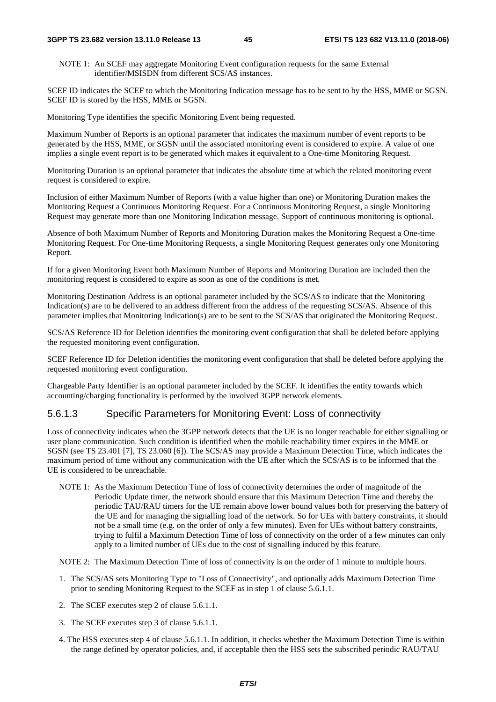#### **3GPP TS 23.682 version 13.11.0 Release 13 45 ETSI TS 123 682 V13.11.0 (2018-06)**

NOTE 1: An SCEF may aggregate Monitoring Event configuration requests for the same External identifier/MSISDN from different SCS/AS instances.

SCEF ID indicates the SCEF to which the Monitoring Indication message has to be sent to by the HSS, MME or SGSN. SCEF ID is stored by the HSS, MME or SGSN.

Monitoring Type identifies the specific Monitoring Event being requested.

Maximum Number of Reports is an optional parameter that indicates the maximum number of event reports to be generated by the HSS, MME, or SGSN until the associated monitoring event is considered to expire. A value of one implies a single event report is to be generated which makes it equivalent to a One-time Monitoring Request.

Monitoring Duration is an optional parameter that indicates the absolute time at which the related monitoring event request is considered to expire.

Inclusion of either Maximum Number of Reports (with a value higher than one) or Monitoring Duration makes the Monitoring Request a Continuous Monitoring Request. For a Continuous Monitoring Request, a single Monitoring Request may generate more than one Monitoring Indication message. Support of continuous monitoring is optional.

Absence of both Maximum Number of Reports and Monitoring Duration makes the Monitoring Request a One-time Monitoring Request. For One-time Monitoring Requests, a single Monitoring Request generates only one Monitoring Report.

If for a given Monitoring Event both Maximum Number of Reports and Monitoring Duration are included then the monitoring request is considered to expire as soon as one of the conditions is met.

Monitoring Destination Address is an optional parameter included by the SCS/AS to indicate that the Monitoring Indication(s) are to be delivered to an address different from the address of the requesting SCS/AS. Absence of this parameter implies that Monitoring Indication(s) are to be sent to the SCS/AS that originated the Monitoring Request.

SCS/AS Reference ID for Deletion identifies the monitoring event configuration that shall be deleted before applying the requested monitoring event configuration.

SCEF Reference ID for Deletion identifies the monitoring event configuration that shall be deleted before applying the requested monitoring event configuration.

Chargeable Party Identifier is an optional parameter included by the SCEF. It identifies the entity towards which accounting/charging functionality is performed by the involved 3GPP network elements.

## 5.6.1.3 Specific Parameters for Monitoring Event: Loss of connectivity

Loss of connectivity indicates when the 3GPP network detects that the UE is no longer reachable for either signalling or user plane communication. Such condition is identified when the mobile reachability timer expires in the MME or SGSN (see TS 23.401 [7], TS 23.060 [6]). The SCS/AS may provide a Maximum Detection Time, which indicates the maximum period of time without any communication with the UE after which the SCS/AS is to be informed that the UE is considered to be unreachable.

NOTE 1: As the Maximum Detection Time of loss of connectivity determines the order of magnitude of the Periodic Update timer, the network should ensure that this Maximum Detection Time and thereby the periodic TAU/RAU timers for the UE remain above lower bound values both for preserving the battery of the UE and for managing the signalling load of the network. So for UEs with battery constraints, it should not be a small time (e.g. on the order of only a few minutes). Even for UEs without battery constraints, trying to fulfil a Maximum Detection Time of loss of connectivity on the order of a few minutes can only apply to a limited number of UEs due to the cost of signalling induced by this feature.

NOTE 2: The Maximum Detection Time of loss of connectivity is on the order of 1 minute to multiple hours.

- 1. The SCS/AS sets Monitoring Type to "Loss of Connectivity", and optionally adds Maximum Detection Time prior to sending Monitoring Request to the SCEF as in step 1 of clause 5.6.1.1.
- 2. The SCEF executes step 2 of clause 5.6.1.1.
- 3. The SCEF executes step 3 of clause 5.6.1.1.
- 4. The HSS executes step 4 of clause 5.6.1.1. In addition, it checks whether the Maximum Detection Time is within the range defined by operator policies, and, if acceptable then the HSS sets the subscribed periodic RAU/TAU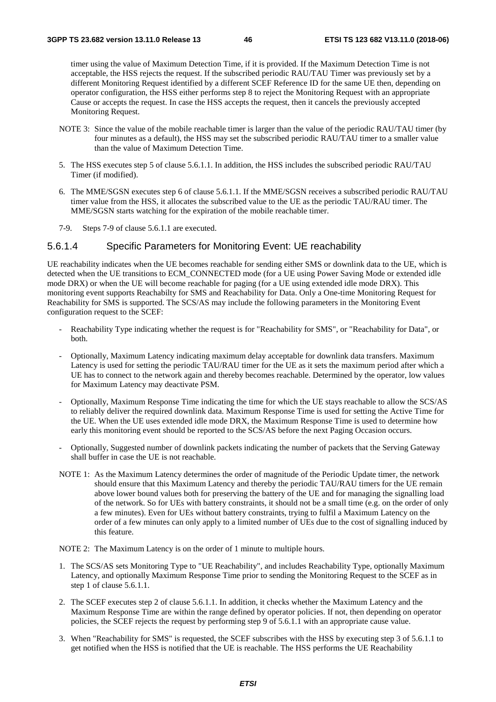timer using the value of Maximum Detection Time, if it is provided. If the Maximum Detection Time is not acceptable, the HSS rejects the request. If the subscribed periodic RAU/TAU Timer was previously set by a different Monitoring Request identified by a different SCEF Reference ID for the same UE then, depending on operator configuration, the HSS either performs step 8 to reject the Monitoring Request with an appropriate Cause or accepts the request. In case the HSS accepts the request, then it cancels the previously accepted Monitoring Request.

- NOTE 3: Since the value of the mobile reachable timer is larger than the value of the periodic RAU/TAU timer (by four minutes as a default), the HSS may set the subscribed periodic RAU/TAU timer to a smaller value than the value of Maximum Detection Time.
- 5. The HSS executes step 5 of clause 5.6.1.1. In addition, the HSS includes the subscribed periodic RAU/TAU Timer (if modified).
- 6. The MME/SGSN executes step 6 of clause 5.6.1.1. If the MME/SGSN receives a subscribed periodic RAU/TAU timer value from the HSS, it allocates the subscribed value to the UE as the periodic TAU/RAU timer. The MME/SGSN starts watching for the expiration of the mobile reachable timer.
- 7-9. Steps 7-9 of clause 5.6.1.1 are executed.

## 5.6.1.4 Specific Parameters for Monitoring Event: UE reachability

UE reachability indicates when the UE becomes reachable for sending either SMS or downlink data to the UE, which is detected when the UE transitions to ECM\_CONNECTED mode (for a UE using Power Saving Mode or extended idle mode DRX) or when the UE will become reachable for paging (for a UE using extended idle mode DRX). This monitoring event supports Reachabilty for SMS and Reachability for Data. Only a One-time Monitoring Request for Reachability for SMS is supported. The SCS/AS may include the following parameters in the Monitoring Event configuration request to the SCEF:

- Reachability Type indicating whether the request is for "Reachability for SMS", or "Reachability for Data", or both.
- Optionally, Maximum Latency indicating maximum delay acceptable for downlink data transfers. Maximum Latency is used for setting the periodic TAU/RAU timer for the UE as it sets the maximum period after which a UE has to connect to the network again and thereby becomes reachable. Determined by the operator, low values for Maximum Latency may deactivate PSM.
- Optionally, Maximum Response Time indicating the time for which the UE stays reachable to allow the SCS/AS to reliably deliver the required downlink data. Maximum Response Time is used for setting the Active Time for the UE. When the UE uses extended idle mode DRX, the Maximum Response Time is used to determine how early this monitoring event should be reported to the SCS/AS before the next Paging Occasion occurs.
- Optionally, Suggested number of downlink packets indicating the number of packets that the Serving Gateway shall buffer in case the UE is not reachable.
- NOTE 1: As the Maximum Latency determines the order of magnitude of the Periodic Update timer, the network should ensure that this Maximum Latency and thereby the periodic TAU/RAU timers for the UE remain above lower bound values both for preserving the battery of the UE and for managing the signalling load of the network. So for UEs with battery constraints, it should not be a small time (e.g. on the order of only a few minutes). Even for UEs without battery constraints, trying to fulfil a Maximum Latency on the order of a few minutes can only apply to a limited number of UEs due to the cost of signalling induced by this feature.

NOTE 2: The Maximum Latency is on the order of 1 minute to multiple hours.

- 1. The SCS/AS sets Monitoring Type to "UE Reachability", and includes Reachability Type, optionally Maximum Latency, and optionally Maximum Response Time prior to sending the Monitoring Request to the SCEF as in step 1 of clause 5.6.1.1.
- 2. The SCEF executes step 2 of clause 5.6.1.1. In addition, it checks whether the Maximum Latency and the Maximum Response Time are within the range defined by operator policies. If not, then depending on operator policies, the SCEF rejects the request by performing step 9 of 5.6.1.1 with an appropriate cause value.
- 3. When "Reachability for SMS" is requested, the SCEF subscribes with the HSS by executing step 3 of 5.6.1.1 to get notified when the HSS is notified that the UE is reachable. The HSS performs the UE Reachability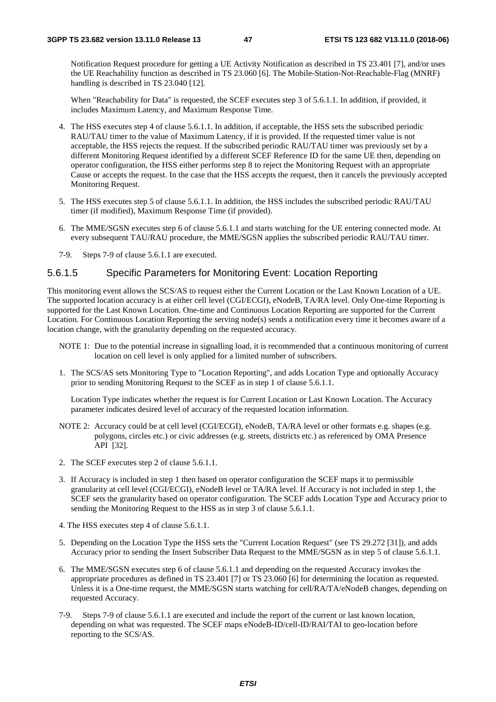Notification Request procedure for getting a UE Activity Notification as described in TS 23.401 [7], and/or uses the UE Reachability function as described in TS 23.060 [6]. The Mobile-Station-Not-Reachable-Flag (MNRF) handling is described in TS 23.040 [12].

When "Reachability for Data" is requested, the SCEF executes step 3 of 5.6.1.1. In addition, if provided, it includes Maximum Latency, and Maximum Response Time.

- 4. The HSS executes step 4 of clause 5.6.1.1. In addition, if acceptable, the HSS sets the subscribed periodic RAU/TAU timer to the value of Maximum Latency, if it is provided. If the requested timer value is not acceptable, the HSS rejects the request. If the subscribed periodic RAU/TAU timer was previously set by a different Monitoring Request identified by a different SCEF Reference ID for the same UE then, depending on operator configuration, the HSS either performs step 8 to reject the Monitoring Request with an appropriate Cause or accepts the request. In the case that the HSS accepts the request, then it cancels the previously accepted Monitoring Request.
- 5. The HSS executes step 5 of clause 5.6.1.1. In addition, the HSS includes the subscribed periodic RAU/TAU timer (if modified), Maximum Response Time (if provided).
- 6. The MME/SGSN executes step 6 of clause 5.6.1.1 and starts watching for the UE entering connected mode. At every subsequent TAU/RAU procedure, the MME/SGSN applies the subscribed periodic RAU/TAU timer.
- 7-9. Steps 7-9 of clause 5.6.1.1 are executed.

## 5.6.1.5 Specific Parameters for Monitoring Event: Location Reporting

This monitoring event allows the SCS/AS to request either the Current Location or the Last Known Location of a UE. The supported location accuracy is at either cell level (CGI/ECGI), eNodeB, TA/RA level. Only One-time Reporting is supported for the Last Known Location. One-time and Continuous Location Reporting are supported for the Current Location. For Continuous Location Reporting the serving node(s) sends a notification every time it becomes aware of a location change, with the granularity depending on the requested accuracy.

- NOTE 1: Due to the potential increase in signalling load, it is recommended that a continuous monitoring of current location on cell level is only applied for a limited number of subscribers.
- 1. The SCS/AS sets Monitoring Type to "Location Reporting", and adds Location Type and optionally Accuracy prior to sending Monitoring Request to the SCEF as in step 1 of clause 5.6.1.1.

 Location Type indicates whether the request is for Current Location or Last Known Location. The Accuracy parameter indicates desired level of accuracy of the requested location information.

- NOTE 2: Accuracy could be at cell level (CGI/ECGI), eNodeB, TA/RA level or other formats e.g. shapes (e.g. polygons, circles etc.) or civic addresses (e.g. streets, districts etc.) as referenced by OMA Presence API [32].
- 2. The SCEF executes step 2 of clause 5.6.1.1.
- 3. If Accuracy is included in step 1 then based on operator configuration the SCEF maps it to permissible granularity at cell level (CGI/ECGI), eNodeB level or TA/RA level. If Accuracy is not included in step 1, the SCEF sets the granularity based on operator configuration. The SCEF adds Location Type and Accuracy prior to sending the Monitoring Request to the HSS as in step 3 of clause 5.6.1.1.
- 4. The HSS executes step 4 of clause 5.6.1.1.
- 5. Depending on the Location Type the HSS sets the "Current Location Request" (see TS 29.272 [31]), and adds Accuracy prior to sending the Insert Subscriber Data Request to the MME/SGSN as in step 5 of clause 5.6.1.1.
- 6. The MME/SGSN executes step 6 of clause 5.6.1.1 and depending on the requested Accuracy invokes the appropriate procedures as defined in TS 23.401 [7] or TS 23.060 [6] for determining the location as requested. Unless it is a One-time request, the MME/SGSN starts watching for cell/RA/TA/eNodeB changes, depending on requested Accuracy.
- 7-9. Steps 7-9 of clause 5.6.1.1 are executed and include the report of the current or last known location, depending on what was requested. The SCEF maps eNodeB-ID/cell-ID/RAI/TAI to geo-location before reporting to the SCS/AS.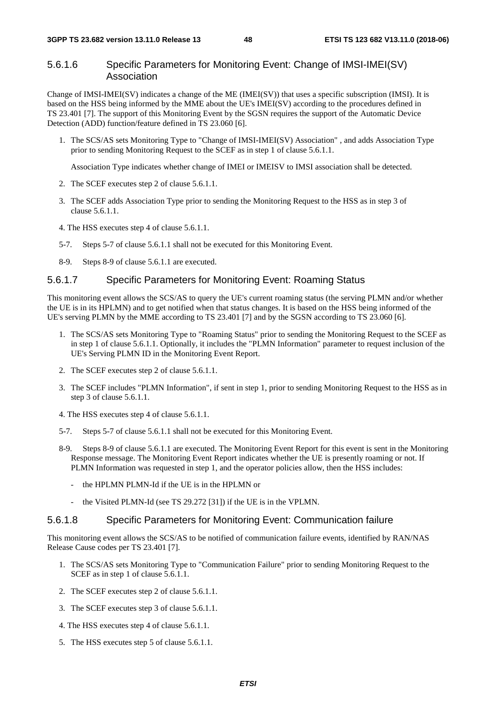## 5.6.1.6 Specific Parameters for Monitoring Event: Change of IMSI-IMEI(SV) Association

Change of IMSI-IMEI(SV) indicates a change of the ME (IMEI(SV)) that uses a specific subscription (IMSI). It is based on the HSS being informed by the MME about the UE's IMEI(SV) according to the procedures defined in TS 23.401 [7]. The support of this Monitoring Event by the SGSN requires the support of the Automatic Device Detection (ADD) function/feature defined in TS 23.060 [6].

1. The SCS/AS sets Monitoring Type to "Change of IMSI-IMEI(SV) Association" , and adds Association Type prior to sending Monitoring Request to the SCEF as in step 1 of clause 5.6.1.1.

Association Type indicates whether change of IMEI or IMEISV to IMSI association shall be detected.

- 2. The SCEF executes step 2 of clause 5.6.1.1.
- 3. The SCEF adds Association Type prior to sending the Monitoring Request to the HSS as in step 3 of clause 5.6.1.1.
- 4. The HSS executes step 4 of clause 5.6.1.1.
- 5-7. Steps 5-7 of clause 5.6.1.1 shall not be executed for this Monitoring Event.
- 8-9. Steps 8-9 of clause 5.6.1.1 are executed.

## 5.6.1.7 Specific Parameters for Monitoring Event: Roaming Status

This monitoring event allows the SCS/AS to query the UE's current roaming status (the serving PLMN and/or whether the UE is in its HPLMN) and to get notified when that status changes. It is based on the HSS being informed of the UE's serving PLMN by the MME according to TS 23.401 [7] and by the SGSN according to TS 23.060 [6].

- 1. The SCS/AS sets Monitoring Type to "Roaming Status" prior to sending the Monitoring Request to the SCEF as in step 1 of clause 5.6.1.1. Optionally, it includes the "PLMN Information" parameter to request inclusion of the UE's Serving PLMN ID in the Monitoring Event Report.
- 2. The SCEF executes step 2 of clause 5.6.1.1.
- 3. The SCEF includes "PLMN Information", if sent in step 1, prior to sending Monitoring Request to the HSS as in step 3 of clause 5.6.1.1.
- 4. The HSS executes step 4 of clause 5.6.1.1.
- 5-7. Steps 5-7 of clause 5.6.1.1 shall not be executed for this Monitoring Event.
- 8-9. Steps 8-9 of clause 5.6.1.1 are executed. The Monitoring Event Report for this event is sent in the Monitoring Response message. The Monitoring Event Report indicates whether the UE is presently roaming or not. If PLMN Information was requested in step 1, and the operator policies allow, then the HSS includes:
	- the HPLMN PLMN-Id if the UE is in the HPLMN or
	- the Visited PLMN-Id (see TS 29.272 [31]) if the UE is in the VPLMN.

#### 5.6.1.8 Specific Parameters for Monitoring Event: Communication failure

This monitoring event allows the SCS/AS to be notified of communication failure events, identified by RAN/NAS Release Cause codes per TS 23.401 [7].

- 1. The SCS/AS sets Monitoring Type to "Communication Failure" prior to sending Monitoring Request to the SCEF as in step 1 of clause 5.6.1.1.
- 2. The SCEF executes step 2 of clause 5.6.1.1.
- 3. The SCEF executes step 3 of clause 5.6.1.1.
- 4. The HSS executes step 4 of clause 5.6.1.1.
- 5. The HSS executes step 5 of clause 5.6.1.1.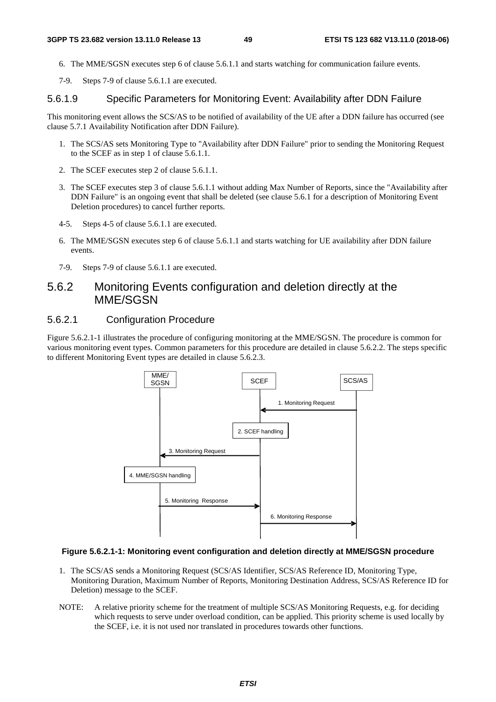- 6. The MME/SGSN executes step 6 of clause 5.6.1.1 and starts watching for communication failure events.
- 7-9. Steps 7-9 of clause 5.6.1.1 are executed.

#### 5.6.1.9 Specific Parameters for Monitoring Event: Availability after DDN Failure

This monitoring event allows the SCS/AS to be notified of availability of the UE after a DDN failure has occurred (see clause 5.7.1 Availability Notification after DDN Failure).

- 1. The SCS/AS sets Monitoring Type to "Availability after DDN Failure" prior to sending the Monitoring Request to the SCEF as in step 1 of clause 5.6.1.1.
- 2. The SCEF executes step 2 of clause 5.6.1.1.
- 3. The SCEF executes step 3 of clause 5.6.1.1 without adding Max Number of Reports, since the "Availability after DDN Failure" is an ongoing event that shall be deleted (see clause 5.6.1 for a description of Monitoring Event Deletion procedures) to cancel further reports.
- 4-5. Steps 4-5 of clause 5.6.1.1 are executed.
- 6. The MME/SGSN executes step 6 of clause 5.6.1.1 and starts watching for UE availability after DDN failure events.
- 7-9. Steps 7-9 of clause 5.6.1.1 are executed.

## 5.6.2 Monitoring Events configuration and deletion directly at the MME/SGSN

## 5.6.2.1 Configuration Procedure

Figure 5.6.2.1-1 illustrates the procedure of configuring monitoring at the MME/SGSN. The procedure is common for various monitoring event types. Common parameters for this procedure are detailed in clause 5.6.2.2. The steps specific to different Monitoring Event types are detailed in clause 5.6.2.3.



#### **Figure 5.6.2.1-1: Monitoring event configuration and deletion directly at MME/SGSN procedure**

- 1. The SCS/AS sends a Monitoring Request (SCS/AS Identifier, SCS/AS Reference ID, Monitoring Type, Monitoring Duration, Maximum Number of Reports, Monitoring Destination Address, SCS/AS Reference ID for Deletion) message to the SCEF.
- NOTE: A relative priority scheme for the treatment of multiple SCS/AS Monitoring Requests, e.g. for deciding which requests to serve under overload condition, can be applied. This priority scheme is used locally by the SCEF, i.e. it is not used nor translated in procedures towards other functions.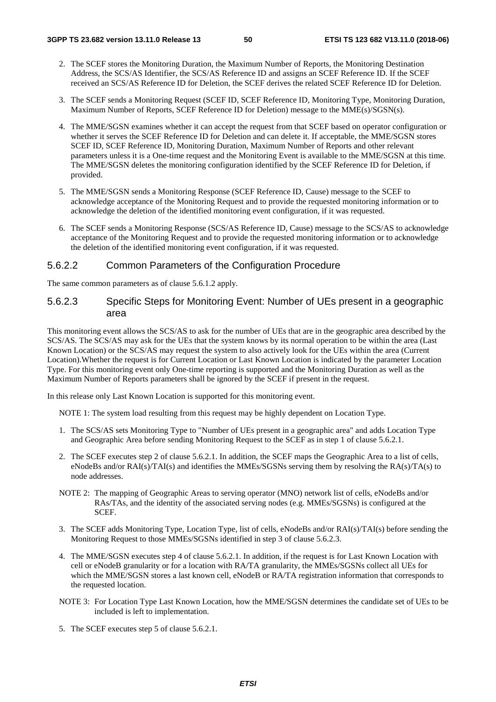- 2. The SCEF stores the Monitoring Duration, the Maximum Number of Reports, the Monitoring Destination Address, the SCS/AS Identifier, the SCS/AS Reference ID and assigns an SCEF Reference ID. If the SCEF received an SCS/AS Reference ID for Deletion, the SCEF derives the related SCEF Reference ID for Deletion.
- 3. The SCEF sends a Monitoring Request (SCEF ID, SCEF Reference ID, Monitoring Type, Monitoring Duration, Maximum Number of Reports, SCEF Reference ID for Deletion) message to the MME(s)/SGSN(s).
- 4. The MME/SGSN examines whether it can accept the request from that SCEF based on operator configuration or whether it serves the SCEF Reference ID for Deletion and can delete it. If acceptable, the MME/SGSN stores SCEF ID, SCEF Reference ID, Monitoring Duration, Maximum Number of Reports and other relevant parameters unless it is a One-time request and the Monitoring Event is available to the MME/SGSN at this time. The MME/SGSN deletes the monitoring configuration identified by the SCEF Reference ID for Deletion, if provided.
- 5. The MME/SGSN sends a Monitoring Response (SCEF Reference ID, Cause) message to the SCEF to acknowledge acceptance of the Monitoring Request and to provide the requested monitoring information or to acknowledge the deletion of the identified monitoring event configuration, if it was requested.
- 6. The SCEF sends a Monitoring Response (SCS/AS Reference ID, Cause) message to the SCS/AS to acknowledge acceptance of the Monitoring Request and to provide the requested monitoring information or to acknowledge the deletion of the identified monitoring event configuration, if it was requested.

#### 5.6.2.2 Common Parameters of the Configuration Procedure

The same common parameters as of clause 5.6.1.2 apply.

### 5.6.2.3 Specific Steps for Monitoring Event: Number of UEs present in a geographic area

This monitoring event allows the SCS/AS to ask for the number of UEs that are in the geographic area described by the SCS/AS. The SCS/AS may ask for the UEs that the system knows by its normal operation to be within the area (Last Known Location) or the SCS/AS may request the system to also actively look for the UEs within the area (Current Location).Whether the request is for Current Location or Last Known Location is indicated by the parameter Location Type. For this monitoring event only One-time reporting is supported and the Monitoring Duration as well as the Maximum Number of Reports parameters shall be ignored by the SCEF if present in the request.

In this release only Last Known Location is supported for this monitoring event.

NOTE 1: The system load resulting from this request may be highly dependent on Location Type.

- 1. The SCS/AS sets Monitoring Type to "Number of UEs present in a geographic area" and adds Location Type and Geographic Area before sending Monitoring Request to the SCEF as in step 1 of clause 5.6.2.1.
- 2. The SCEF executes step 2 of clause 5.6.2.1. In addition, the SCEF maps the Geographic Area to a list of cells, eNodeBs and/or RAI(s)/TAI(s) and identifies the MMEs/SGSNs serving them by resolving the RA(s)/TA(s) to node addresses.
- NOTE 2: The mapping of Geographic Areas to serving operator (MNO) network list of cells, eNodeBs and/or RAs/TAs, and the identity of the associated serving nodes (e.g. MMEs/SGSNs) is configured at the SCEF.
- 3. The SCEF adds Monitoring Type, Location Type, list of cells, eNodeBs and/or RAI(s)/TAI(s) before sending the Monitoring Request to those MMEs/SGSNs identified in step 3 of clause 5.6.2.3.
- 4. The MME/SGSN executes step 4 of clause 5.6.2.1. In addition, if the request is for Last Known Location with cell or eNodeB granularity or for a location with RA/TA granularity, the MMEs/SGSNs collect all UEs for which the MME/SGSN stores a last known cell, eNodeB or RA/TA registration information that corresponds to the requested location.
- NOTE 3: For Location Type Last Known Location, how the MME/SGSN determines the candidate set of UEs to be included is left to implementation.
- 5. The SCEF executes step 5 of clause 5.6.2.1.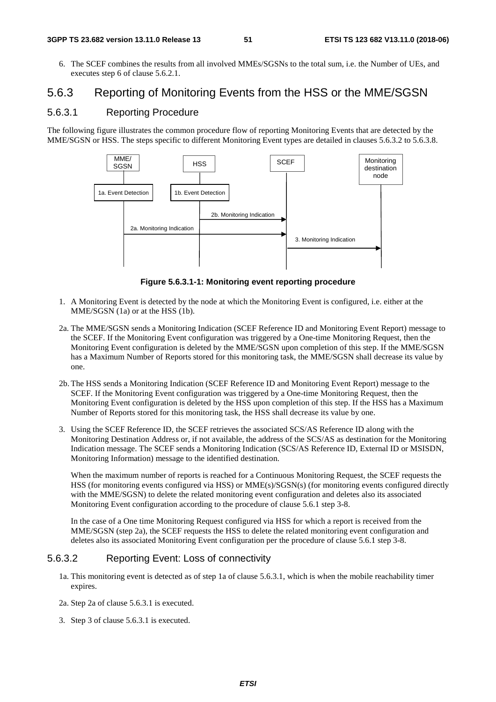6. The SCEF combines the results from all involved MMEs/SGSNs to the total sum, i.e. the Number of UEs, and executes step 6 of clause 5.6.2.1.

# 5.6.3 Reporting of Monitoring Events from the HSS or the MME/SGSN

## 5.6.3.1 Reporting Procedure

The following figure illustrates the common procedure flow of reporting Monitoring Events that are detected by the MME/SGSN or HSS. The steps specific to different Monitoring Event types are detailed in clauses 5.6.3.2 to 5.6.3.8.



**Figure 5.6.3.1-1: Monitoring event reporting procedure** 

- 1. A Monitoring Event is detected by the node at which the Monitoring Event is configured, i.e. either at the MME/SGSN (1a) or at the HSS (1b).
- 2a. The MME/SGSN sends a Monitoring Indication (SCEF Reference ID and Monitoring Event Report) message to the SCEF. If the Monitoring Event configuration was triggered by a One-time Monitoring Request, then the Monitoring Event configuration is deleted by the MME/SGSN upon completion of this step. If the MME/SGSN has a Maximum Number of Reports stored for this monitoring task, the MME/SGSN shall decrease its value by one.
- 2b. The HSS sends a Monitoring Indication (SCEF Reference ID and Monitoring Event Report) message to the SCEF. If the Monitoring Event configuration was triggered by a One-time Monitoring Request, then the Monitoring Event configuration is deleted by the HSS upon completion of this step. If the HSS has a Maximum Number of Reports stored for this monitoring task, the HSS shall decrease its value by one.
- 3. Using the SCEF Reference ID, the SCEF retrieves the associated SCS/AS Reference ID along with the Monitoring Destination Address or, if not available, the address of the SCS/AS as destination for the Monitoring Indication message. The SCEF sends a Monitoring Indication (SCS/AS Reference ID, External ID or MSISDN, Monitoring Information) message to the identified destination.

 When the maximum number of reports is reached for a Continuous Monitoring Request, the SCEF requests the HSS (for monitoring events configured via HSS) or MME(s)/SGSN(s) (for monitoring events configured directly with the MME/SGSN) to delete the related monitoring event configuration and deletes also its associated Monitoring Event configuration according to the procedure of clause 5.6.1 step 3-8.

 In the case of a One time Monitoring Request configured via HSS for which a report is received from the MME/SGSN (step 2a), the SCEF requests the HSS to delete the related monitoring event configuration and deletes also its associated Monitoring Event configuration per the procedure of clause 5.6.1 step 3-8.

# 5.6.3.2 Reporting Event: Loss of connectivity

- 1a. This monitoring event is detected as of step 1a of clause 5.6.3.1, which is when the mobile reachability timer expires.
- 2a. Step 2a of clause 5.6.3.1 is executed.
- 3. Step 3 of clause 5.6.3.1 is executed.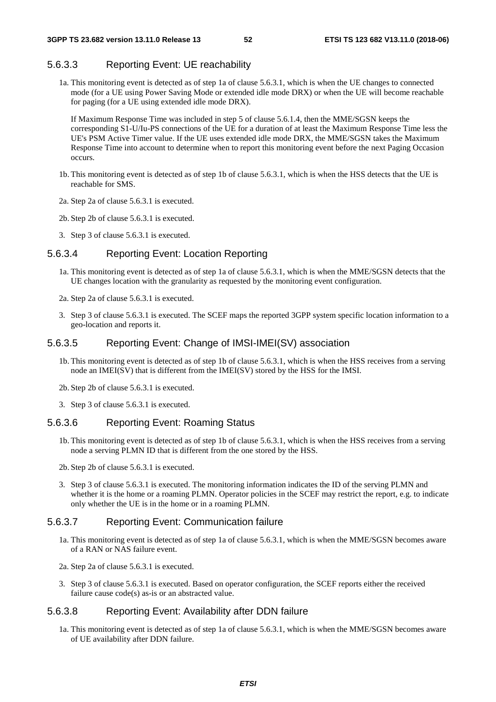## 5.6.3.3 Reporting Event: UE reachability

1a. This monitoring event is detected as of step 1a of clause 5.6.3.1, which is when the UE changes to connected mode (for a UE using Power Saving Mode or extended idle mode DRX) or when the UE will become reachable for paging (for a UE using extended idle mode DRX).

 If Maximum Response Time was included in step 5 of clause 5.6.1.4, then the MME/SGSN keeps the corresponding S1-U/Iu-PS connections of the UE for a duration of at least the Maximum Response Time less the UE's PSM Active Timer value. If the UE uses extended idle mode DRX, the MME/SGSN takes the Maximum Response Time into account to determine when to report this monitoring event before the next Paging Occasion occurs.

- 1b. This monitoring event is detected as of step 1b of clause 5.6.3.1, which is when the HSS detects that the UE is reachable for SMS.
- 2a. Step 2a of clause 5.6.3.1 is executed.
- 2b. Step 2b of clause 5.6.3.1 is executed.
- 3. Step 3 of clause 5.6.3.1 is executed.

#### 5.6.3.4 Reporting Event: Location Reporting

- 1a. This monitoring event is detected as of step 1a of clause 5.6.3.1, which is when the MME/SGSN detects that the UE changes location with the granularity as requested by the monitoring event configuration.
- 2a. Step 2a of clause 5.6.3.1 is executed.
- 3. Step 3 of clause 5.6.3.1 is executed. The SCEF maps the reported 3GPP system specific location information to a geo-location and reports it.

## 5.6.3.5 Reporting Event: Change of IMSI-IMEI(SV) association

- 1b. This monitoring event is detected as of step 1b of clause 5.6.3.1, which is when the HSS receives from a serving node an IMEI(SV) that is different from the IMEI(SV) stored by the HSS for the IMSI.
- 2b. Step 2b of clause 5.6.3.1 is executed.
- 3. Step 3 of clause 5.6.3.1 is executed.

#### 5.6.3.6 Reporting Event: Roaming Status

- 1b. This monitoring event is detected as of step 1b of clause 5.6.3.1, which is when the HSS receives from a serving node a serving PLMN ID that is different from the one stored by the HSS.
- 2b. Step 2b of clause 5.6.3.1 is executed.
- 3. Step 3 of clause 5.6.3.1 is executed. The monitoring information indicates the ID of the serving PLMN and whether it is the home or a roaming PLMN. Operator policies in the SCEF may restrict the report, e.g. to indicate only whether the UE is in the home or in a roaming PLMN.

### 5.6.3.7 Reporting Event: Communication failure

- 1a. This monitoring event is detected as of step 1a of clause 5.6.3.1, which is when the MME/SGSN becomes aware of a RAN or NAS failure event.
- 2a. Step 2a of clause 5.6.3.1 is executed.
- 3. Step 3 of clause 5.6.3.1 is executed. Based on operator configuration, the SCEF reports either the received failure cause code(s) as-is or an abstracted value.

### 5.6.3.8 Reporting Event: Availability after DDN failure

1a. This monitoring event is detected as of step 1a of clause 5.6.3.1, which is when the MME/SGSN becomes aware of UE availability after DDN failure.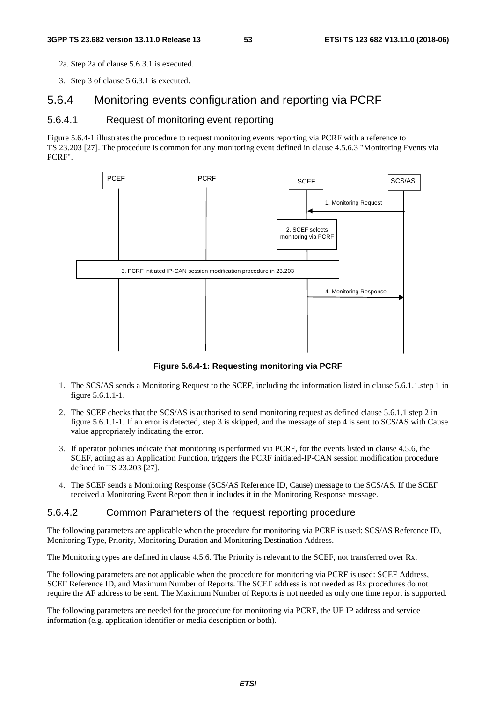2a. Step 2a of clause 5.6.3.1 is executed.

3. Step 3 of clause 5.6.3.1 is executed.

## 5.6.4 Monitoring events configuration and reporting via PCRF

## 5.6.4.1 Request of monitoring event reporting

Figure 5.6.4-1 illustrates the procedure to request monitoring events reporting via PCRF with a reference to TS 23.203 [27]. The procedure is common for any monitoring event defined in clause 4.5.6.3 "Monitoring Events via PCRF".



**Figure 5.6.4-1: Requesting monitoring via PCRF** 

- 1. The SCS/AS sends a Monitoring Request to the SCEF, including the information listed in clause 5.6.1.1.step 1 in figure 5.6.1.1-1.
- 2. The SCEF checks that the SCS/AS is authorised to send monitoring request as defined clause 5.6.1.1.step 2 in figure 5.6.1.1-1. If an error is detected, step 3 is skipped, and the message of step 4 is sent to SCS/AS with Cause value appropriately indicating the error.
- 3. If operator policies indicate that monitoring is performed via PCRF, for the events listed in clause 4.5.6, the SCEF, acting as an Application Function, triggers the PCRF initiated-IP-CAN session modification procedure defined in TS 23.203 [27].
- 4. The SCEF sends a Monitoring Response (SCS/AS Reference ID, Cause) message to the SCS/AS. If the SCEF received a Monitoring Event Report then it includes it in the Monitoring Response message.

## 5.6.4.2 Common Parameters of the request reporting procedure

The following parameters are applicable when the procedure for monitoring via PCRF is used: SCS/AS Reference ID, Monitoring Type, Priority, Monitoring Duration and Monitoring Destination Address.

The Monitoring types are defined in clause 4.5.6. The Priority is relevant to the SCEF, not transferred over Rx.

The following parameters are not applicable when the procedure for monitoring via PCRF is used: SCEF Address, SCEF Reference ID, and Maximum Number of Reports. The SCEF address is not needed as Rx procedures do not require the AF address to be sent. The Maximum Number of Reports is not needed as only one time report is supported.

The following parameters are needed for the procedure for monitoring via PCRF, the UE IP address and service information (e.g. application identifier or media description or both).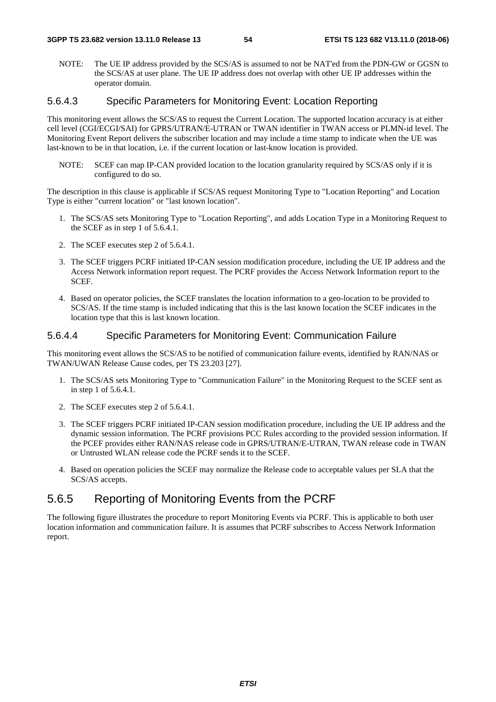NOTE: The UE IP address provided by the SCS/AS is assumed to not be NAT'ed from the PDN-GW or GGSN to the SCS/AS at user plane. The UE IP address does not overlap with other UE IP addresses within the operator domain.

### 5.6.4.3 Specific Parameters for Monitoring Event: Location Reporting

This monitoring event allows the SCS/AS to request the Current Location. The supported location accuracy is at either cell level (CGI/ECGI/SAI) for GPRS/UTRAN/E-UTRAN or TWAN identifier in TWAN access or PLMN-id level. The Monitoring Event Report delivers the subscriber location and may include a time stamp to indicate when the UE was last-known to be in that location, i.e. if the current location or last-know location is provided.

NOTE: SCEF can map IP-CAN provided location to the location granularity required by SCS/AS only if it is configured to do so.

The description in this clause is applicable if SCS/AS request Monitoring Type to "Location Reporting" and Location Type is either "current location" or "last known location".

- 1. The SCS/AS sets Monitoring Type to "Location Reporting", and adds Location Type in a Monitoring Request to the SCEF as in step 1 of 5.6.4.1.
- 2. The SCEF executes step 2 of 5.6.4.1.
- 3. The SCEF triggers PCRF initiated IP-CAN session modification procedure, including the UE IP address and the Access Network information report request. The PCRF provides the Access Network Information report to the SCEF.
- 4. Based on operator policies, the SCEF translates the location information to a geo-location to be provided to SCS/AS. If the time stamp is included indicating that this is the last known location the SCEF indicates in the location type that this is last known location.

### 5.6.4.4 Specific Parameters for Monitoring Event: Communication Failure

This monitoring event allows the SCS/AS to be notified of communication failure events, identified by RAN/NAS or TWAN/UWAN Release Cause codes, per TS 23.203 [27].

- 1. The SCS/AS sets Monitoring Type to "Communication Failure" in the Monitoring Request to the SCEF sent as in step 1 of 5.6.4.1.
- 2. The SCEF executes step 2 of 5.6.4.1.
- 3. The SCEF triggers PCRF initiated IP-CAN session modification procedure, including the UE IP address and the dynamic session information. The PCRF provisions PCC Rules according to the provided session information. If the PCEF provides either RAN/NAS release code in GPRS/UTRAN/E-UTRAN, TWAN release code in TWAN or Untrusted WLAN release code the PCRF sends it to the SCEF.
- 4. Based on operation policies the SCEF may normalize the Release code to acceptable values per SLA that the SCS/AS accepts.

# 5.6.5 Reporting of Monitoring Events from the PCRF

The following figure illustrates the procedure to report Monitoring Events via PCRF. This is applicable to both user location information and communication failure. It is assumes that PCRF subscribes to Access Network Information report.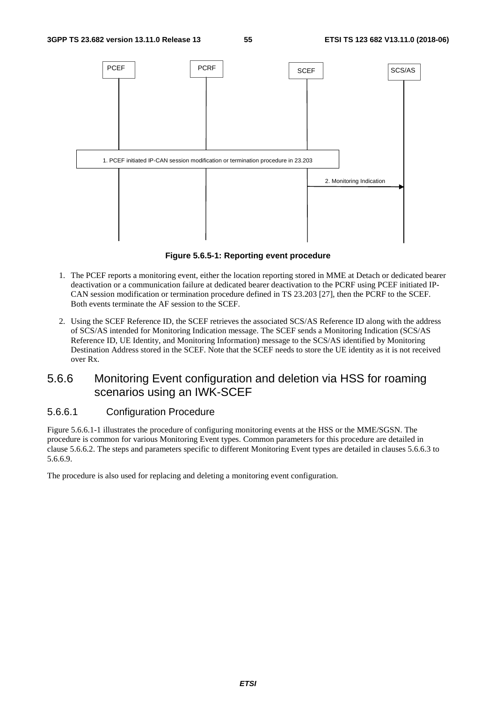

**Figure 5.6.5-1: Reporting event procedure** 

- 1. The PCEF reports a monitoring event, either the location reporting stored in MME at Detach or dedicated bearer deactivation or a communication failure at dedicated bearer deactivation to the PCRF using PCEF initiated IP-CAN session modification or termination procedure defined in TS 23.203 [27], then the PCRF to the SCEF. Both events terminate the AF session to the SCEF.
- 2. Using the SCEF Reference ID, the SCEF retrieves the associated SCS/AS Reference ID along with the address of SCS/AS intended for Monitoring Indication message. The SCEF sends a Monitoring Indication (SCS/AS Reference ID, UE Identity, and Monitoring Information) message to the SCS/AS identified by Monitoring Destination Address stored in the SCEF. Note that the SCEF needs to store the UE identity as it is not received over Rx.

# 5.6.6 Monitoring Event configuration and deletion via HSS for roaming scenarios using an IWK-SCEF

## 5.6.6.1 Configuration Procedure

Figure 5.6.6.1-1 illustrates the procedure of configuring monitoring events at the HSS or the MME/SGSN. The procedure is common for various Monitoring Event types. Common parameters for this procedure are detailed in clause 5.6.6.2. The steps and parameters specific to different Monitoring Event types are detailed in clauses 5.6.6.3 to 5.6.6.9.

The procedure is also used for replacing and deleting a monitoring event configuration.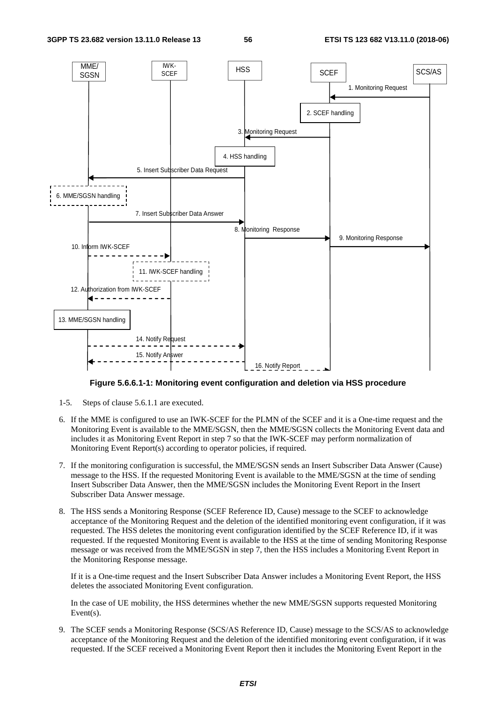

**Figure 5.6.6.1-1: Monitoring event configuration and deletion via HSS procedure** 

- 1-5. Steps of clause 5.6.1.1 are executed.
- 6. If the MME is configured to use an IWK-SCEF for the PLMN of the SCEF and it is a One-time request and the Monitoring Event is available to the MME/SGSN, then the MME/SGSN collects the Monitoring Event data and includes it as Monitoring Event Report in step 7 so that the IWK-SCEF may perform normalization of Monitoring Event Report(s) according to operator policies, if required.
- 7. If the monitoring configuration is successful, the MME/SGSN sends an Insert Subscriber Data Answer (Cause) message to the HSS. If the requested Monitoring Event is available to the MME/SGSN at the time of sending Insert Subscriber Data Answer, then the MME/SGSN includes the Monitoring Event Report in the Insert Subscriber Data Answer message.
- 8. The HSS sends a Monitoring Response (SCEF Reference ID, Cause) message to the SCEF to acknowledge acceptance of the Monitoring Request and the deletion of the identified monitoring event configuration, if it was requested. The HSS deletes the monitoring event configuration identified by the SCEF Reference ID, if it was requested. If the requested Monitoring Event is available to the HSS at the time of sending Monitoring Response message or was received from the MME/SGSN in step 7, then the HSS includes a Monitoring Event Report in the Monitoring Response message.

 If it is a One-time request and the Insert Subscriber Data Answer includes a Monitoring Event Report, the HSS deletes the associated Monitoring Event configuration.

 In the case of UE mobility, the HSS determines whether the new MME/SGSN supports requested Monitoring Event(s).

9. The SCEF sends a Monitoring Response (SCS/AS Reference ID, Cause) message to the SCS/AS to acknowledge acceptance of the Monitoring Request and the deletion of the identified monitoring event configuration, if it was requested. If the SCEF received a Monitoring Event Report then it includes the Monitoring Event Report in the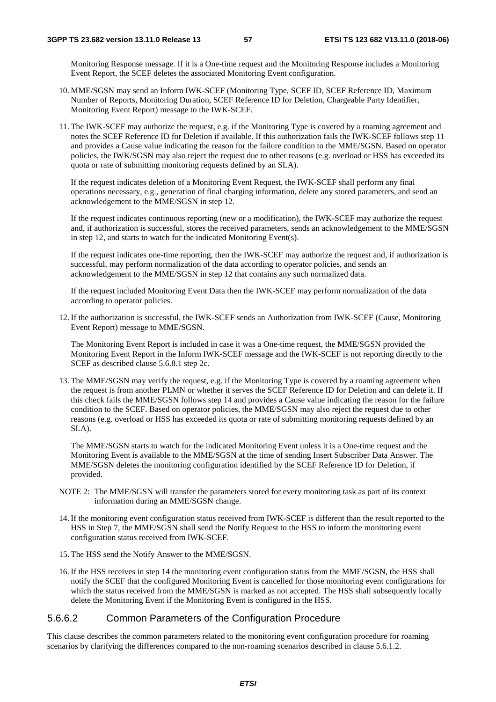Monitoring Response message. If it is a One-time request and the Monitoring Response includes a Monitoring Event Report, the SCEF deletes the associated Monitoring Event configuration.

- 10. MME/SGSN may send an Inform IWK-SCEF (Monitoring Type, SCEF ID, SCEF Reference ID, Maximum Number of Reports, Monitoring Duration, SCEF Reference ID for Deletion, Chargeable Party Identifier, Monitoring Event Report) message to the IWK-SCEF.
- 11. The IWK-SCEF may authorize the request, e.g. if the Monitoring Type is covered by a roaming agreement and notes the SCEF Reference ID for Deletion if available. If this authorization fails the IWK-SCEF follows step 11 and provides a Cause value indicating the reason for the failure condition to the MME/SGSN. Based on operator policies, the IWK/SGSN may also reject the request due to other reasons (e.g. overload or HSS has exceeded its quota or rate of submitting monitoring requests defined by an SLA).

 If the request indicates deletion of a Monitoring Event Request, the IWK-SCEF shall perform any final operations necessary, e.g., generation of final charging information, delete any stored parameters, and send an acknowledgement to the MME/SGSN in step 12.

 If the request indicates continuous reporting (new or a modification), the IWK-SCEF may authorize the request and, if authorization is successful, stores the received parameters, sends an acknowledgement to the MME/SGSN in step 12, and starts to watch for the indicated Monitoring Event(s).

 If the request indicates one-time reporting, then the IWK-SCEF may authorize the request and, if authorization is successful, may perform normalization of the data according to operator policies, and sends an acknowledgement to the MME/SGSN in step 12 that contains any such normalized data.

 If the request included Monitoring Event Data then the IWK-SCEF may perform normalization of the data according to operator policies.

12. If the authorization is successful, the IWK-SCEF sends an Authorization from IWK-SCEF (Cause, Monitoring Event Report) message to MME/SGSN.

 The Monitoring Event Report is included in case it was a One-time request, the MME/SGSN provided the Monitoring Event Report in the Inform IWK-SCEF message and the IWK-SCEF is not reporting directly to the SCEF as described clause 5.6.8.1 step 2c.

13. The MME/SGSN may verify the request, e.g. if the Monitoring Type is covered by a roaming agreement when the request is from another PLMN or whether it serves the SCEF Reference ID for Deletion and can delete it. If this check fails the MME/SGSN follows step 14 and provides a Cause value indicating the reason for the failure condition to the SCEF. Based on operator policies, the MME/SGSN may also reject the request due to other reasons (e.g. overload or HSS has exceeded its quota or rate of submitting monitoring requests defined by an SLA).

 The MME/SGSN starts to watch for the indicated Monitoring Event unless it is a One-time request and the Monitoring Event is available to the MME/SGSN at the time of sending Insert Subscriber Data Answer. The MME/SGSN deletes the monitoring configuration identified by the SCEF Reference ID for Deletion, if provided.

- NOTE 2: The MME/SGSN will transfer the parameters stored for every monitoring task as part of its context information during an MME/SGSN change.
- 14. If the monitoring event configuration status received from IWK-SCEF is different than the result reported to the HSS in Step 7, the MME/SGSN shall send the Notify Request to the HSS to inform the monitoring event configuration status received from IWK-SCEF.
- 15. The HSS send the Notify Answer to the MME/SGSN.
- 16. If the HSS receives in step 14 the monitoring event configuration status from the MME/SGSN, the HSS shall notify the SCEF that the configured Monitoring Event is cancelled for those monitoring event configurations for which the status received from the MME/SGSN is marked as not accepted. The HSS shall subsequently locally delete the Monitoring Event if the Monitoring Event is configured in the HSS.

## 5.6.6.2 Common Parameters of the Configuration Procedure

This clause describes the common parameters related to the monitoring event configuration procedure for roaming scenarios by clarifying the differences compared to the non-roaming scenarios described in clause 5.6.1.2.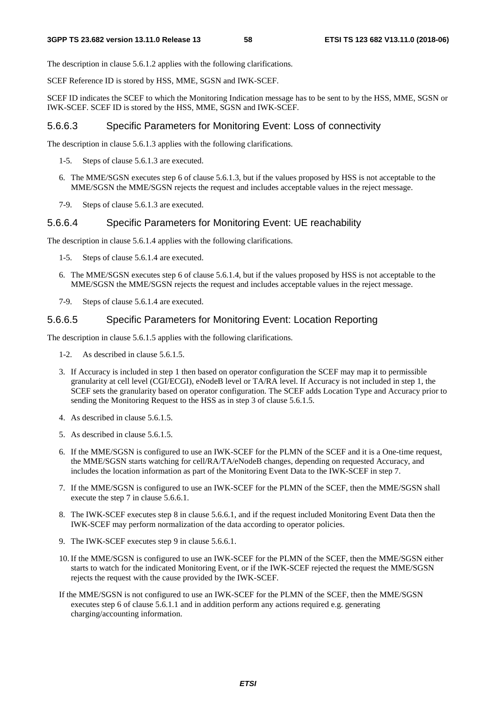The description in clause 5.6.1.2 applies with the following clarifications.

SCEF Reference ID is stored by HSS, MME, SGSN and IWK-SCEF.

SCEF ID indicates the SCEF to which the Monitoring Indication message has to be sent to by the HSS, MME, SGSN or IWK-SCEF. SCEF ID is stored by the HSS, MME, SGSN and IWK-SCEF.

### 5.6.6.3 Specific Parameters for Monitoring Event: Loss of connectivity

The description in clause 5.6.1.3 applies with the following clarifications.

- 1-5. Steps of clause 5.6.1.3 are executed.
- 6. The MME/SGSN executes step 6 of clause 5.6.1.3, but if the values proposed by HSS is not acceptable to the MME/SGSN the MME/SGSN rejects the request and includes acceptable values in the reject message.
- 7-9. Steps of clause 5.6.1.3 are executed.

### 5.6.6.4 Specific Parameters for Monitoring Event: UE reachability

The description in clause 5.6.1.4 applies with the following clarifications.

- 1-5. Steps of clause 5.6.1.4 are executed.
- 6. The MME/SGSN executes step 6 of clause 5.6.1.4, but if the values proposed by HSS is not acceptable to the MME/SGSN the MME/SGSN rejects the request and includes acceptable values in the reject message.
- 7-9. Steps of clause 5.6.1.4 are executed.

## 5.6.6.5 Specific Parameters for Monitoring Event: Location Reporting

The description in clause 5.6.1.5 applies with the following clarifications.

- 1-2. As described in clause 5.6.1.5.
- 3. If Accuracy is included in step 1 then based on operator configuration the SCEF may map it to permissible granularity at cell level (CGI/ECGI), eNodeB level or TA/RA level. If Accuracy is not included in step 1, the SCEF sets the granularity based on operator configuration. The SCEF adds Location Type and Accuracy prior to sending the Monitoring Request to the HSS as in step 3 of clause 5.6.1.5.
- 4. As described in clause 5.6.1.5.
- 5. As described in clause 5.6.1.5.
- 6. If the MME/SGSN is configured to use an IWK-SCEF for the PLMN of the SCEF and it is a One-time request, the MME/SGSN starts watching for cell/RA/TA/eNodeB changes, depending on requested Accuracy, and includes the location information as part of the Monitoring Event Data to the IWK-SCEF in step 7.
- 7. If the MME/SGSN is configured to use an IWK-SCEF for the PLMN of the SCEF, then the MME/SGSN shall execute the step 7 in clause 5.6.6.1.
- 8. The IWK-SCEF executes step 8 in clause 5.6.6.1, and if the request included Monitoring Event Data then the IWK-SCEF may perform normalization of the data according to operator policies.
- 9. The IWK-SCEF executes step 9 in clause 5.6.6.1.
- 10. If the MME/SGSN is configured to use an IWK-SCEF for the PLMN of the SCEF, then the MME/SGSN either starts to watch for the indicated Monitoring Event, or if the IWK-SCEF rejected the request the MME/SGSN rejects the request with the cause provided by the IWK-SCEF.
- If the MME/SGSN is not configured to use an IWK-SCEF for the PLMN of the SCEF, then the MME/SGSN executes step 6 of clause 5.6.1.1 and in addition perform any actions required e.g. generating charging/accounting information.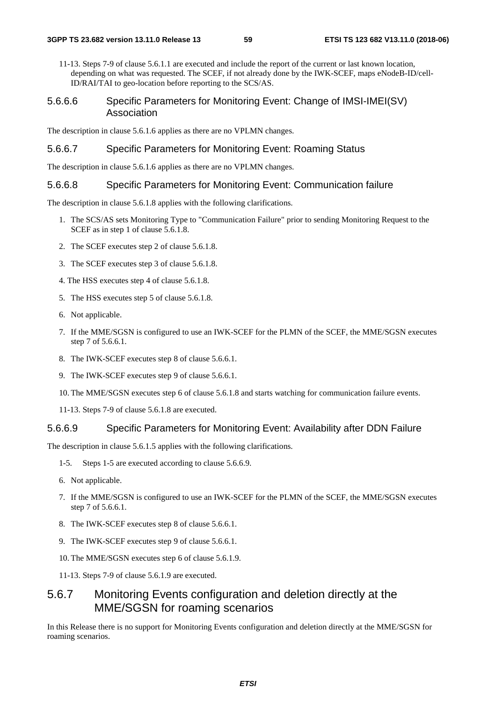11-13. Steps 7-9 of clause 5.6.1.1 are executed and include the report of the current or last known location, depending on what was requested. The SCEF, if not already done by the IWK-SCEF, maps eNodeB-ID/cell-ID/RAI/TAI to geo-location before reporting to the SCS/AS.

### 5.6.6.6 Specific Parameters for Monitoring Event: Change of IMSI-IMEI(SV) Association

The description in clause 5.6.1.6 applies as there are no VPLMN changes.

### 5.6.6.7 Specific Parameters for Monitoring Event: Roaming Status

The description in clause 5.6.1.6 applies as there are no VPLMN changes.

#### 5.6.6.8 Specific Parameters for Monitoring Event: Communication failure

The description in clause 5.6.1.8 applies with the following clarifications.

- 1. The SCS/AS sets Monitoring Type to "Communication Failure" prior to sending Monitoring Request to the SCEF as in step 1 of clause 5.6.1.8.
- 2. The SCEF executes step 2 of clause 5.6.1.8.
- 3. The SCEF executes step 3 of clause 5.6.1.8.
- 4. The HSS executes step 4 of clause 5.6.1.8.
- 5. The HSS executes step 5 of clause 5.6.1.8.
- 6. Not applicable.
- 7. If the MME/SGSN is configured to use an IWK-SCEF for the PLMN of the SCEF, the MME/SGSN executes step 7 of 5.6.6.1.
- 8. The IWK-SCEF executes step 8 of clause 5.6.6.1.
- 9. The IWK-SCEF executes step 9 of clause 5.6.6.1.
- 10. The MME/SGSN executes step 6 of clause 5.6.1.8 and starts watching for communication failure events.
- 11-13. Steps 7-9 of clause 5.6.1.8 are executed.

#### 5.6.6.9 Specific Parameters for Monitoring Event: Availability after DDN Failure

The description in clause 5.6.1.5 applies with the following clarifications.

- 1-5. Steps 1-5 are executed according to clause 5.6.6.9.
- 6. Not applicable.
- 7. If the MME/SGSN is configured to use an IWK-SCEF for the PLMN of the SCEF, the MME/SGSN executes step 7 of 5.6.6.1.
- 8. The IWK-SCEF executes step 8 of clause 5.6.6.1.
- 9. The IWK-SCEF executes step 9 of clause 5.6.6.1.
- 10. The MME/SGSN executes step 6 of clause 5.6.1.9.
- 11-13. Steps 7-9 of clause 5.6.1.9 are executed.

# 5.6.7 Monitoring Events configuration and deletion directly at the MME/SGSN for roaming scenarios

In this Release there is no support for Monitoring Events configuration and deletion directly at the MME/SGSN for roaming scenarios.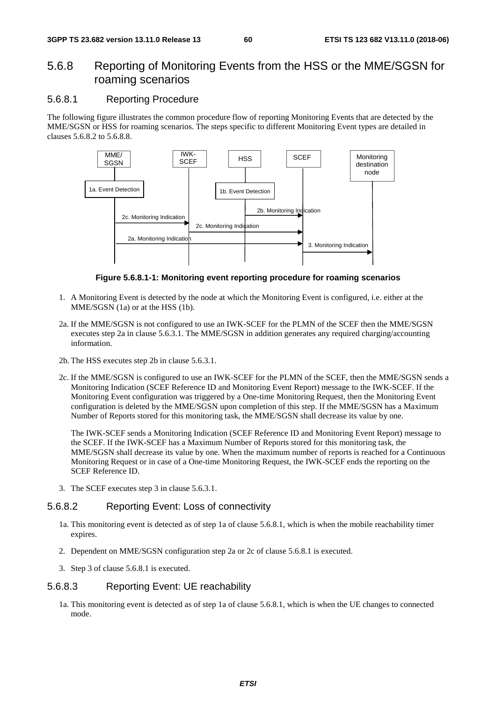## 5.6.8 Reporting of Monitoring Events from the HSS or the MME/SGSN for roaming scenarios

## 5.6.8.1 Reporting Procedure

The following figure illustrates the common procedure flow of reporting Monitoring Events that are detected by the MME/SGSN or HSS for roaming scenarios. The steps specific to different Monitoring Event types are detailed in clauses 5.6.8.2 to 5.6.8.8.



**Figure 5.6.8.1-1: Monitoring event reporting procedure for roaming scenarios** 

- 1. A Monitoring Event is detected by the node at which the Monitoring Event is configured, i.e. either at the MME/SGSN (1a) or at the HSS (1b).
- 2a. If the MME/SGSN is not configured to use an IWK-SCEF for the PLMN of the SCEF then the MME/SGSN executes step 2a in clause 5.6.3.1. The MME/SGSN in addition generates any required charging/accounting information.
- 2b. The HSS executes step 2b in clause 5.6.3.1.
- 2c. If the MME/SGSN is configured to use an IWK-SCEF for the PLMN of the SCEF, then the MME/SGSN sends a Monitoring Indication (SCEF Reference ID and Monitoring Event Report) message to the IWK-SCEF. If the Monitoring Event configuration was triggered by a One-time Monitoring Request, then the Monitoring Event configuration is deleted by the MME/SGSN upon completion of this step. If the MME/SGSN has a Maximum Number of Reports stored for this monitoring task, the MME/SGSN shall decrease its value by one.

 The IWK-SCEF sends a Monitoring Indication (SCEF Reference ID and Monitoring Event Report) message to the SCEF. If the IWK-SCEF has a Maximum Number of Reports stored for this monitoring task, the MME/SGSN shall decrease its value by one. When the maximum number of reports is reached for a Continuous Monitoring Request or in case of a One-time Monitoring Request, the IWK-SCEF ends the reporting on the SCEF Reference ID.

3. The SCEF executes step 3 in clause 5.6.3.1.

## 5.6.8.2 Reporting Event: Loss of connectivity

- 1a. This monitoring event is detected as of step 1a of clause 5.6.8.1, which is when the mobile reachability timer expires.
- 2. Dependent on MME/SGSN configuration step 2a or 2c of clause 5.6.8.1 is executed.
- 3. Step 3 of clause 5.6.8.1 is executed.

#### 5.6.8.3 Reporting Event: UE reachability

1a. This monitoring event is detected as of step 1a of clause 5.6.8.1, which is when the UE changes to connected mode.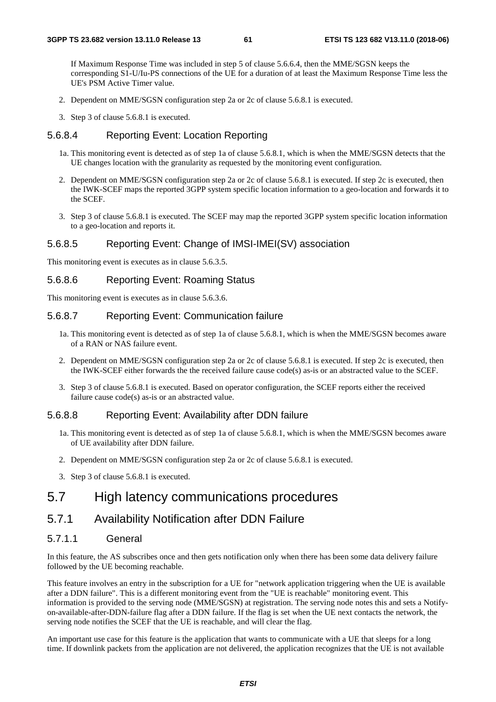If Maximum Response Time was included in step 5 of clause 5.6.6.4, then the MME/SGSN keeps the corresponding S1-U/Iu-PS connections of the UE for a duration of at least the Maximum Response Time less the UE's PSM Active Timer value.

- 2. Dependent on MME/SGSN configuration step 2a or 2c of clause 5.6.8.1 is executed.
- 3. Step 3 of clause 5.6.8.1 is executed.

### 5.6.8.4 Reporting Event: Location Reporting

- 1a. This monitoring event is detected as of step 1a of clause 5.6.8.1, which is when the MME/SGSN detects that the UE changes location with the granularity as requested by the monitoring event configuration.
- 2. Dependent on MME/SGSN configuration step 2a or 2c of clause 5.6.8.1 is executed. If step 2c is executed, then the IWK-SCEF maps the reported 3GPP system specific location information to a geo-location and forwards it to the SCEF.
- 3. Step 3 of clause 5.6.8.1 is executed. The SCEF may map the reported 3GPP system specific location information to a geo-location and reports it.

## 5.6.8.5 Reporting Event: Change of IMSI-IMEI(SV) association

This monitoring event is executes as in clause 5.6.3.5.

### 5.6.8.6 Reporting Event: Roaming Status

This monitoring event is executes as in clause 5.6.3.6.

### 5.6.8.7 Reporting Event: Communication failure

- 1a. This monitoring event is detected as of step 1a of clause 5.6.8.1, which is when the MME/SGSN becomes aware of a RAN or NAS failure event.
- 2. Dependent on MME/SGSN configuration step 2a or 2c of clause 5.6.8.1 is executed. If step 2c is executed, then the IWK-SCEF either forwards the the received failure cause code(s) as-is or an abstracted value to the SCEF.
- 3. Step 3 of clause 5.6.8.1 is executed. Based on operator configuration, the SCEF reports either the received failure cause code(s) as-is or an abstracted value.

### 5.6.8.8 Reporting Event: Availability after DDN failure

- 1a. This monitoring event is detected as of step 1a of clause 5.6.8.1, which is when the MME/SGSN becomes aware of UE availability after DDN failure.
- 2. Dependent on MME/SGSN configuration step 2a or 2c of clause 5.6.8.1 is executed.
- 3. Step 3 of clause 5.6.8.1 is executed.

## 5.7 High latency communications procedures

# 5.7.1 Availability Notification after DDN Failure

### 5.7.1.1 General

In this feature, the AS subscribes once and then gets notification only when there has been some data delivery failure followed by the UE becoming reachable.

This feature involves an entry in the subscription for a UE for "network application triggering when the UE is available after a DDN failure". This is a different monitoring event from the "UE is reachable" monitoring event. This information is provided to the serving node (MME/SGSN) at registration. The serving node notes this and sets a Notifyon-available-after-DDN-failure flag after a DDN failure. If the flag is set when the UE next contacts the network, the serving node notifies the SCEF that the UE is reachable, and will clear the flag.

An important use case for this feature is the application that wants to communicate with a UE that sleeps for a long time. If downlink packets from the application are not delivered, the application recognizes that the UE is not available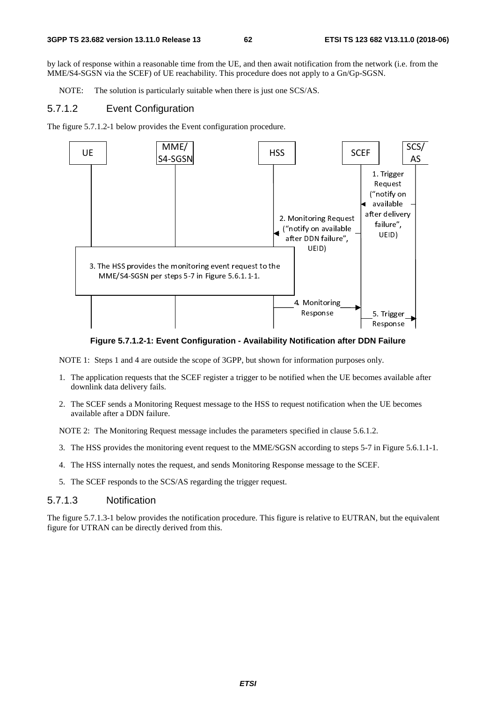by lack of response within a reasonable time from the UE, and then await notification from the network (i.e. from the MME/S4-SGSN via the SCEF) of UE reachability. This procedure does not apply to a Gn/Gp-SGSN.

NOTE: The solution is particularly suitable when there is just one SCS/AS.

#### 5.7.1.2 Event Configuration

The figure 5.7.1.2-1 below provides the Event configuration procedure.



**Figure 5.7.1.2-1: Event Configuration - Availability Notification after DDN Failure** 

NOTE 1: Steps 1 and 4 are outside the scope of 3GPP, but shown for information purposes only.

- 1. The application requests that the SCEF register a trigger to be notified when the UE becomes available after downlink data delivery fails.
- 2. The SCEF sends a Monitoring Request message to the HSS to request notification when the UE becomes available after a DDN failure.

NOTE 2: The Monitoring Request message includes the parameters specified in clause 5.6.1.2.

- 3. The HSS provides the monitoring event request to the MME/SGSN according to steps 5-7 in Figure 5.6.1.1-1.
- 4. The HSS internally notes the request, and sends Monitoring Response message to the SCEF.
- 5. The SCEF responds to the SCS/AS regarding the trigger request.

#### 5.7.1.3 Notification

The figure 5.7.1.3-1 below provides the notification procedure. This figure is relative to EUTRAN, but the equivalent figure for UTRAN can be directly derived from this.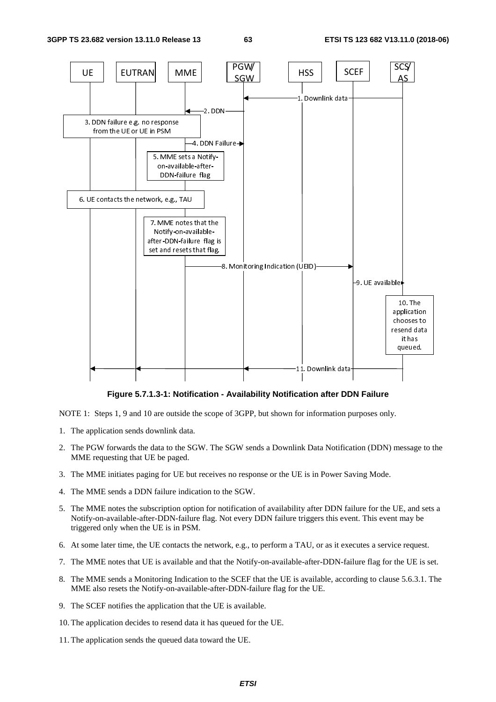

**Figure 5.7.1.3-1: Notification - Availability Notification after DDN Failure** 

NOTE 1: Steps 1, 9 and 10 are outside the scope of 3GPP, but shown for information purposes only.

- 1. The application sends downlink data.
- 2. The PGW forwards the data to the SGW. The SGW sends a Downlink Data Notification (DDN) message to the MME requesting that UE be paged.
- 3. The MME initiates paging for UE but receives no response or the UE is in Power Saving Mode.
- 4. The MME sends a DDN failure indication to the SGW.
- 5. The MME notes the subscription option for notification of availability after DDN failure for the UE, and sets a Notify-on-available-after-DDN-failure flag. Not every DDN failure triggers this event. This event may be triggered only when the UE is in PSM.
- 6. At some later time, the UE contacts the network, e.g., to perform a TAU, or as it executes a service request.
- 7. The MME notes that UE is available and that the Notify-on-available-after-DDN-failure flag for the UE is set.
- 8. The MME sends a Monitoring Indication to the SCEF that the UE is available, according to clause 5.6.3.1. The MME also resets the Notify-on-available-after-DDN-failure flag for the UE.
- 9. The SCEF notifies the application that the UE is available.
- 10. The application decides to resend data it has queued for the UE.
- 11. The application sends the queued data toward the UE.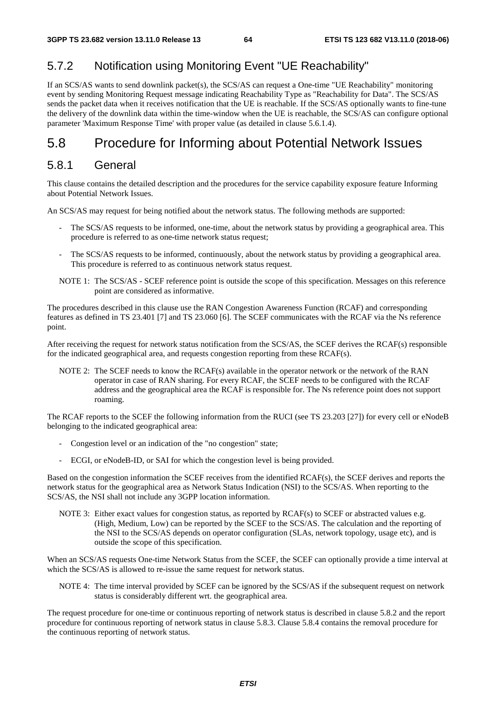# 5.7.2 Notification using Monitoring Event "UE Reachability"

If an SCS/AS wants to send downlink packet(s), the SCS/AS can request a One-time "UE Reachability" monitoring event by sending Monitoring Request message indicating Reachability Type as "Reachability for Data". The SCS/AS sends the packet data when it receives notification that the UE is reachable. If the SCS/AS optionally wants to fine-tune the delivery of the downlink data within the time-window when the UE is reachable, the SCS/AS can configure optional parameter 'Maximum Response Time' with proper value (as detailed in clause 5.6.1.4).

# 5.8 Procedure for Informing about Potential Network Issues

## 5.8.1 General

This clause contains the detailed description and the procedures for the service capability exposure feature Informing about Potential Network Issues.

An SCS/AS may request for being notified about the network status. The following methods are supported:

- The SCS/AS requests to be informed, one-time, about the network status by providing a geographical area. This procedure is referred to as one-time network status request;
- The SCS/AS requests to be informed, continuously, about the network status by providing a geographical area. This procedure is referred to as continuous network status request.
- NOTE 1: The SCS/AS SCEF reference point is outside the scope of this specification. Messages on this reference point are considered as informative.

The procedures described in this clause use the RAN Congestion Awareness Function (RCAF) and corresponding features as defined in TS 23.401 [7] and TS 23.060 [6]. The SCEF communicates with the RCAF via the Ns reference point.

After receiving the request for network status notification from the SCS/AS, the SCEF derives the RCAF(s) responsible for the indicated geographical area, and requests congestion reporting from these RCAF(s).

NOTE 2: The SCEF needs to know the RCAF(s) available in the operator network or the network of the RAN operator in case of RAN sharing. For every RCAF, the SCEF needs to be configured with the RCAF address and the geographical area the RCAF is responsible for. The Ns reference point does not support roaming.

The RCAF reports to the SCEF the following information from the RUCI (see TS 23.203 [27]) for every cell or eNodeB belonging to the indicated geographical area:

- Congestion level or an indication of the "no congestion" state;
- ECGI, or eNodeB-ID, or SAI for which the congestion level is being provided.

Based on the congestion information the SCEF receives from the identified RCAF(s), the SCEF derives and reports the network status for the geographical area as Network Status Indication (NSI) to the SCS/AS. When reporting to the SCS/AS, the NSI shall not include any 3GPP location information.

NOTE 3: Either exact values for congestion status, as reported by RCAF(s) to SCEF or abstracted values e.g. (High, Medium, Low) can be reported by the SCEF to the SCS/AS. The calculation and the reporting of the NSI to the SCS/AS depends on operator configuration (SLAs, network topology, usage etc), and is outside the scope of this specification.

When an SCS/AS requests One-time Network Status from the SCEF, the SCEF can optionally provide a time interval at which the SCS/AS is allowed to re-issue the same request for network status.

NOTE 4: The time interval provided by SCEF can be ignored by the SCS/AS if the subsequent request on network status is considerably different wrt. the geographical area.

The request procedure for one-time or continuous reporting of network status is described in clause 5.8.2 and the report procedure for continuous reporting of network status in clause 5.8.3. Clause 5.8.4 contains the removal procedure for the continuous reporting of network status.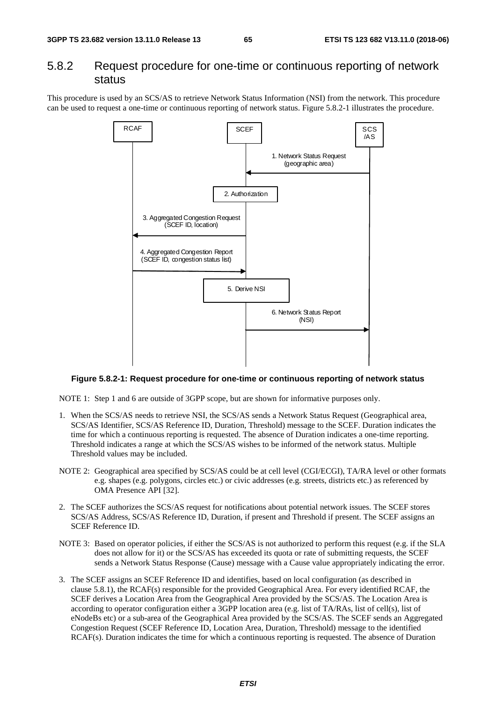## 5.8.2 Request procedure for one-time or continuous reporting of network status

This procedure is used by an SCS/AS to retrieve Network Status Information (NSI) from the network. This procedure can be used to request a one-time or continuous reporting of network status. Figure 5.8.2-1 illustrates the procedure.



#### **Figure 5.8.2-1: Request procedure for one-time or continuous reporting of network status**

NOTE 1: Step 1 and 6 are outside of 3GPP scope, but are shown for informative purposes only.

- 1. When the SCS/AS needs to retrieve NSI, the SCS/AS sends a Network Status Request (Geographical area, SCS/AS Identifier, SCS/AS Reference ID, Duration, Threshold) message to the SCEF. Duration indicates the time for which a continuous reporting is requested. The absence of Duration indicates a one-time reporting. Threshold indicates a range at which the SCS/AS wishes to be informed of the network status. Multiple Threshold values may be included.
- NOTE 2: Geographical area specified by SCS/AS could be at cell level (CGI/ECGI), TA/RA level or other formats e.g. shapes (e.g. polygons, circles etc.) or civic addresses (e.g. streets, districts etc.) as referenced by OMA Presence API [32].
- 2. The SCEF authorizes the SCS/AS request for notifications about potential network issues. The SCEF stores SCS/AS Address, SCS/AS Reference ID, Duration, if present and Threshold if present. The SCEF assigns an SCEF Reference ID.
- NOTE 3: Based on operator policies, if either the SCS/AS is not authorized to perform this request (e.g. if the SLA does not allow for it) or the SCS/AS has exceeded its quota or rate of submitting requests, the SCEF sends a Network Status Response (Cause) message with a Cause value appropriately indicating the error.
- 3. The SCEF assigns an SCEF Reference ID and identifies, based on local configuration (as described in clause 5.8.1), the RCAF(s) responsible for the provided Geographical Area. For every identified RCAF, the SCEF derives a Location Area from the Geographical Area provided by the SCS/AS. The Location Area is according to operator configuration either a 3GPP location area (e.g. list of TA/RAs, list of cell(s), list of eNodeBs etc) or a sub-area of the Geographical Area provided by the SCS/AS. The SCEF sends an Aggregated Congestion Request (SCEF Reference ID, Location Area, Duration, Threshold) message to the identified RCAF(s). Duration indicates the time for which a continuous reporting is requested. The absence of Duration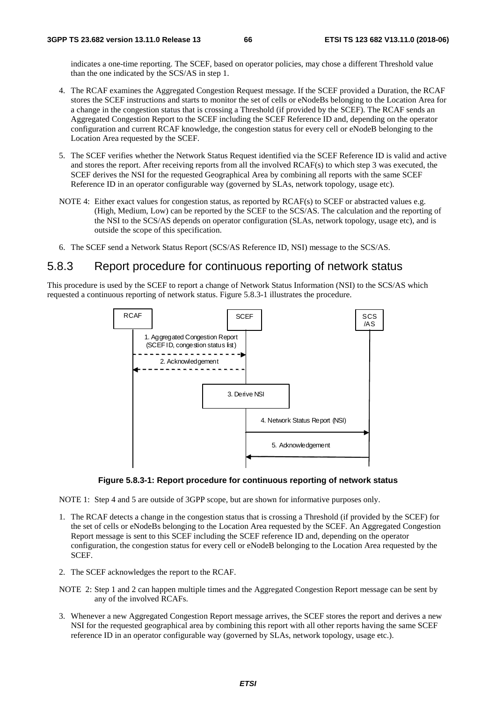indicates a one-time reporting. The SCEF, based on operator policies, may chose a different Threshold value than the one indicated by the SCS/AS in step 1.

- 4. The RCAF examines the Aggregated Congestion Request message. If the SCEF provided a Duration, the RCAF stores the SCEF instructions and starts to monitor the set of cells or eNodeBs belonging to the Location Area for a change in the congestion status that is crossing a Threshold (if provided by the SCEF). The RCAF sends an Aggregated Congestion Report to the SCEF including the SCEF Reference ID and, depending on the operator configuration and current RCAF knowledge, the congestion status for every cell or eNodeB belonging to the Location Area requested by the SCEF.
- 5. The SCEF verifies whether the Network Status Request identified via the SCEF Reference ID is valid and active and stores the report. After receiving reports from all the involved RCAF(s) to which step 3 was executed, the SCEF derives the NSI for the requested Geographical Area by combining all reports with the same SCEF Reference ID in an operator configurable way (governed by SLAs, network topology, usage etc).
- NOTE 4: Either exact values for congestion status, as reported by RCAF(s) to SCEF or abstracted values e.g. (High, Medium, Low) can be reported by the SCEF to the SCS/AS. The calculation and the reporting of the NSI to the SCS/AS depends on operator configuration (SLAs, network topology, usage etc), and is outside the scope of this specification.
- 6. The SCEF send a Network Status Report (SCS/AS Reference ID, NSI) message to the SCS/AS.

# 5.8.3 Report procedure for continuous reporting of network status

This procedure is used by the SCEF to report a change of Network Status Information (NSI) to the SCS/AS which requested a continuous reporting of network status. Figure 5.8.3-1 illustrates the procedure.





NOTE 1: Step 4 and 5 are outside of 3GPP scope, but are shown for informative purposes only.

- 1. The RCAF detects a change in the congestion status that is crossing a Threshold (if provided by the SCEF) for the set of cells or eNodeBs belonging to the Location Area requested by the SCEF. An Aggregated Congestion Report message is sent to this SCEF including the SCEF reference ID and, depending on the operator configuration, the congestion status for every cell or eNodeB belonging to the Location Area requested by the **SCEF.**
- 2. The SCEF acknowledges the report to the RCAF.
- NOTE 2: Step 1 and 2 can happen multiple times and the Aggregated Congestion Report message can be sent by any of the involved RCAFs.
- 3. Whenever a new Aggregated Congestion Report message arrives, the SCEF stores the report and derives a new NSI for the requested geographical area by combining this report with all other reports having the same SCEF reference ID in an operator configurable way (governed by SLAs, network topology, usage etc.).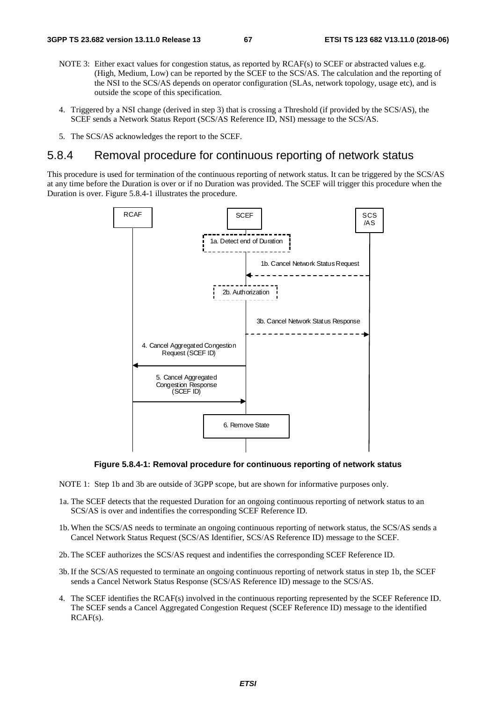- NOTE 3: Either exact values for congestion status, as reported by RCAF(s) to SCEF or abstracted values e.g. (High, Medium, Low) can be reported by the SCEF to the SCS/AS. The calculation and the reporting of the NSI to the SCS/AS depends on operator configuration (SLAs, network topology, usage etc), and is outside the scope of this specification.
- 4. Triggered by a NSI change (derived in step 3) that is crossing a Threshold (if provided by the SCS/AS), the SCEF sends a Network Status Report (SCS/AS Reference ID, NSI) message to the SCS/AS.
- 5. The SCS/AS acknowledges the report to the SCEF.

## 5.8.4 Removal procedure for continuous reporting of network status

This procedure is used for termination of the continuous reporting of network status. It can be triggered by the SCS/AS at any time before the Duration is over or if no Duration was provided. The SCEF will trigger this procedure when the Duration is over. Figure 5.8.4-1 illustrates the procedure.



**Figure 5.8.4-1: Removal procedure for continuous reporting of network status** 

NOTE 1: Step 1b and 3b are outside of 3GPP scope, but are shown for informative purposes only.

- 1a. The SCEF detects that the requested Duration for an ongoing continuous reporting of network status to an SCS/AS is over and indentifies the corresponding SCEF Reference ID.
- 1b. When the SCS/AS needs to terminate an ongoing continuous reporting of network status, the SCS/AS sends a Cancel Network Status Request (SCS/AS Identifier, SCS/AS Reference ID) message to the SCEF.
- 2b. The SCEF authorizes the SCS/AS request and indentifies the corresponding SCEF Reference ID.
- 3b. If the SCS/AS requested to terminate an ongoing continuous reporting of network status in step 1b, the SCEF sends a Cancel Network Status Response (SCS/AS Reference ID) message to the SCS/AS.
- 4. The SCEF identifies the RCAF(s) involved in the continuous reporting represented by the SCEF Reference ID. The SCEF sends a Cancel Aggregated Congestion Request (SCEF Reference ID) message to the identified RCAF(s).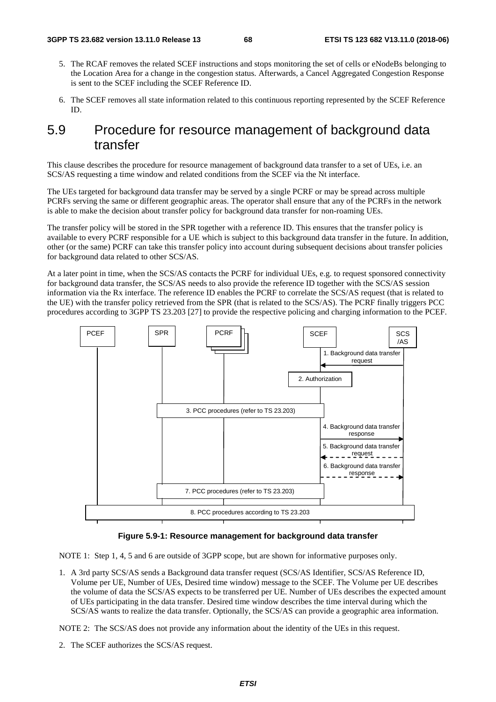- 5. The RCAF removes the related SCEF instructions and stops monitoring the set of cells or eNodeBs belonging to the Location Area for a change in the congestion status. Afterwards, a Cancel Aggregated Congestion Response is sent to the SCEF including the SCEF Reference ID.
- 6. The SCEF removes all state information related to this continuous reporting represented by the SCEF Reference ID.

# 5.9 Procedure for resource management of background data transfer

This clause describes the procedure for resource management of background data transfer to a set of UEs, i.e. an SCS/AS requesting a time window and related conditions from the SCEF via the Nt interface.

The UEs targeted for background data transfer may be served by a single PCRF or may be spread across multiple PCRFs serving the same or different geographic areas. The operator shall ensure that any of the PCRFs in the network is able to make the decision about transfer policy for background data transfer for non-roaming UEs.

The transfer policy will be stored in the SPR together with a reference ID. This ensures that the transfer policy is available to every PCRF responsible for a UE which is subject to this background data transfer in the future. In addition, other (or the same) PCRF can take this transfer policy into account during subsequent decisions about transfer policies for background data related to other SCS/AS.

At a later point in time, when the SCS/AS contacts the PCRF for individual UEs, e.g. to request sponsored connectivity for background data transfer, the SCS/AS needs to also provide the reference ID together with the SCS/AS session information via the Rx interface. The reference ID enables the PCRF to correlate the SCS/AS request (that is related to the UE) with the transfer policy retrieved from the SPR (that is related to the SCS/AS). The PCRF finally triggers PCC procedures according to 3GPP TS 23.203 [27] to provide the respective policing and charging information to the PCEF.



#### **Figure 5.9-1: Resource management for background data transfer**

NOTE 1: Step 1, 4, 5 and 6 are outside of 3GPP scope, but are shown for informative purposes only.

1. A 3rd party SCS/AS sends a Background data transfer request (SCS/AS Identifier, SCS/AS Reference ID, Volume per UE, Number of UEs, Desired time window) message to the SCEF. The Volume per UE describes the volume of data the SCS/AS expects to be transferred per UE. Number of UEs describes the expected amount of UEs participating in the data transfer. Desired time window describes the time interval during which the SCS/AS wants to realize the data transfer. Optionally, the SCS/AS can provide a geographic area information.

NOTE 2: The SCS/AS does not provide any information about the identity of the UEs in this request.

2. The SCEF authorizes the SCS/AS request.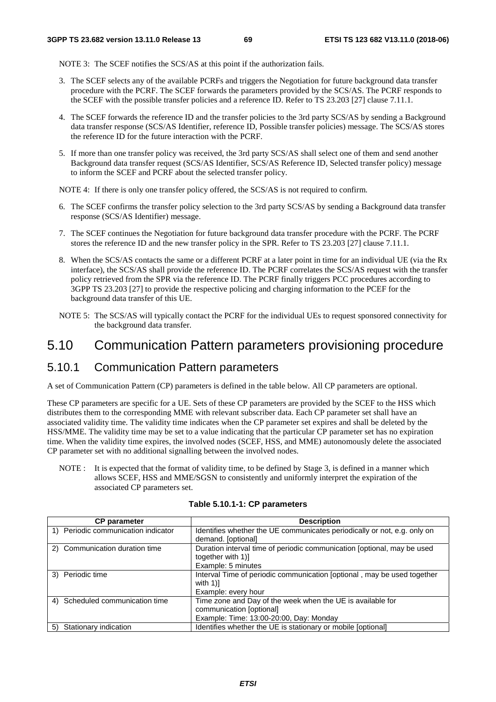NOTE 3: The SCEF notifies the SCS/AS at this point if the authorization fails.

- 3. The SCEF selects any of the available PCRFs and triggers the Negotiation for future background data transfer procedure with the PCRF. The SCEF forwards the parameters provided by the SCS/AS. The PCRF responds to the SCEF with the possible transfer policies and a reference ID. Refer to TS 23.203 [27] clause 7.11.1.
- 4. The SCEF forwards the reference ID and the transfer policies to the 3rd party SCS/AS by sending a Background data transfer response (SCS/AS Identifier, reference ID, Possible transfer policies) message. The SCS/AS stores the reference ID for the future interaction with the PCRF.
- 5. If more than one transfer policy was received, the 3rd party SCS/AS shall select one of them and send another Background data transfer request (SCS/AS Identifier, SCS/AS Reference ID, Selected transfer policy) message to inform the SCEF and PCRF about the selected transfer policy.

NOTE 4: If there is only one transfer policy offered, the SCS/AS is not required to confirm.

- 6. The SCEF confirms the transfer policy selection to the 3rd party SCS/AS by sending a Background data transfer response (SCS/AS Identifier) message.
- 7. The SCEF continues the Negotiation for future background data transfer procedure with the PCRF. The PCRF stores the reference ID and the new transfer policy in the SPR. Refer to TS 23.203 [27] clause 7.11.1.
- 8. When the SCS/AS contacts the same or a different PCRF at a later point in time for an individual UE (via the Rx interface), the SCS/AS shall provide the reference ID. The PCRF correlates the SCS/AS request with the transfer policy retrieved from the SPR via the reference ID. The PCRF finally triggers PCC procedures according to 3GPP TS 23.203 [27] to provide the respective policing and charging information to the PCEF for the background data transfer of this UE.
- NOTE 5: The SCS/AS will typically contact the PCRF for the individual UEs to request sponsored connectivity for the background data transfer.

# 5.10 Communication Pattern parameters provisioning procedure

# 5.10.1 Communication Pattern parameters

A set of Communication Pattern (CP) parameters is defined in the table below. All CP parameters are optional.

These CP parameters are specific for a UE. Sets of these CP parameters are provided by the SCEF to the HSS which distributes them to the corresponding MME with relevant subscriber data. Each CP parameter set shall have an associated validity time. The validity time indicates when the CP parameter set expires and shall be deleted by the HSS/MME. The validity time may be set to a value indicating that the particular CP parameter set has no expiration time. When the validity time expires, the involved nodes (SCEF, HSS, and MME) autonomously delete the associated CP parameter set with no additional signalling between the involved nodes.

NOTE : It is expected that the format of validity time, to be defined by Stage 3, is defined in a manner which allows SCEF, HSS and MME/SGSN to consistently and uniformly interpret the expiration of the associated CP parameters set.

| <b>CP</b> parameter                 | <b>Description</b>                                                                           |
|-------------------------------------|----------------------------------------------------------------------------------------------|
| 1) Periodic communication indicator | Identifies whether the UE communicates periodically or not, e.g. only on                     |
|                                     | demand. [optional]                                                                           |
| 2) Communication duration time      | Duration interval time of periodic communication [optional, may be used<br>together with 1)] |
|                                     | Example: 5 minutes                                                                           |
| 3) Periodic time                    | Interval Time of periodic communication [optional, may be used together<br>with $1$ ]        |
|                                     | Example: every hour                                                                          |
| 4) Scheduled communication time     | Time zone and Day of the week when the UE is available for<br>communication [optional]       |
|                                     | Example: Time: 13:00-20:00, Day: Monday                                                      |
| Stationary indication<br>5)         | Identifies whether the UE is stationary or mobile [optional]                                 |

#### **Table 5.10.1-1: CP parameters**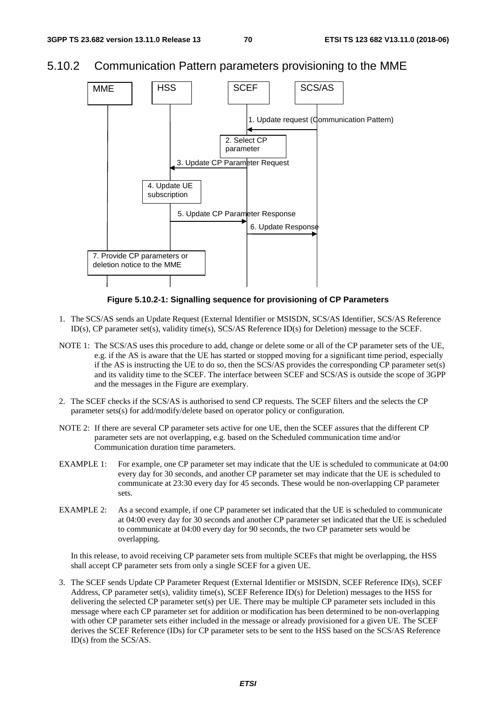# 5.10.2 Communication Pattern parameters provisioning to the MME



## **Figure 5.10.2-1: Signalling sequence for provisioning of CP Parameters**

- 1. The SCS/AS sends an Update Request (External Identifier or MSISDN, SCS/AS Identifier, SCS/AS Reference ID(s), CP parameter set(s), validity time(s), SCS/AS Reference ID(s) for Deletion) message to the SCEF.
- NOTE 1: The SCS/AS uses this procedure to add, change or delete some or all of the CP parameter sets of the UE, e.g. if the AS is aware that the UE has started or stopped moving for a significant time period, especially if the AS is instructing the UE to do so, then the SCS/AS provides the corresponding CP parameter set(s) and its validity time to the SCEF. The interface between SCEF and SCS/AS is outside the scope of 3GPP and the messages in the Figure are exemplary.
- 2. The SCEF checks if the SCS/AS is authorised to send CP requests. The SCEF filters and the selects the CP parameter sets(s) for add/modify/delete based on operator policy or configuration.
- NOTE 2: If there are several CP parameter sets active for one UE, then the SCEF assures that the different CP parameter sets are not overlapping, e.g. based on the Scheduled communication time and/or Communication duration time parameters.
- EXAMPLE 1: For example, one CP parameter set may indicate that the UE is scheduled to communicate at 04:00 every day for 30 seconds, and another CP parameter set may indicate that the UE is scheduled to communicate at 23:30 every day for 45 seconds. These would be non-overlapping CP parameter sets.
- EXAMPLE 2: As a second example, if one CP parameter set indicated that the UE is scheduled to communicate at 04:00 every day for 30 seconds and another CP parameter set indicated that the UE is scheduled to communicate at 04:00 every day for 90 seconds, the two CP parameter sets would be overlapping.

 In this release, to avoid receiving CP parameter sets from multiple SCEFs that might be overlapping, the HSS shall accept CP parameter sets from only a single SCEF for a given UE.

3. The SCEF sends Update CP Parameter Request (External Identifier or MSISDN, SCEF Reference ID(s), SCEF Address, CP parameter set(s), validity time(s), SCEF Reference ID(s) for Deletion) messages to the HSS for delivering the selected CP parameter set(s) per UE. There may be multiple CP parameter sets included in this message where each CP parameter set for addition or modification has been determined to be non-overlapping with other CP parameter sets either included in the message or already provisioned for a given UE. The SCEF derives the SCEF Reference (IDs) for CP parameter sets to be sent to the HSS based on the SCS/AS Reference ID(s) from the SCS/AS.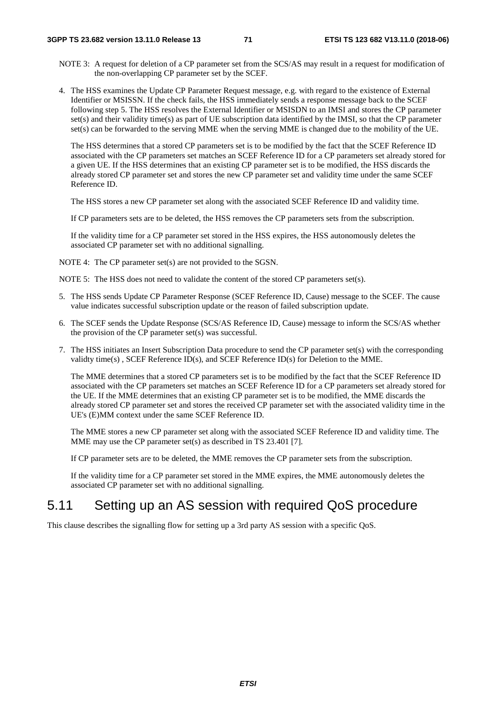- NOTE 3: A request for deletion of a CP parameter set from the SCS/AS may result in a request for modification of the non-overlapping CP parameter set by the SCEF.
- 4. The HSS examines the Update CP Parameter Request message, e.g. with regard to the existence of External Identifier or MSISSN. If the check fails, the HSS immediately sends a response message back to the SCEF following step 5. The HSS resolves the External Identifier or MSISDN to an IMSI and stores the CP parameter set(s) and their validity time(s) as part of UE subscription data identified by the IMSI, so that the CP parameter set(s) can be forwarded to the serving MME when the serving MME is changed due to the mobility of the UE.

 The HSS determines that a stored CP parameters set is to be modified by the fact that the SCEF Reference ID associated with the CP parameters set matches an SCEF Reference ID for a CP parameters set already stored for a given UE. If the HSS determines that an existing CP parameter set is to be modified, the HSS discards the already stored CP parameter set and stores the new CP parameter set and validity time under the same SCEF Reference ID.

The HSS stores a new CP parameter set along with the associated SCEF Reference ID and validity time.

If CP parameters sets are to be deleted, the HSS removes the CP parameters sets from the subscription.

 If the validity time for a CP parameter set stored in the HSS expires, the HSS autonomously deletes the associated CP parameter set with no additional signalling.

NOTE 4: The CP parameter set(s) are not provided to the SGSN.

NOTE 5: The HSS does not need to validate the content of the stored CP parameters set(s).

- 5. The HSS sends Update CP Parameter Response (SCEF Reference ID, Cause) message to the SCEF. The cause value indicates successful subscription update or the reason of failed subscription update.
- 6. The SCEF sends the Update Response (SCS/AS Reference ID, Cause) message to inform the SCS/AS whether the provision of the CP parameter set(s) was successful.
- 7. The HSS initiates an Insert Subscription Data procedure to send the CP parameter set(s) with the corresponding validty time(s) , SCEF Reference ID(s), and SCEF Reference ID(s) for Deletion to the MME.

 The MME determines that a stored CP parameters set is to be modified by the fact that the SCEF Reference ID associated with the CP parameters set matches an SCEF Reference ID for a CP parameters set already stored for the UE. If the MME determines that an existing CP parameter set is to be modified, the MME discards the already stored CP parameter set and stores the received CP parameter set with the associated validity time in the UE's (E)MM context under the same SCEF Reference ID.

 The MME stores a new CP parameter set along with the associated SCEF Reference ID and validity time. The MME may use the CP parameter set(s) as described in TS 23.401 [7].

If CP parameter sets are to be deleted, the MME removes the CP parameter sets from the subscription.

 If the validity time for a CP parameter set stored in the MME expires, the MME autonomously deletes the associated CP parameter set with no additional signalling.

# 5.11 Setting up an AS session with required QoS procedure

This clause describes the signalling flow for setting up a 3rd party AS session with a specific QoS.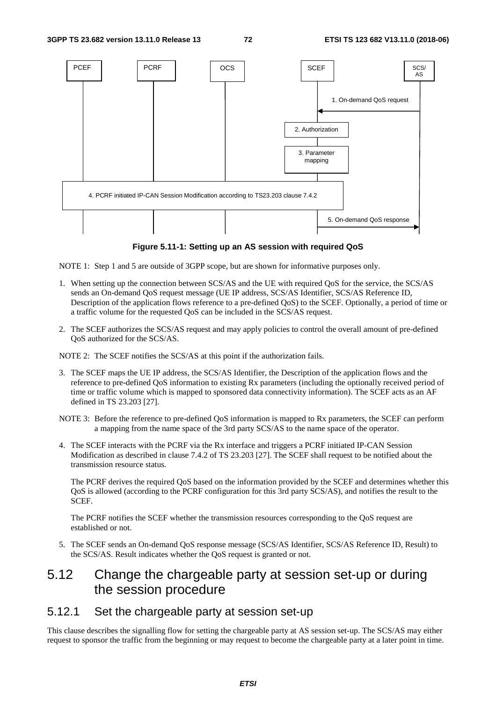

**Figure 5.11-1: Setting up an AS session with required QoS** 

NOTE 1: Step 1 and 5 are outside of 3GPP scope, but are shown for informative purposes only.

- 1. When setting up the connection between SCS/AS and the UE with required QoS for the service, the SCS/AS sends an On-demand QoS request message (UE IP address, SCS/AS Identifier, SCS/AS Reference ID, Description of the application flows reference to a pre-defined QoS) to the SCEF. Optionally, a period of time or a traffic volume for the requested QoS can be included in the SCS/AS request.
- 2. The SCEF authorizes the SCS/AS request and may apply policies to control the overall amount of pre-defined QoS authorized for the SCS/AS.

NOTE 2: The SCEF notifies the SCS/AS at this point if the authorization fails.

- 3. The SCEF maps the UE IP address, the SCS/AS Identifier, the Description of the application flows and the reference to pre-defined QoS information to existing Rx parameters (including the optionally received period of time or traffic volume which is mapped to sponsored data connectivity information). The SCEF acts as an AF defined in TS 23.203 [27].
- NOTE 3: Before the reference to pre-defined QoS information is mapped to Rx parameters, the SCEF can perform a mapping from the name space of the 3rd party SCS/AS to the name space of the operator.
- 4. The SCEF interacts with the PCRF via the Rx interface and triggers a PCRF initiated IP-CAN Session Modification as described in clause 7.4.2 of TS 23.203 [27]. The SCEF shall request to be notified about the transmission resource status.

 The PCRF derives the required QoS based on the information provided by the SCEF and determines whether this QoS is allowed (according to the PCRF configuration for this 3rd party SCS/AS), and notifies the result to the SCEF.

 The PCRF notifies the SCEF whether the transmission resources corresponding to the QoS request are established or not.

5. The SCEF sends an On-demand QoS response message (SCS/AS Identifier, SCS/AS Reference ID, Result) to the SCS/AS. Result indicates whether the QoS request is granted or not.

# 5.12 Change the chargeable party at session set-up or during the session procedure

### 5.12.1 Set the chargeable party at session set-up

This clause describes the signalling flow for setting the chargeable party at AS session set-up. The SCS/AS may either request to sponsor the traffic from the beginning or may request to become the chargeable party at a later point in time.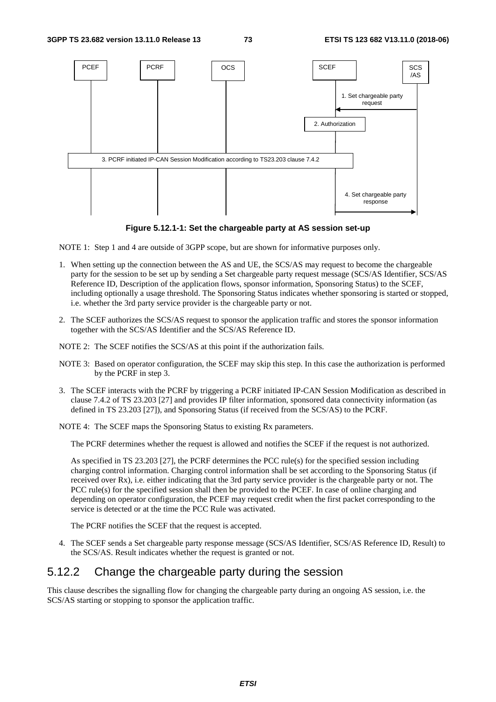

**Figure 5.12.1-1: Set the chargeable party at AS session set-up** 

NOTE 1: Step 1 and 4 are outside of 3GPP scope, but are shown for informative purposes only.

- 1. When setting up the connection between the AS and UE, the SCS/AS may request to become the chargeable party for the session to be set up by sending a Set chargeable party request message (SCS/AS Identifier, SCS/AS Reference ID, Description of the application flows, sponsor information, Sponsoring Status) to the SCEF, including optionally a usage threshold. The Sponsoring Status indicates whether sponsoring is started or stopped, i.e. whether the 3rd party service provider is the chargeable party or not.
- 2. The SCEF authorizes the SCS/AS request to sponsor the application traffic and stores the sponsor information together with the SCS/AS Identifier and the SCS/AS Reference ID.
- NOTE 2: The SCEF notifies the SCS/AS at this point if the authorization fails.
- NOTE 3: Based on operator configuration, the SCEF may skip this step. In this case the authorization is performed by the PCRF in step 3.
- 3. The SCEF interacts with the PCRF by triggering a PCRF initiated IP-CAN Session Modification as described in clause 7.4.2 of TS 23.203 [27] and provides IP filter information, sponsored data connectivity information (as defined in TS 23.203 [27]), and Sponsoring Status (if received from the SCS/AS) to the PCRF.

NOTE 4: The SCEF maps the Sponsoring Status to existing Rx parameters.

The PCRF determines whether the request is allowed and notifies the SCEF if the request is not authorized.

 As specified in TS 23.203 [27], the PCRF determines the PCC rule(s) for the specified session including charging control information. Charging control information shall be set according to the Sponsoring Status (if received over Rx), i.e. either indicating that the 3rd party service provider is the chargeable party or not. The PCC rule(s) for the specified session shall then be provided to the PCEF. In case of online charging and depending on operator configuration, the PCEF may request credit when the first packet corresponding to the service is detected or at the time the PCC Rule was activated.

The PCRF notifies the SCEF that the request is accepted.

4. The SCEF sends a Set chargeable party response message (SCS/AS Identifier, SCS/AS Reference ID, Result) to the SCS/AS. Result indicates whether the request is granted or not.

## 5.12.2 Change the chargeable party during the session

This clause describes the signalling flow for changing the chargeable party during an ongoing AS session, i.e. the SCS/AS starting or stopping to sponsor the application traffic.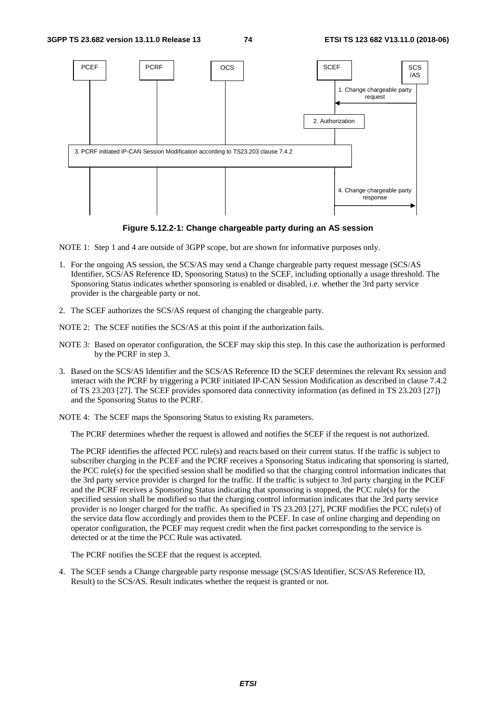

**Figure 5.12.2-1: Change chargeable party during an AS session** 

NOTE 1: Step 1 and 4 are outside of 3GPP scope, but are shown for informative purposes only.

- 1. For the ongoing AS session, the SCS/AS may send a Change chargeable party request message (SCS/AS Identifier, SCS/AS Reference ID, Sponsoring Status) to the SCEF, including optionally a usage threshold. The Sponsoring Status indicates whether sponsoring is enabled or disabled, i.e. whether the 3rd party service provider is the chargeable party or not.
- 2. The SCEF authorizes the SCS/AS request of changing the chargeable party.
- NOTE 2: The SCEF notifies the SCS/AS at this point if the authorization fails.
- NOTE 3: Based on operator configuration, the SCEF may skip this step. In this case the authorization is performed by the PCRF in step 3.
- 3. Based on the SCS/AS Identifier and the SCS/AS Reference ID the SCEF determines the relevant Rx session and interact with the PCRF by triggering a PCRF initiated IP-CAN Session Modification as described in clause 7.4.2 of TS 23.203 [27]. The SCEF provides sponsored data connectivity information (as defined in TS 23.203 [27]) and the Sponsoring Status to the PCRF.
- NOTE 4: The SCEF maps the Sponsoring Status to existing Rx parameters.

The PCRF determines whether the request is allowed and notifies the SCEF if the request is not authorized.

 The PCRF identifies the affected PCC rule(s) and reacts based on their current status. If the traffic is subject to subscriber charging in the PCEF and the PCRF receives a Sponsoring Status indicating that sponsoring is started, the PCC rule(s) for the specified session shall be modified so that the charging control information indicates that the 3rd party service provider is charged for the traffic. If the traffic is subject to 3rd party charging in the PCEF and the PCRF receives a Sponsoring Status indicating that sponsoring is stopped, the PCC rule(s) for the specified session shall be modified so that the charging control information indicates that the 3rd party service provider is no longer charged for the traffic. As specified in TS 23.203 [27], PCRF modifies the PCC rule(s) of the service data flow accordingly and provides them to the PCEF. In case of online charging and depending on operator configuration, the PCEF may request credit when the first packet corresponding to the service is detected or at the time the PCC Rule was activated.

The PCRF notifies the SCEF that the request is accepted.

4. The SCEF sends a Change chargeable party response message (SCS/AS Identifier, SCS/AS Reference ID, Result) to the SCS/AS. Result indicates whether the request is granted or not.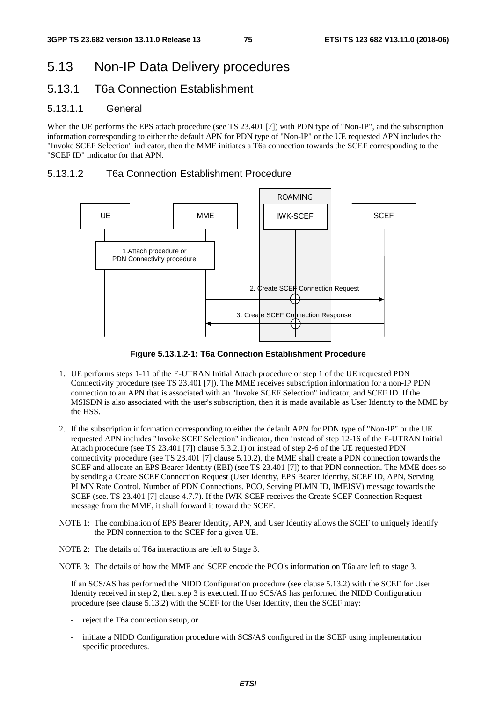# 5.13 Non-IP Data Delivery procedures

## 5.13.1 T6a Connection Establishment

#### 5.13.1.1 General

When the UE performs the EPS attach procedure (see TS 23.401 [7]) with PDN type of "Non-IP", and the subscription information corresponding to either the default APN for PDN type of "Non-IP" or the UE requested APN includes the "Invoke SCEF Selection" indicator, then the MME initiates a T6a connection towards the SCEF corresponding to the "SCEF ID" indicator for that APN.

### 5.13.1.2 T6a Connection Establishment Procedure



**Figure 5.13.1.2-1: T6a Connection Establishment Procedure** 

- 1. UE performs steps 1-11 of the E-UTRAN Initial Attach procedure or step 1 of the UE requested PDN Connectivity procedure (see TS 23.401 [7]). The MME receives subscription information for a non-IP PDN connection to an APN that is associated with an "Invoke SCEF Selection" indicator, and SCEF ID. If the MSISDN is also associated with the user's subscription, then it is made available as User Identity to the MME by the HSS.
- 2. If the subscription information corresponding to either the default APN for PDN type of "Non-IP" or the UE requested APN includes "Invoke SCEF Selection" indicator, then instead of step 12-16 of the E-UTRAN Initial Attach procedure (see TS 23.401 [7]) clause 5.3.2.1) or instead of step 2-6 of the UE requested PDN connectivity procedure (see TS 23.401 [7] clause 5.10.2), the MME shall create a PDN connection towards the SCEF and allocate an EPS Bearer Identity (EBI) (see TS 23.401 [7]) to that PDN connection. The MME does so by sending a Create SCEF Connection Request (User Identity, EPS Bearer Identity, SCEF ID, APN, Serving PLMN Rate Control, Number of PDN Connections, PCO, Serving PLMN ID, IMEISV) message towards the SCEF (see. TS 23.401 [7] clause 4.7.7). If the IWK-SCEF receives the Create SCEF Connection Request message from the MME, it shall forward it toward the SCEF.
- NOTE 1: The combination of EPS Bearer Identity, APN, and User Identity allows the SCEF to uniquely identify the PDN connection to the SCEF for a given UE.
- NOTE 2: The details of T6a interactions are left to Stage 3.

NOTE 3: The details of how the MME and SCEF encode the PCO's information on T6a are left to stage 3.

 If an SCS/AS has performed the NIDD Configuration procedure (see clause 5.13.2) with the SCEF for User Identity received in step 2, then step 3 is executed. If no SCS/AS has performed the NIDD Configuration procedure (see clause 5.13.2) with the SCEF for the User Identity, then the SCEF may:

- reject the T6a connection setup, or
- initiate a NIDD Configuration procedure with SCS/AS configured in the SCEF using implementation specific procedures.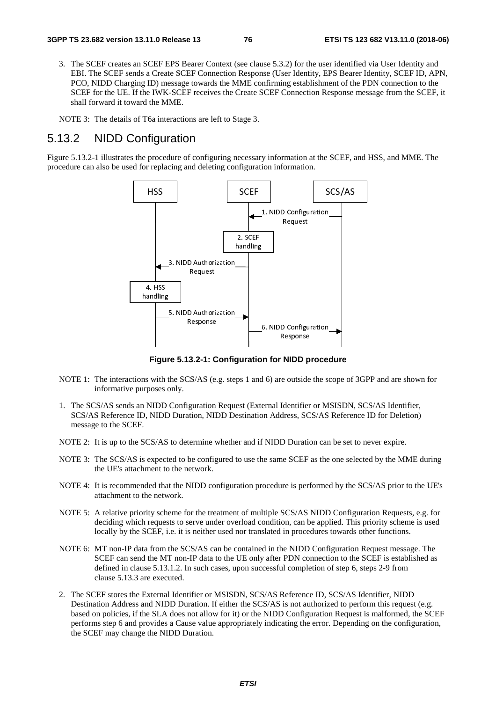3. The SCEF creates an SCEF EPS Bearer Context (see clause 5.3.2) for the user identified via User Identity and EBI. The SCEF sends a Create SCEF Connection Response (User Identity, EPS Bearer Identity, SCEF ID, APN, PCO, NIDD Charging ID) message towards the MME confirming establishment of the PDN connection to the SCEF for the UE. If the IWK-SCEF receives the Create SCEF Connection Response message from the SCEF, it shall forward it toward the MME.

NOTE 3: The details of T6a interactions are left to Stage 3.

# 5.13.2 NIDD Configuration

Figure 5.13.2-1 illustrates the procedure of configuring necessary information at the SCEF, and HSS, and MME. The procedure can also be used for replacing and deleting configuration information.



**Figure 5.13.2-1: Configuration for NIDD procedure** 

- NOTE 1: The interactions with the SCS/AS (e.g. steps 1 and 6) are outside the scope of 3GPP and are shown for informative purposes only.
- 1. The SCS/AS sends an NIDD Configuration Request (External Identifier or MSISDN, SCS/AS Identifier, SCS/AS Reference ID, NIDD Duration, NIDD Destination Address, SCS/AS Reference ID for Deletion) message to the SCEF.
- NOTE 2: It is up to the SCS/AS to determine whether and if NIDD Duration can be set to never expire.
- NOTE 3: The SCS/AS is expected to be configured to use the same SCEF as the one selected by the MME during the UE's attachment to the network.
- NOTE 4: It is recommended that the NIDD configuration procedure is performed by the SCS/AS prior to the UE's attachment to the network.
- NOTE 5: A relative priority scheme for the treatment of multiple SCS/AS NIDD Configuration Requests, e.g. for deciding which requests to serve under overload condition, can be applied. This priority scheme is used locally by the SCEF, i.e. it is neither used nor translated in procedures towards other functions.
- NOTE 6: MT non-IP data from the SCS/AS can be contained in the NIDD Configuration Request message. The SCEF can send the MT non-IP data to the UE only after PDN connection to the SCEF is established as defined in clause 5.13.1.2. In such cases, upon successful completion of step 6, steps 2-9 from clause 5.13.3 are executed.
- 2. The SCEF stores the External Identifier or MSISDN, SCS/AS Reference ID, SCS/AS Identifier, NIDD Destination Address and NIDD Duration. If either the SCS/AS is not authorized to perform this request (e.g. based on policies, if the SLA does not allow for it) or the NIDD Configuration Request is malformed, the SCEF performs step 6 and provides a Cause value appropriately indicating the error. Depending on the configuration, the SCEF may change the NIDD Duration.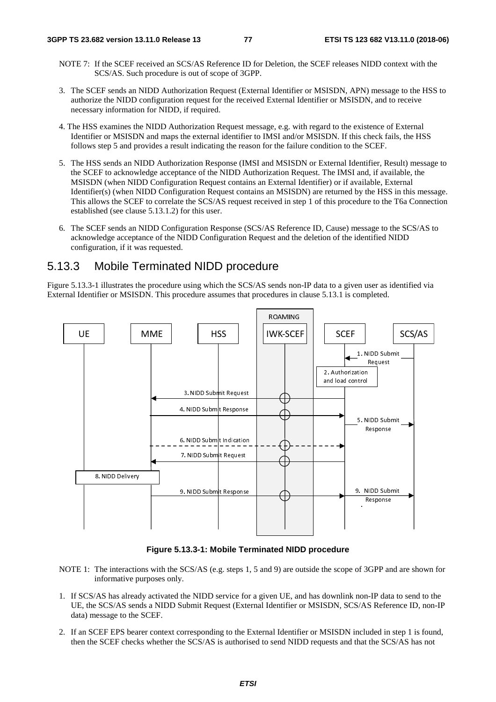- NOTE 7: If the SCEF received an SCS/AS Reference ID for Deletion, the SCEF releases NIDD context with the SCS/AS. Such procedure is out of scope of 3GPP.
- 3. The SCEF sends an NIDD Authorization Request (External Identifier or MSISDN, APN) message to the HSS to authorize the NIDD configuration request for the received External Identifier or MSISDN, and to receive necessary information for NIDD, if required.
- 4. The HSS examines the NIDD Authorization Request message, e.g. with regard to the existence of External Identifier or MSISDN and maps the external identifier to IMSI and/or MSISDN. If this check fails, the HSS follows step 5 and provides a result indicating the reason for the failure condition to the SCEF.
- 5. The HSS sends an NIDD Authorization Response (IMSI and MSISDN or External Identifier, Result) message to the SCEF to acknowledge acceptance of the NIDD Authorization Request. The IMSI and, if available, the MSISDN (when NIDD Configuration Request contains an External Identifier) or if available, External Identifier(s) (when NIDD Configuration Request contains an MSISDN) are returned by the HSS in this message. This allows the SCEF to correlate the SCS/AS request received in step 1 of this procedure to the T6a Connection established (see clause 5.13.1.2) for this user.
- 6. The SCEF sends an NIDD Configuration Response (SCS/AS Reference ID, Cause) message to the SCS/AS to acknowledge acceptance of the NIDD Configuration Request and the deletion of the identified NIDD configuration, if it was requested.

# 5.13.3 Mobile Terminated NIDD procedure

Figure 5.13.3-1 illustrates the procedure using which the SCS/AS sends non-IP data to a given user as identified via External Identifier or MSISDN. This procedure assumes that procedures in clause 5.13.1 is completed.



**Figure 5.13.3-1: Mobile Terminated NIDD procedure** 

- NOTE 1: The interactions with the SCS/AS (e.g. steps 1, 5 and 9) are outside the scope of 3GPP and are shown for informative purposes only.
- 1. If SCS/AS has already activated the NIDD service for a given UE, and has downlink non-IP data to send to the UE, the SCS/AS sends a NIDD Submit Request (External Identifier or MSISDN, SCS/AS Reference ID, non-IP data) message to the SCEF.
- 2. If an SCEF EPS bearer context corresponding to the External Identifier or MSISDN included in step 1 is found, then the SCEF checks whether the SCS/AS is authorised to send NIDD requests and that the SCS/AS has not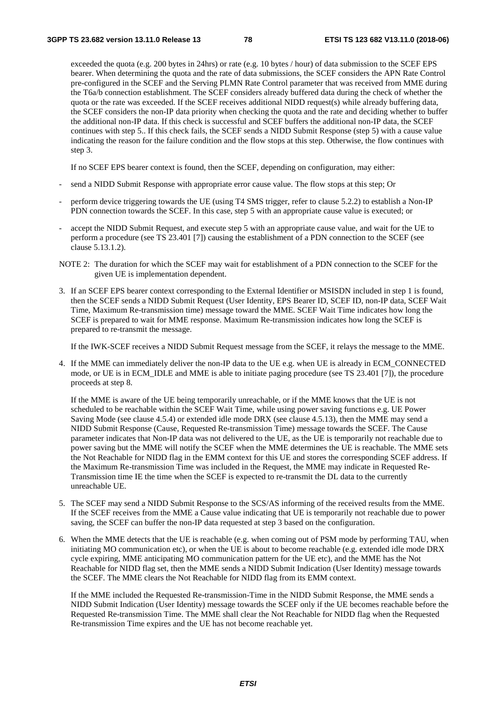exceeded the quota (e.g. 200 bytes in 24hrs) or rate (e.g. 10 bytes / hour) of data submission to the SCEF EPS bearer. When determining the quota and the rate of data submissions, the SCEF considers the APN Rate Control pre-configured in the SCEF and the Serving PLMN Rate Control parameter that was received from MME during the T6a/b connection establishment. The SCEF considers already buffered data during the check of whether the quota or the rate was exceeded. If the SCEF receives additional NIDD request(s) while already buffering data, the SCEF considers the non-IP data priority when checking the quota and the rate and deciding whether to buffer the additional non-IP data. If this check is successful and SCEF buffers the additional non-IP data, the SCEF continues with step 5.. If this check fails, the SCEF sends a NIDD Submit Response (step 5) with a cause value indicating the reason for the failure condition and the flow stops at this step. Otherwise, the flow continues with step 3.

If no SCEF EPS bearer context is found, then the SCEF, depending on configuration, may either:

- send a NIDD Submit Response with appropriate error cause value. The flow stops at this step; Or
- perform device triggering towards the UE (using T4 SMS trigger, refer to clause 5.2.2) to establish a Non-IP PDN connection towards the SCEF. In this case, step 5 with an appropriate cause value is executed; or
- accept the NIDD Submit Request, and execute step 5 with an appropriate cause value, and wait for the UE to perform a procedure (see TS 23.401 [7]) causing the establishment of a PDN connection to the SCEF (see clause 5.13.1.2).
- NOTE 2: The duration for which the SCEF may wait for establishment of a PDN connection to the SCEF for the given UE is implementation dependent.
- 3. If an SCEF EPS bearer context corresponding to the External Identifier or MSISDN included in step 1 is found, then the SCEF sends a NIDD Submit Request (User Identity, EPS Bearer ID, SCEF ID, non-IP data, SCEF Wait Time, Maximum Re-transmission time) message toward the MME. SCEF Wait Time indicates how long the SCEF is prepared to wait for MME response. Maximum Re-transmission indicates how long the SCEF is prepared to re-transmit the message.

If the IWK-SCEF receives a NIDD Submit Request message from the SCEF, it relays the message to the MME.

4. If the MME can immediately deliver the non-IP data to the UE e.g. when UE is already in ECM\_CONNECTED mode, or UE is in ECM\_IDLE and MME is able to initiate paging procedure (see TS 23.401 [7]), the procedure proceeds at step 8.

 If the MME is aware of the UE being temporarily unreachable, or if the MME knows that the UE is not scheduled to be reachable within the SCEF Wait Time, while using power saving functions e.g. UE Power Saving Mode (see clause 4.5.4) or extended idle mode DRX (see clause 4.5.13), then the MME may send a NIDD Submit Response (Cause, Requested Re-transmission Time) message towards the SCEF. The Cause parameter indicates that Non-IP data was not delivered to the UE, as the UE is temporarily not reachable due to power saving but the MME will notify the SCEF when the MME determines the UE is reachable. The MME sets the Not Reachable for NIDD flag in the EMM context for this UE and stores the corresponding SCEF address. If the Maximum Re-transmission Time was included in the Request, the MME may indicate in Requested Re-Transmission time IE the time when the SCEF is expected to re-transmit the DL data to the currently unreachable UE.

- 5. The SCEF may send a NIDD Submit Response to the SCS/AS informing of the received results from the MME. If the SCEF receives from the MME a Cause value indicating that UE is temporarily not reachable due to power saving, the SCEF can buffer the non-IP data requested at step 3 based on the configuration.
- 6. When the MME detects that the UE is reachable (e.g. when coming out of PSM mode by performing TAU, when initiating MO communication etc), or when the UE is about to become reachable (e.g. extended idle mode DRX cycle expiring, MME anticipating MO communication pattern for the UE etc), and the MME has the Not Reachable for NIDD flag set, then the MME sends a NIDD Submit Indication (User Identity) message towards the SCEF. The MME clears the Not Reachable for NIDD flag from its EMM context.

 If the MME included the Requested Re-transmission-Time in the NIDD Submit Response, the MME sends a NIDD Submit Indication (User Identity) message towards the SCEF only if the UE becomes reachable before the Requested Re-transmission Time. The MME shall clear the Not Reachable for NIDD flag when the Requested Re-transmission Time expires and the UE has not become reachable yet.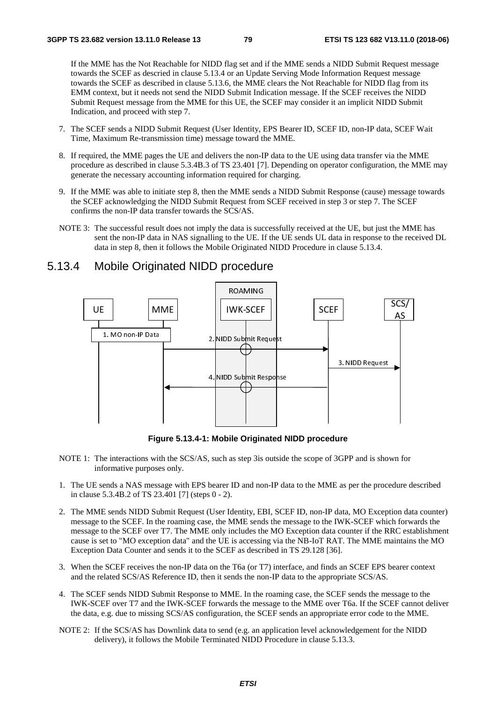If the MME has the Not Reachable for NIDD flag set and if the MME sends a NIDD Submit Request message towards the SCEF as descried in clause 5.13.4 or an Update Serving Mode Information Request message towards the SCEF as described in clause 5.13.6, the MME clears the Not Reachable for NIDD flag from its EMM context, but it needs not send the NIDD Submit Indication message. If the SCEF receives the NIDD Submit Request message from the MME for this UE, the SCEF may consider it an implicit NIDD Submit Indication, and proceed with step 7.

- 7. The SCEF sends a NIDD Submit Request (User Identity, EPS Bearer ID, SCEF ID, non-IP data, SCEF Wait Time, Maximum Re-transmission time) message toward the MME.
- 8. If required, the MME pages the UE and delivers the non-IP data to the UE using data transfer via the MME procedure as described in clause 5.3.4B.3 of TS 23.401 [7]. Depending on operator configuration, the MME may generate the necessary accounting information required for charging.
- 9. If the MME was able to initiate step 8, then the MME sends a NIDD Submit Response (cause) message towards the SCEF acknowledging the NIDD Submit Request from SCEF received in step 3 or step 7. The SCEF confirms the non-IP data transfer towards the SCS/AS.
- NOTE 3: The successful result does not imply the data is successfully received at the UE, but just the MME has sent the non-IP data in NAS signalling to the UE. If the UE sends UL data in response to the received DL data in step 8, then it follows the Mobile Originated NIDD Procedure in clause 5.13.4.

## 5.13.4 Mobile Originated NIDD procedure



**Figure 5.13.4-1: Mobile Originated NIDD procedure** 

- NOTE 1: The interactions with the SCS/AS, such as step 3is outside the scope of 3GPP and is shown for informative purposes only.
- 1. The UE sends a NAS message with EPS bearer ID and non-IP data to the MME as per the procedure described in clause 5.3.4B.2 of TS 23.401 [7] (steps 0 - 2).
- 2. The MME sends NIDD Submit Request (User Identity, EBI, SCEF ID, non-IP data, MO Exception data counter) message to the SCEF. In the roaming case, the MME sends the message to the IWK-SCEF which forwards the message to the SCEF over T7. The MME only includes the MO Exception data counter if the RRC establishment cause is set to "MO exception data" and the UE is accessing via the NB-IoT RAT. The MME maintains the MO Exception Data Counter and sends it to the SCEF as described in TS 29.128 [36].
- 3. When the SCEF receives the non-IP data on the T6a (or T7) interface, and finds an SCEF EPS bearer context and the related SCS/AS Reference ID, then it sends the non-IP data to the appropriate SCS/AS.
- 4. The SCEF sends NIDD Submit Response to MME. In the roaming case, the SCEF sends the message to the IWK-SCEF over T7 and the IWK-SCEF forwards the message to the MME over T6a. If the SCEF cannot deliver the data, e.g. due to missing SCS/AS configuration, the SCEF sends an appropriate error code to the MME.
- NOTE 2: If the SCS/AS has Downlink data to send (e.g. an application level acknowledgement for the NIDD delivery), it follows the Mobile Terminated NIDD Procedure in clause 5.13.3.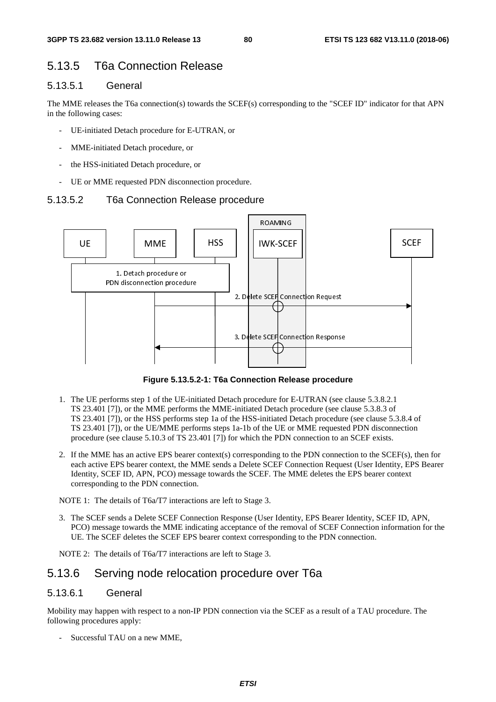# 5.13.5 T6a Connection Release

#### 5.13.5.1 General

The MME releases the T6a connection(s) towards the SCEF(s) corresponding to the "SCEF ID" indicator for that APN in the following cases:

- UE-initiated Detach procedure for E-UTRAN, or
- MME-initiated Detach procedure, or
- the HSS-initiated Detach procedure, or
- UE or MME requested PDN disconnection procedure.

#### 5.13.5.2 T6a Connection Release procedure



**Figure 5.13.5.2-1: T6a Connection Release procedure** 

- 1. The UE performs step 1 of the UE-initiated Detach procedure for E-UTRAN (see clause 5.3.8.2.1 TS 23.401 [7]), or the MME performs the MME-initiated Detach procedure (see clause 5.3.8.3 of TS 23.401 [7]), or the HSS performs step 1a of the HSS-initiated Detach procedure (see clause 5.3.8.4 of TS 23.401 [7]), or the UE/MME performs steps 1a-1b of the UE or MME requested PDN disconnection procedure (see clause 5.10.3 of TS 23.401 [7]) for which the PDN connection to an SCEF exists.
- 2. If the MME has an active EPS bearer context(s) corresponding to the PDN connection to the SCEF(s), then for each active EPS bearer context, the MME sends a Delete SCEF Connection Request (User Identity, EPS Bearer Identity, SCEF ID, APN, PCO) message towards the SCEF. The MME deletes the EPS bearer context corresponding to the PDN connection.

NOTE 1: The details of T6a/T7 interactions are left to Stage 3.

3. The SCEF sends a Delete SCEF Connection Response (User Identity, EPS Bearer Identity, SCEF ID, APN, PCO) message towards the MME indicating acceptance of the removal of SCEF Connection information for the UE. The SCEF deletes the SCEF EPS bearer context corresponding to the PDN connection.

NOTE 2: The details of T6a/T7 interactions are left to Stage 3.

## 5.13.6 Serving node relocation procedure over T6a

#### 5.13.6.1 General

Mobility may happen with respect to a non-IP PDN connection via the SCEF as a result of a TAU procedure. The following procedures apply:

Successful TAU on a new MME,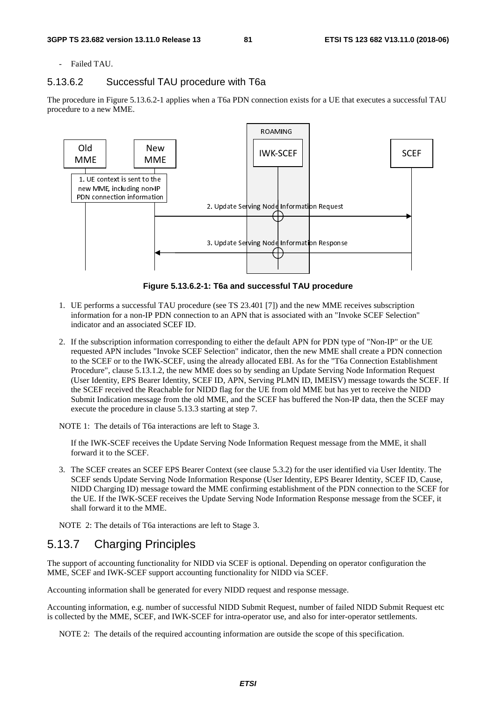Failed TAU.

#### 5.13.6.2 Successful TAU procedure with T6a

The procedure in Figure 5.13.6.2-1 applies when a T6a PDN connection exists for a UE that executes a successful TAU procedure to a new MME.



**Figure 5.13.6.2-1: T6a and successful TAU procedure** 

- 1. UE performs a successful TAU procedure (see TS 23.401 [7]) and the new MME receives subscription information for a non-IP PDN connection to an APN that is associated with an "Invoke SCEF Selection" indicator and an associated SCEF ID.
- 2. If the subscription information corresponding to either the default APN for PDN type of "Non-IP" or the UE requested APN includes "Invoke SCEF Selection" indicator, then the new MME shall create a PDN connection to the SCEF or to the IWK-SCEF, using the already allocated EBI. As for the "T6a Connection Establishment Procedure", clause 5.13.1.2, the new MME does so by sending an Update Serving Node Information Request (User Identity, EPS Bearer Identity, SCEF ID, APN, Serving PLMN ID, IMEISV) message towards the SCEF. If the SCEF received the Reachable for NIDD flag for the UE from old MME but has yet to receive the NIDD Submit Indication message from the old MME, and the SCEF has buffered the Non-IP data, then the SCEF may execute the procedure in clause 5.13.3 starting at step 7.

NOTE 1: The details of T6a interactions are left to Stage 3.

 If the IWK-SCEF receives the Update Serving Node Information Request message from the MME, it shall forward it to the SCEF.

3. The SCEF creates an SCEF EPS Bearer Context (see clause 5.3.2) for the user identified via User Identity. The SCEF sends Update Serving Node Information Response (User Identity, EPS Bearer Identity, SCEF ID, Cause, NIDD Charging ID) message toward the MME confirming establishment of the PDN connection to the SCEF for the UE. If the IWK-SCEF receives the Update Serving Node Information Response message from the SCEF, it shall forward it to the MME.

NOTE 2: The details of T6a interactions are left to Stage 3.

# 5.13.7 Charging Principles

The support of accounting functionality for NIDD via SCEF is optional. Depending on operator configuration the MME, SCEF and IWK-SCEF support accounting functionality for NIDD via SCEF.

Accounting information shall be generated for every NIDD request and response message.

Accounting information, e.g. number of successful NIDD Submit Request, number of failed NIDD Submit Request etc is collected by the MME, SCEF, and IWK-SCEF for intra-operator use, and also for inter-operator settlements.

NOTE 2: The details of the required accounting information are outside the scope of this specification.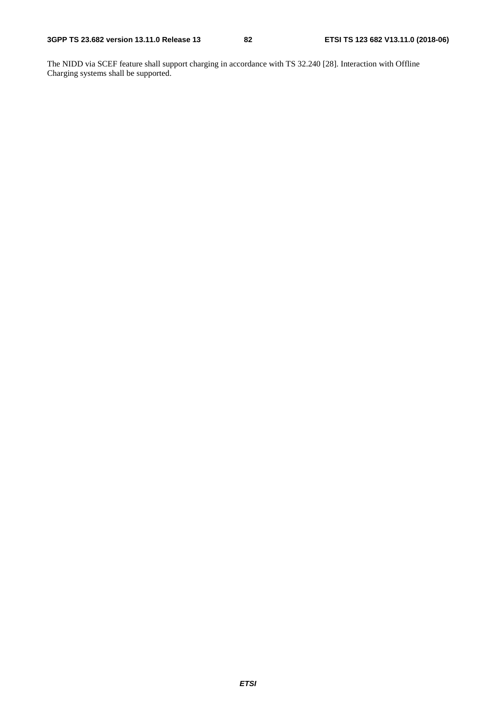The NIDD via SCEF feature shall support charging in accordance with TS 32.240 [28]. Interaction with Offline Charging systems shall be supported.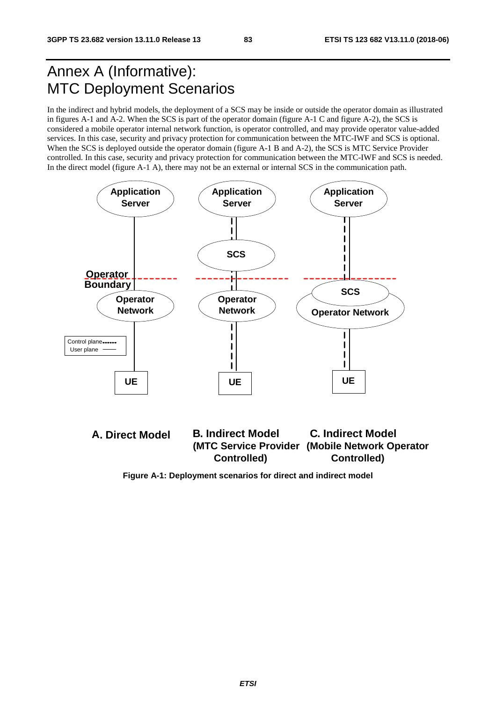# Annex A (Informative): MTC Deployment Scenarios

In the indirect and hybrid models, the deployment of a SCS may be inside or outside the operator domain as illustrated in figures A-1 and A-2. When the SCS is part of the operator domain (figure A-1 C and figure A-2), the SCS is considered a mobile operator internal network function, is operator controlled, and may provide operator value-added services. In this case, security and privacy protection for communication between the MTC-IWF and SCS is optional. When the SCS is deployed outside the operator domain (figure A-1 B and A-2), the SCS is MTC Service Provider controlled. In this case, security and privacy protection for communication between the MTC-IWF and SCS is needed. In the direct model (figure A-1 A), there may not be an external or internal SCS in the communication path.





**Figure A-1: Deployment scenarios for direct and indirect model**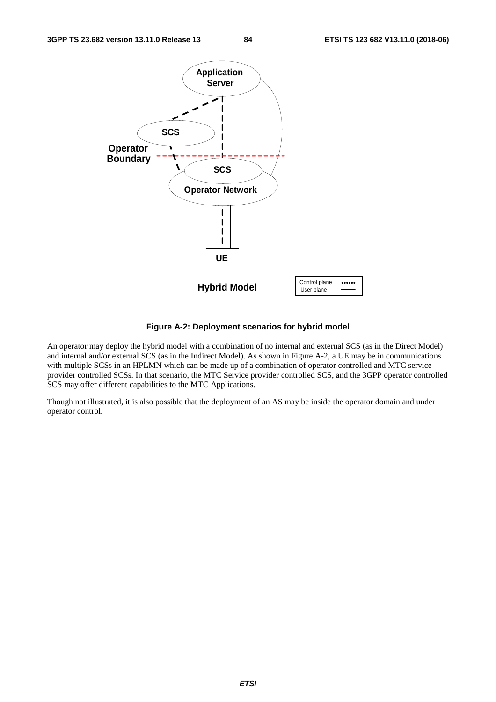

**Figure A-2: Deployment scenarios for hybrid model** 

An operator may deploy the hybrid model with a combination of no internal and external SCS (as in the Direct Model) and internal and/or external SCS (as in the Indirect Model). As shown in Figure A-2, a UE may be in communications with multiple SCSs in an HPLMN which can be made up of a combination of operator controlled and MTC service provider controlled SCSs. In that scenario, the MTC Service provider controlled SCS, and the 3GPP operator controlled SCS may offer different capabilities to the MTC Applications.

Though not illustrated, it is also possible that the deployment of an AS may be inside the operator domain and under operator control.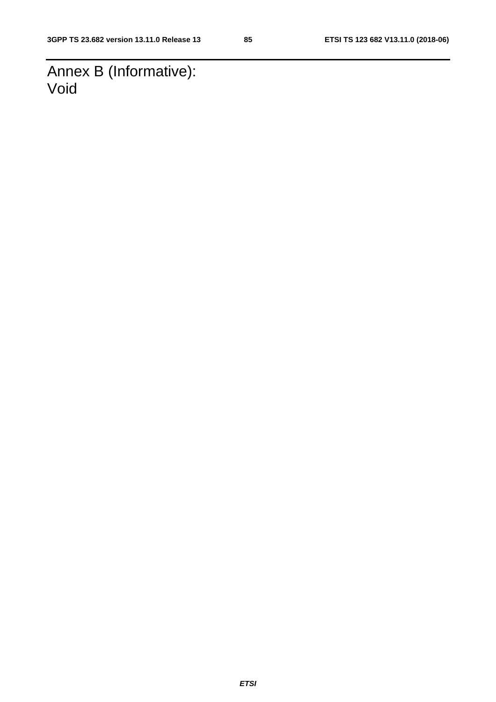Annex B (Informative): Void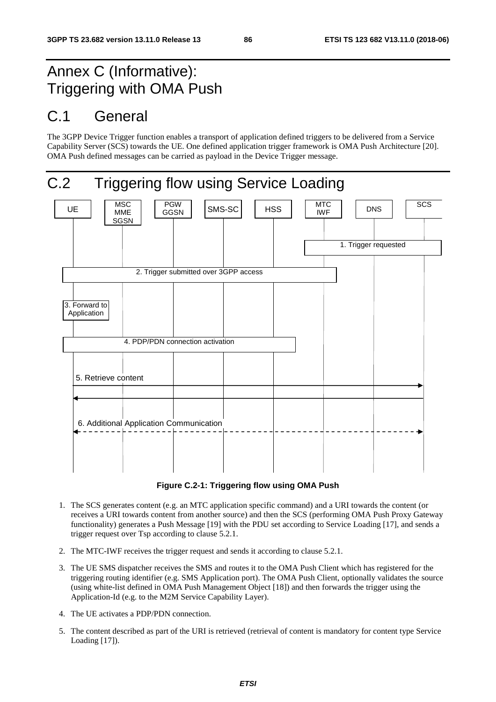# Annex C (Informative): Triggering with OMA Push

# C.1 General

The 3GPP Device Trigger function enables a transport of application defined triggers to be delivered from a Service Capability Server (SCS) towards the UE. One defined application trigger framework is OMA Push Architecture [20]. OMA Push defined messages can be carried as payload in the Device Trigger message.



**Figure C.2-1: Triggering flow using OMA Push** 

- 1. The SCS generates content (e.g. an MTC application specific command) and a URI towards the content (or receives a URI towards content from another source) and then the SCS (performing OMA Push Proxy Gateway functionality) generates a Push Message [19] with the PDU set according to Service Loading [17], and sends a trigger request over Tsp according to clause 5.2.1.
- 2. The MTC-IWF receives the trigger request and sends it according to clause 5.2.1.
- 3. The UE SMS dispatcher receives the SMS and routes it to the OMA Push Client which has registered for the triggering routing identifier (e.g. SMS Application port). The OMA Push Client, optionally validates the source (using white-list defined in OMA Push Management Object [18]) and then forwards the trigger using the Application-Id (e.g. to the M2M Service Capability Layer).
- 4. The UE activates a PDP/PDN connection.
- 5. The content described as part of the URI is retrieved (retrieval of content is mandatory for content type Service Loading [17]).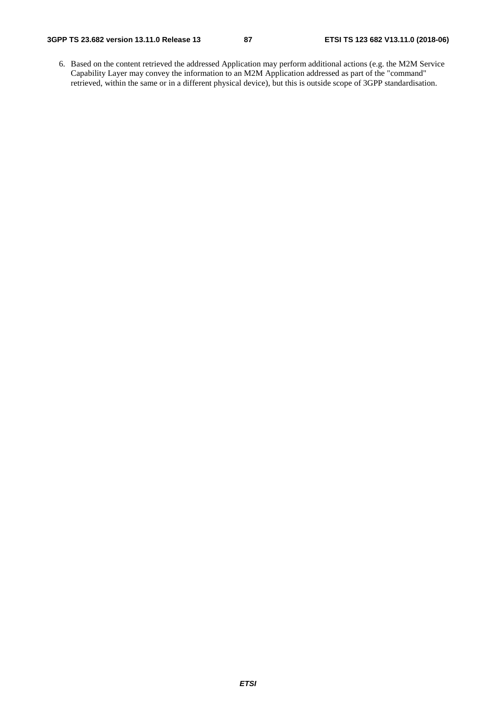6. Based on the content retrieved the addressed Application may perform additional actions (e.g. the M2M Service Capability Layer may convey the information to an M2M Application addressed as part of the "command" retrieved, within the same or in a different physical device), but this is outside scope of 3GPP standardisation.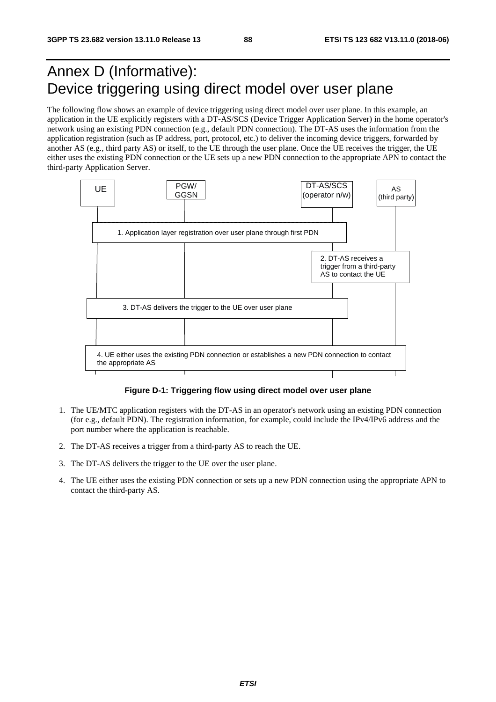# Annex D (Informative): Device triggering using direct model over user plane

The following flow shows an example of device triggering using direct model over user plane. In this example, an application in the UE explicitly registers with a DT-AS/SCS (Device Trigger Application Server) in the home operator's network using an existing PDN connection (e.g., default PDN connection). The DT-AS uses the information from the application registration (such as IP address, port, protocol, etc.) to deliver the incoming device triggers, forwarded by another AS (e.g., third party AS) or itself, to the UE through the user plane. Once the UE receives the trigger, the UE either uses the existing PDN connection or the UE sets up a new PDN connection to the appropriate APN to contact the third-party Application Server.



#### **Figure D-1: Triggering flow using direct model over user plane**

- 1. The UE/MTC application registers with the DT-AS in an operator's network using an existing PDN connection (for e.g., default PDN). The registration information, for example, could include the IPv4/IPv6 address and the port number where the application is reachable.
- 2. The DT-AS receives a trigger from a third-party AS to reach the UE.
- 3. The DT-AS delivers the trigger to the UE over the user plane.
- 4. The UE either uses the existing PDN connection or sets up a new PDN connection using the appropriate APN to contact the third-party AS.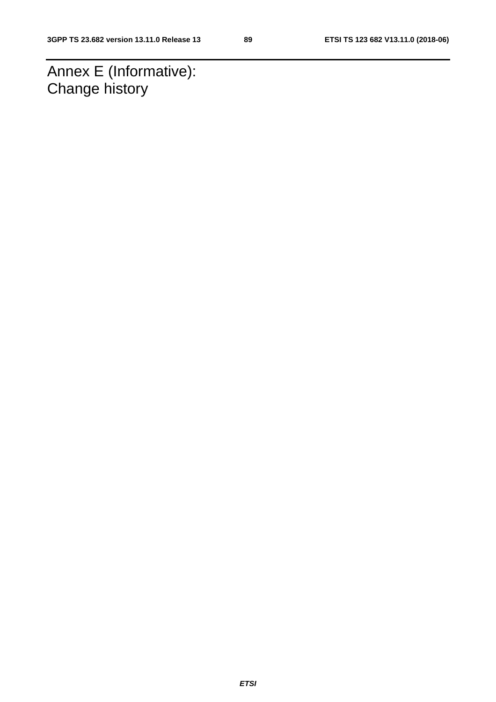Annex E (Informative): Change history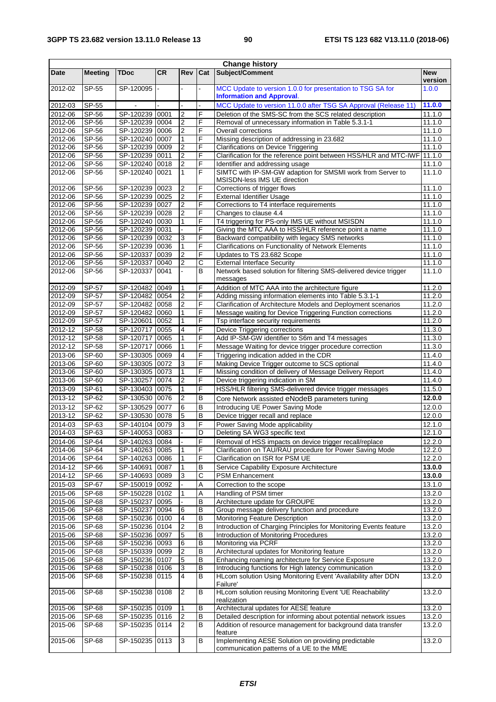| <b>Change history</b> |                       |                                  |           |                |                |                                                                                                                         |                       |
|-----------------------|-----------------------|----------------------------------|-----------|----------------|----------------|-------------------------------------------------------------------------------------------------------------------------|-----------------------|
| Date                  | <b>Meeting</b>        | <b>TDoc</b>                      | <b>CR</b> | <b>Rev</b>     | Cat            | Subject/Comment                                                                                                         | <b>New</b><br>version |
| 2012-02               | SP-55                 | SP-120095                        |           |                |                | MCC Update to version 1.0.0 for presentation to TSG SA for<br><b>Information and Approval.</b>                          | 1.0.0                 |
| 2012-03               | SP-55                 |                                  |           |                |                | MCC Update to version 11.0.0 after TSG SA Approval (Release 11)                                                         | 11.0.0                |
| 2012-06               | SP-56                 | SP-120239                        | 0001      | $\overline{2}$ | F              | Deletion of the SMS-SC from the SCS related description                                                                 | 11.1.0                |
| 2012-06               | SP-56                 | SP-120239 0004                   |           | $\overline{2}$ | F              | Removal of unnecessary information in Table 5.3.1-1                                                                     | 11.1.0                |
| 2012-06               | SP-56                 | SP-120239 0006                   |           | 2              | F              | <b>Overall corrections</b>                                                                                              | 11.1.0                |
| 2012-06               | SP-56                 | SP-120240 0007                   |           | 1              | F              | Missing description of addressing in 23.682                                                                             | 11.1.0                |
| 2012-06               | SP-56                 | SP-120239 0009                   |           | $\overline{2}$ | F              | <b>Clarifications on Device Triggering</b>                                                                              | 11.1.0                |
| 2012-06               | SP-56                 | SP-120239 0011                   |           | 2              | F              | Clarification for the reference point between HSS/HLR and MTC-IWF                                                       | 11.1.0                |
| 2012-06               | SP-56                 | SP-120240 0018                   |           | $\overline{2}$ | F              | Identifier and addressing usage                                                                                         | 11.1.0                |
| 2012-06               | SP-56                 | SP-120240 0021                   |           | $\mathbf{1}$   | F              | SIMTC with IP-SM-GW adaption for SMSMI work from Server to<br>MSISDN-less IMS UE direction                              | 11.1.0                |
| 2012-06               | SP-56                 | SP-120239                        | 0023      | 2              | F              | Corrections of trigger flows                                                                                            | 11.1.0                |
| 2012-06               | SP-56                 | SP-120239 0025                   |           | $\overline{2}$ | F              | <b>External Identifier Usage</b>                                                                                        | 11.1.0                |
| 2012-06               | SP-56                 | SP-120239 0027                   |           | $\overline{2}$ | F              | Corrections to T4 interface requirements                                                                                | 11.1.0                |
| 2012-06               | SP-56                 | SP-120239 0028                   |           | 2              | F              | Changes to clause 4.4                                                                                                   | 11.1.0                |
| 2012-06               | SP-56                 | SP-120240 0030                   |           | 1              | F<br>F         | T4 triggering for PS-only IMS UE without MSISDN                                                                         | 11.1.0<br>11.1.0      |
| 2012-06<br>2012-06    | SP-56<br>SP-56        | SP-120239 0031<br>SP-120239 0032 |           | 3              | F              | Giving the MTC AAA to HSS/HLR reference point a name<br>Backward compatibility with legacy SMS networks                 | 11.1.0                |
| 2012-06               | SP-56                 | SP-120239 0036                   |           | 1              | F              | Clarifications on Functionality of Network Elements                                                                     | 11.1.0                |
| 2012-06               | SP-56                 | SP-120337                        | 0039      | $\overline{2}$ | F              | Updates to TS 23.682 Scope                                                                                              | 11.1.0                |
| 2012-06               | SP-56                 | SP-120337                        | 0040      | $\overline{2}$ | C              | <b>External Interface Security</b>                                                                                      | 11.1.0                |
| 2012-06               | SP-56                 | SP-120337                        | 0041      |                | B              | Network based solution for filtering SMS-delivered device trigger                                                       | 11.1.0                |
|                       |                       |                                  |           |                |                | messages                                                                                                                |                       |
| 2012-09               | <b>SP-57</b><br>SP-57 | SP-120482<br>SP-120482 0054      | 0049      | 1              | F<br>F         | Addition of MTC AAA into the architecture figure                                                                        | 11.2.0                |
| 2012-09<br>2012-09    | SP-57                 | SP-120482 0058                   |           | 2<br>2         | F              | Adding missing information elements into Table 5.3.1-1<br>Clarification of Architecture Models and Deployment scenarios | 11.2.0<br>11.2.0      |
| 2012-09               | SP-57                 | SP-120482 0060                   |           | 1              | F              | Message waiting for Device Triggering Function corrections                                                              | 11.2.0                |
| 2012-09               | SP-57                 | SP-120601                        | 0052      | 1              | F              | Tsp interface security requirements                                                                                     | 11.2.0                |
| 2012-12               | SP-58                 | SP-120717                        | 0055      | 4              | F              | Device Triggering corrections                                                                                           | 11.3.0                |
| 2012-12               | SP-58                 | SP-120717                        | 0065      | 1              | F              | Add IP-SM-GW identifier to S6m and T4 messages                                                                          | 11.3.0                |
| 2012-12               | SP-58                 | SP-120717                        | 0066      | 1              | F              | Message Waiting for device trigger procedure correction                                                                 | 11.3.0                |
| 2013-06               | SP-60                 | SP-130305 0069                   |           | 4              | F              | Triggering indication added in the CDR                                                                                  | 11.4.0                |
| 2013-06               | SP-60                 | SP-130305 0072                   |           | 3              | F              | Making Device Trigger outcome to SCS optional                                                                           | 11.4.0                |
| 2013-06               | SP-60                 | SP-130305 0073                   |           | 1              | F              | Missing condition of delivery of Message Delivery Report                                                                | 11.4.0                |
| 2013-06               | SP-60                 | SP-130257                        | 0074      | 2              | F              | Device triggering indication in SM                                                                                      | 11.4.0                |
| 2013-09               | SP-61                 | SP-130403 0075                   |           | 1              | F              | HSS/HLR filtering SMS-delivered device trigger messages                                                                 | 11.5.0                |
| 2013-12               | SP-62                 | SP-130530 0076                   |           | $\overline{2}$ | B              | Core Network assisted eNodeB parameters tuning                                                                          | 12.0.0                |
| $2013 - 12$           | SP-62                 | SP-130529                        | 0077      | 6              | B              | Introducing UE Power Saving Mode                                                                                        | 12.0.0                |
| 2013-12               | SP-62                 | SP-130530 0078                   |           | $\overline{5}$ | в              | Device trigger recall and replace                                                                                       | 12.0.0                |
| 2014-03               | SP-63                 | SP-140104 0079                   |           | $\mathbf{3}$   | F              | Power Saving Mode applicability                                                                                         | 12.1.0                |
| $2014 - 03$           | $S P - 63$            | SP-140053 0083                   |           |                | $\overline{D}$ | Deleting SA WG3 specific text                                                                                           | 12.1.0                |
| 2014-06               | SP-64                 | SP-140263 0084                   |           |                | F              | Removal of HSS impacts on device trigger recall/replace                                                                 | 12.2.0                |
| 2014-06               | SP-64                 | SP-140263 0085                   |           |                | F              | Clarification on TAU/RAU procedure for Power Saving Mode                                                                | 12.2.0                |
| 2014-06               | SP-64                 | SP-140263 0086                   |           | 1              | F              | Clarification on ISR for PSM UE                                                                                         | 12.2.0                |
| 2014-12               | SP-66                 | SP-140691                        | 0087      | 1              | В              | Service Capability Exposure Architecture                                                                                | 13.0.0                |
| 2014-12               | SP-66                 | SP-140693 0089                   |           | 3              | С              | PSM Enhancement                                                                                                         | 13.0.0                |
| 2015-03               | SP-67                 | SP-150019 0092                   |           |                | Α              | Correction to the scope                                                                                                 | 13.1.0                |
| 2015-06               | $SF-68$               | SP-150228 0102                   |           | 1              | Α              | Handling of PSM timer                                                                                                   | 13.2.0                |
| 2015-06               | SP-68                 | SP-150237                        | 0095      |                | B              | Architecture update for GROUPE                                                                                          | 13.2.0                |
| 2015-06               | SP-68                 | SP-150237                        | 0094      | 6              | В              | Group message delivery function and procedure                                                                           | 13.2.0                |
| 2015-06<br>2015-06    | SP-68<br>SP-68        | SP-150236 0100<br>SP-150236 0104 |           | 4              | B<br>В         | Monitoring Feature Description<br>Introduction of Charging Principles for Monitoring Events feature                     | 13.2.0                |
| 2015-06               | SP-68                 | SP-150236 0097                   |           | 2<br>5         | В              | Introduction of Monitoring Procedures                                                                                   | 13.2.0<br>13.2.0      |
| 2015-06               | SP-68                 | SP-150236 0093                   |           | 6              | B              | Monitoring via PCRF                                                                                                     | 13.2.0                |
| 2015-06               | SP-68                 | SP-150339 0099                   |           | 2              | В              | Architectural updates for Monitoring feature                                                                            | 13.2.0                |
| 2015-06               | SP-68                 | SP-150236 0107                   |           | 5              | B              | Enhancing roaming architecture for Service Exposure                                                                     | 13.2.0                |
| 2015-06               | SP-68                 | SP-150238 0106                   |           | 3              | B              | Introducing functions for High latency communication                                                                    | 13.2.0                |
| 2015-06               | SP-68                 | SP-150238 0115                   |           | 4              | В              | HLcom solution Using Monitoring Event 'Availability after DDN                                                           | 13.2.0                |
| 2015-06               | SP-68                 | SP-150238 0108                   |           | 2              | В              | Failure'<br>HLcom solution reusing Monitoring Event 'UE Reachability'<br>realization                                    | 13.2.0                |
| 2015-06               | SP-68                 | SP-150235 0109                   |           | 1              | В              | Architectural updates for AESE feature                                                                                  | 13.2.0                |
| 2015-06               | SP-68                 | SP-150235 0116                   |           | $\overline{2}$ | В              | Detailed description for informing about potential network issues                                                       | 13.2.0                |
| 2015-06               | SP-68                 | SP-150235 0114                   |           | 2              | В              | Addition of resource management for background data transfer<br>feature                                                 | 13.2.0                |
| 2015-06               | SP-68                 | SP-150235 0113                   |           | 3              | B              | Implementing AESE Solution on providing predictable<br>communication patterns of a UE to the MME                        | 13.2.0                |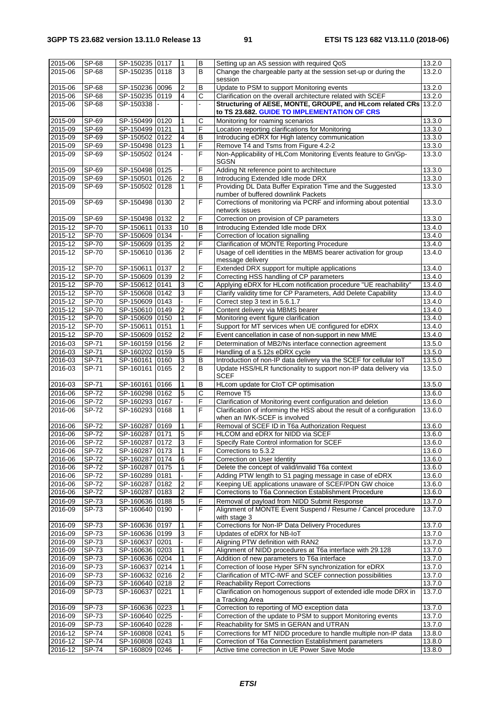| 2015-06            | SP-68          | SP-150235 0117                   |      |                | B                     | Setting up an AS session with required QoS                                                            | 13.2.0           |
|--------------------|----------------|----------------------------------|------|----------------|-----------------------|-------------------------------------------------------------------------------------------------------|------------------|
|                    |                |                                  |      |                |                       |                                                                                                       |                  |
| 2015-06            | SP-68          | SP-150235 0118                   |      | 3              | B                     | Change the chargeable party at the session set-up or during the                                       | 13.2.0           |
|                    |                |                                  |      |                |                       | session                                                                                               |                  |
| 2015-06            | SP-68          | SP-150236 0096                   |      | 2              | в                     | Update to PSM to support Monitoring events                                                            | 13.2.0           |
| 2015-06            | SP-68          | SP-150235 0119                   |      | 4              | $\overline{\text{c}}$ | Clarification on the overall architecture related with SCEF                                           | 13.2.0           |
| 2015-06            | SP-68          | SP-150338                        |      |                |                       | Structuring of AESE, MONTE, GROUPE, and HLcom related CRs                                             | 13.2.0           |
|                    |                |                                  |      |                |                       |                                                                                                       |                  |
|                    |                |                                  |      |                |                       | to TS 23.682. GUIDE TO IMPLEMENTATION OF CRS                                                          |                  |
| 2015-09            | SP-69          | SP-150499 0120                   |      | 1              | C                     | Monitoring for roaming scenarios                                                                      | 13.3.0           |
| 2015-09            | SP-69          | SP-150499 0121                   |      | 1              | F                     | Location reporting clarifications for Monitoring                                                      | 13.3.0           |
|                    |                |                                  |      |                |                       |                                                                                                       |                  |
| 2015-09            | SP-69          | SP-150502 0122                   |      | 4              | B                     | Introducing eDRX for High latency communication                                                       | 13.3.0           |
| 2015-09            | SP-69          | SP-150498 0123                   |      |                | F                     | Remove T4 and Tsms from Figure 4.2-2                                                                  | 13.3.0           |
| 2015-09            | $SF-69$        | SP-150502 0124                   |      |                | F                     | Non-Applicability of HLCom Monitoring Events feature to Gn/Gp-                                        | 13.3.0           |
|                    |                |                                  |      |                |                       | SGSN                                                                                                  |                  |
| 2015-09            | SP-69          | SP-150498 0125                   |      |                | F                     | Adding Nt reference point to architecture                                                             | 13.3.0           |
|                    |                |                                  |      |                |                       |                                                                                                       |                  |
| 2015-09            | SP-69          | SP-150501 0126                   |      | 2              | B                     | Introducing Extended Idle mode DRX                                                                    | 13.3.0           |
| 2015-09            | SP-69          | SP-150502 0128                   |      | 1              | F                     | Providing DL Data Buffer Expiration Time and the Suggested                                            | 13.3.0           |
|                    |                |                                  |      |                |                       | number of buffered downlink Packets                                                                   |                  |
| 2015-09            | SP-69          | SP-150498 0130                   |      | 2              | F                     | Corrections of monitoring via PCRF and informing about potential                                      | 13.3.0           |
|                    |                |                                  |      |                |                       |                                                                                                       |                  |
|                    |                |                                  |      |                |                       | network issues                                                                                        |                  |
| 2015-09            | SP-69          | SP-150498 0132                   |      | $\overline{2}$ | F                     | Correction on provision of CP parameters                                                              | 13.3.0           |
| 2015-12            | <b>SP-70</b>   | SP-150611 0133                   |      | 10             | B                     | Introducing Extended Idle mode DRX                                                                    | 13.4.0           |
| 2015-12            | <b>SP-70</b>   | SP-150609 0134                   |      |                | F                     | Correction of location signalling                                                                     | 13.4.0           |
| 2015-12            | <b>SP-70</b>   |                                  |      |                | F                     | <b>Clarification of MONTE Reporting Procedure</b>                                                     |                  |
|                    |                | SP-150609 0135                   |      | 2              |                       |                                                                                                       | 13.4.0           |
| 2015-12            | SP-70          | SP-150610 0136                   |      | 2              | F                     | Usage of cell identities in the MBMS bearer activation for group                                      | 13.4.0           |
|                    |                |                                  |      |                |                       | message delivery                                                                                      |                  |
| 2015-12            | <b>SP-70</b>   | SP-150611                        | 0137 | 2              | F                     | Extended DRX support for multiple applications                                                        | 13.4.0           |
|                    | <b>SP-70</b>   | SP-150609 0139                   |      | 2              | F                     |                                                                                                       | 13.4.0           |
| 2015-12            |                |                                  |      |                |                       | Correcting HSS handling of CP parameters                                                              |                  |
| 2015-12            | SP-70          | SP-150612 0141                   |      | 3              | C                     | Applying eDRX for HLcom notification procedure "UE reachability"                                      | 13.4.0           |
| 2015-12            | <b>SP-70</b>   | SP-150608 0142                   |      | 3              | F                     | Clarify validity time for CP Parameters, Add Delete Capability                                        | 13.4.0           |
| 2015-12            | SP-70          | SP-150609 0143                   |      |                | F                     | Correct step 3 text in 5.6.1.7                                                                        | 13.4.0           |
| 2015-12            | <b>SP-70</b>   | SP-150610 0149                   |      | $\overline{2}$ | F                     | Content delivery via MBMS bearer                                                                      | 13.4.0           |
|                    |                |                                  |      |                |                       |                                                                                                       |                  |
| 2015-12            | <b>SP-70</b>   | SP-150609 0150                   |      | 1              | F                     | Monitoring event figure clarification                                                                 | 13.4.0           |
| 2015-12            | <b>SP-70</b>   | SP-150611 0151                   |      | 1              | F                     | Support for MT services when UE configured for eDRX                                                   | 13.4.0           |
| 2015-12            | <b>SP-70</b>   | SP-150609 0152                   |      | $\overline{2}$ | F                     | Event cancellation in case of non-support in new MME                                                  | 13.4.0           |
| 2016-03            | SP-71          | SP-160159 0156                   |      | 2              | F                     | Determination of MB2/Ns interface connection agreement                                                | 13.5.0           |
|                    |                |                                  |      |                |                       |                                                                                                       |                  |
| 2016-03            | SP-71          | SP-160202 0159                   |      | 5              | F                     | Handling of a 5.12s eDRX cycle                                                                        | 13.5.0           |
| 2016-03            | SP-71          | SP-160161 0160                   |      | 3              | B                     | Introduction of non-IP data delivery via the SCEF for cellular IoT                                    | 13.5.0           |
| 2016-03            | SP-71          | SP-160161 0165                   |      | $\overline{2}$ | B                     | Update HSS/HLR functionality to support non-IP data delivery via                                      | 13.5.0           |
|                    |                |                                  |      |                |                       | <b>SCEF</b>                                                                                           |                  |
|                    |                |                                  |      |                |                       |                                                                                                       |                  |
| 2016-03            | SP-71          | SP-160161                        | 0166 | 1              | B                     | HLcom update for CIoT CP optimisation                                                                 | 13.5.0           |
| 2016-06            | <b>SP-72</b>   | SP-160298 0162                   |      | 5              | C                     | Remove T5                                                                                             | 13.6.0           |
| 2016-06            | SP-72          | SP-160293 0167                   |      |                | F                     | Clarification of Monitoring event configuration and deletion                                          | 13.6.0           |
| 2016-06            | SP-72          | SP-160293 0168                   |      | 1              | F                     | Clarification of informing the HSS about the result of a configuration                                | 13.6.0           |
|                    |                |                                  |      |                |                       | when an IWK-SCEF is involved                                                                          |                  |
|                    |                |                                  |      |                |                       |                                                                                                       |                  |
| 2016-06            | <b>SP-72</b>   | SP-160287 0169                   |      |                | F                     | Removal of SCEF ID in T6a Authorization Request                                                       | 13.6.0           |
| 2016-06            | SP-72          | SP-160287 0171                   |      | 5              | F                     | HLCOM and eDRX for NIDD via SCEF                                                                      | 13.6.0           |
| 2016-06            | <b>SP-72</b>   | SP-160287 0172                   |      | 3              | F                     | Specify Rate Control information for SCEF                                                             | 13.6.0           |
| 2016-06            | SP-72          | SP-160287 0173                   |      | 1              | F                     | Corrections to 5.3.2                                                                                  | 13.6.0           |
|                    |                |                                  |      |                |                       |                                                                                                       |                  |
| 2016-06            | SP-72          | SP-160287 0174                   |      | 6              | F                     | Correction on User Identity                                                                           | 13.6.0           |
| 2016-06            | <b>SP-72</b>   | SP-160287 0175                   |      | 1              | F                     | Delete the concept of valid/invalid T6a context                                                       | 13.6.0           |
| 2016-06            | <b>SP-72</b>   | SP-160289 0181                   |      |                | F                     | Adding PTW length to S1 paging message in case of eDRX                                                | 13.6.0           |
| 2016-06            | SP-72          | SP-160287 0182                   |      | 2              | F                     | Keeping UE applications unaware of SCEF/PDN GW choice                                                 | 13.6.0           |
|                    |                |                                  |      |                | F                     |                                                                                                       |                  |
| 2016-06            | <b>SP-72</b>   | SP-160287 0183                   |      | 2              |                       | Corrections to T6a Connection Establishment Procedure                                                 | 13.6.0           |
| 2016-09            | SP-73          | SP-160636 0188                   |      | 5              | F                     | Removal of payload from NIDD Submit Response                                                          | 13.7.0           |
| 2016-09            | SP-73          | SP-160640 0190                   |      |                | F                     | Alignment of MONTE Event Suspend / Resume / Cancel procedure                                          | 13.7.0           |
|                    |                |                                  |      |                |                       | with stage 3                                                                                          |                  |
| 2016-09            | SP-73          |                                  |      | 1              | F                     | Corrections for Non-IP Data Delivery Procedures                                                       |                  |
|                    |                | SP-160636 0197                   |      |                |                       |                                                                                                       | 13.7.0           |
| 2016-09            | SP-73          | SP-160636 0199                   |      | 3              | F                     | Updates of eDRX for NB-IoT                                                                            | 13.7.0           |
| 2016-09            | SP-73          | SP-160637 0201                   |      |                | F                     | Aligning PTW definition with RAN2                                                                     | 13.7.0           |
| 2016-09            | SP-73          | SP-160636 0203                   |      | 1              | F                     | Alignment of NIDD procedures at T6a interface with 29.128                                             | 13.7.0           |
| 2016-09            | SP-73          | SP-160636 0204                   |      | 1              | F                     | Addition of new parameters to T6a interface                                                           | 13.7.0           |
|                    |                |                                  |      |                |                       |                                                                                                       |                  |
| 2016-09            | SP-73          | SP-160637 0214                   |      | 1              | F                     | Correction of loose Hyper SFN synchronization for eDRX                                                | 13.7.0           |
| 2016-09            | SP-73          | SP-160632 0216                   |      | $\overline{2}$ | F                     | Clarification of MTC-IWF and SCEF connection possibilities                                            | 13.7.0           |
| 2016-09            | SP-73          | SP-160640 0218                   |      | 2              | F                     | <b>Reachability Report Corrections</b>                                                                | 13.7.0           |
| 2016-09            | SP-73          | SP-160637 0221                   |      | 1              | F                     | Clarification on homogenous support of extended idle mode DRX in                                      | 13.7.0           |
|                    |                |                                  |      |                |                       |                                                                                                       |                  |
|                    |                |                                  |      |                |                       | a Tracking Area                                                                                       |                  |
|                    |                |                                  |      |                |                       |                                                                                                       |                  |
| 2016-09            | SP-73          | SP-160636 0223                   |      | 1              | F                     | Correction to reporting of MO exception data                                                          | 13.7.0           |
| 2016-09            | SP-73          | SP-160640 0225                   |      |                | F                     | Correction of the update to PSM to support Monitoring events                                          | 13.7.0           |
|                    |                |                                  |      |                |                       |                                                                                                       |                  |
| 2016-09            | SP-73          | SP-160640 0228                   |      |                | F                     | Reachability for SMS in GERAN and UTRAN                                                               | 13.7.0           |
| $2016 - 12$        | SP-74          | SP-160808 0241                   |      | 5              | F                     | Corrections for MT NIDD procedure to handle multiple non-IP data                                      | 13.8.0           |
| 2016-12<br>2016-12 | SP-74<br>SP-74 | SP-160808 0243<br>SP-160809 0246 |      |                | F<br>F                | Correction of T6a Connection Establishment parameters<br>Active time correction in UE Power Save Mode | 13.8.0<br>13.8.0 |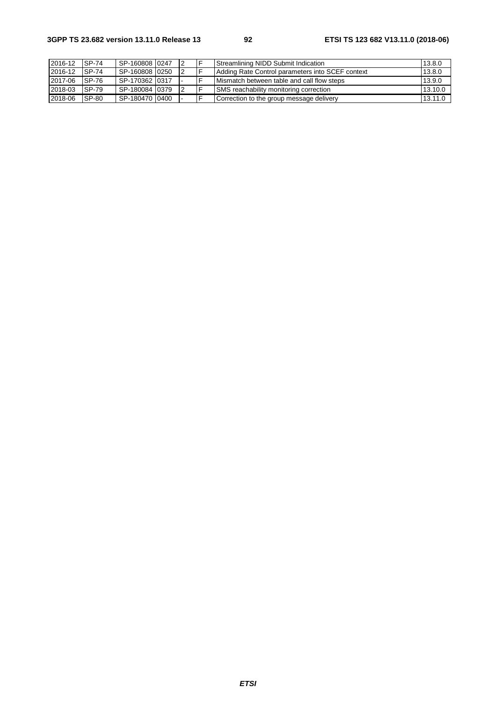| 2016-12 | <b>SP-74</b> | SP-160808 0247 |  | Streamlining NIDD Submit Indication              | 13.8.0  |
|---------|--------------|----------------|--|--------------------------------------------------|---------|
| 2016-12 | <b>SP-74</b> | SP-160808 0250 |  | Adding Rate Control parameters into SCEF context | 13.8.0  |
| 2017-06 | <b>SP-76</b> | SP-170362 0317 |  | Mismatch between table and call flow steps       | 13.9.0  |
| 2018-03 | <b>SP-79</b> | SP-180084 0379 |  | SMS reachability monitoring correction           | 13.10.0 |
| 2018-06 | SP-80        | SP-180470 0400 |  | Correction to the group message delivery         | 13.11.0 |